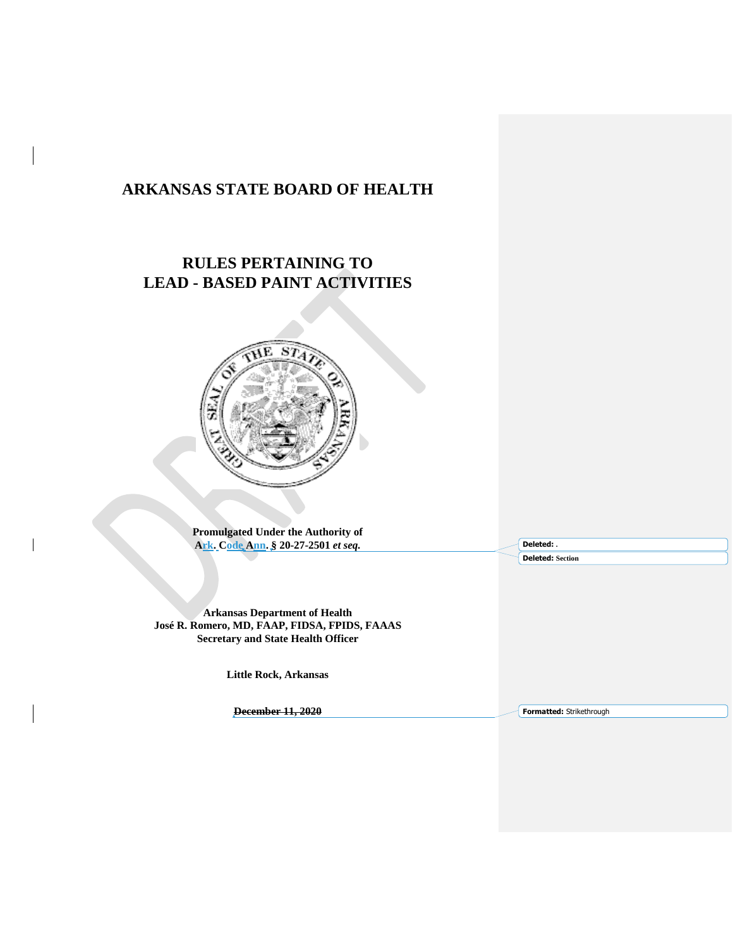# **ARKANSAS STATE BOARD OF HEALTH**

# **RULES PERTAINING TO LEAD - BASED PAINT ACTIVITIES**



**Promulgated Under the Authority of Ark. Code Ann. § 20-27-2501** *et seq.*

**Deleted: .**

**Deleted: Section**

**Arkansas Department of Health José R. Romero, MD, FAAP, FIDSA, FPIDS, FAAAS Secretary and State Health Officer**

**Little Rock, Arkansas**

**December 11, 2020**

**Formatted:** Strikethrough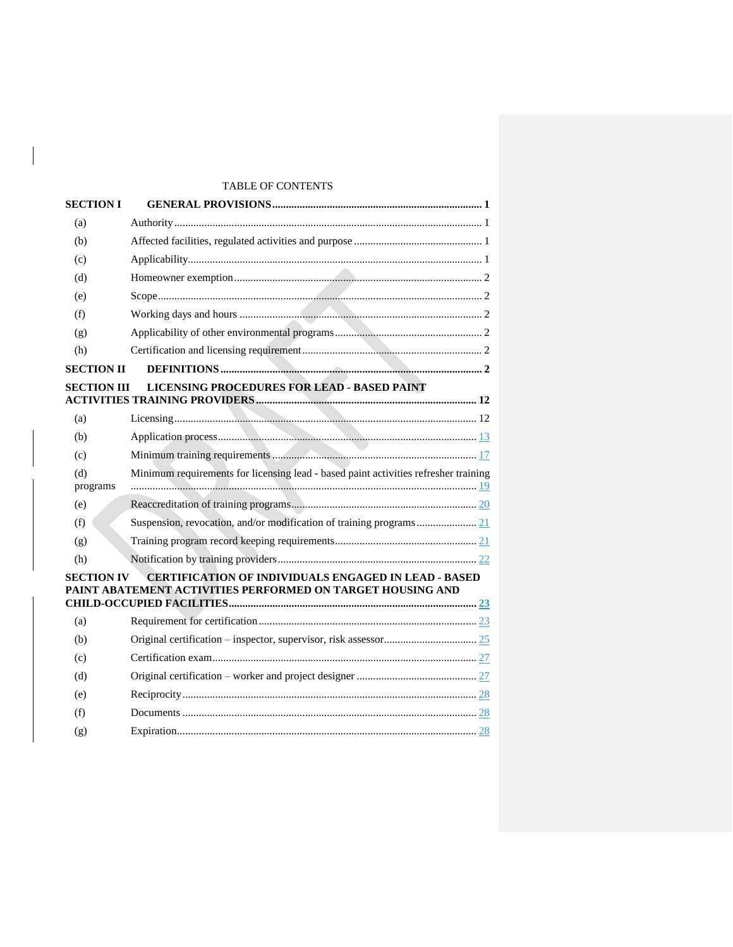# TABLE OF CONTENTS

| <b>SECTION I</b>   |                                                                                                                           |  |
|--------------------|---------------------------------------------------------------------------------------------------------------------------|--|
| (a)                |                                                                                                                           |  |
| (b)                |                                                                                                                           |  |
| (c)                |                                                                                                                           |  |
| (d)                |                                                                                                                           |  |
| (e)                |                                                                                                                           |  |
| (f)                |                                                                                                                           |  |
| (g)                |                                                                                                                           |  |
| (h)                |                                                                                                                           |  |
| <b>SECTION II</b>  |                                                                                                                           |  |
| <b>SECTION III</b> | LICENSING PROCEDURES FOR LEAD - BASED PAINT                                                                               |  |
| (a)                |                                                                                                                           |  |
| (b)                |                                                                                                                           |  |
| (c)                |                                                                                                                           |  |
| (d)                | Minimum requirements for licensing lead - based paint activities refresher training                                       |  |
| programs           |                                                                                                                           |  |
| (e)                |                                                                                                                           |  |
| (f)                |                                                                                                                           |  |
| (g)                |                                                                                                                           |  |
| (h)                |                                                                                                                           |  |
| <b>SECTION IV</b>  | <b>CERTIFICATION OF INDIVIDUALS ENGAGED IN LEAD - BASED</b><br>PAINT ABATEMENT ACTIVITIES PERFORMED ON TARGET HOUSING AND |  |
| (a)                |                                                                                                                           |  |
| (b)                |                                                                                                                           |  |
| (c)                |                                                                                                                           |  |
| (d)                |                                                                                                                           |  |
| (e)                |                                                                                                                           |  |
| (f)                |                                                                                                                           |  |
| (g)                |                                                                                                                           |  |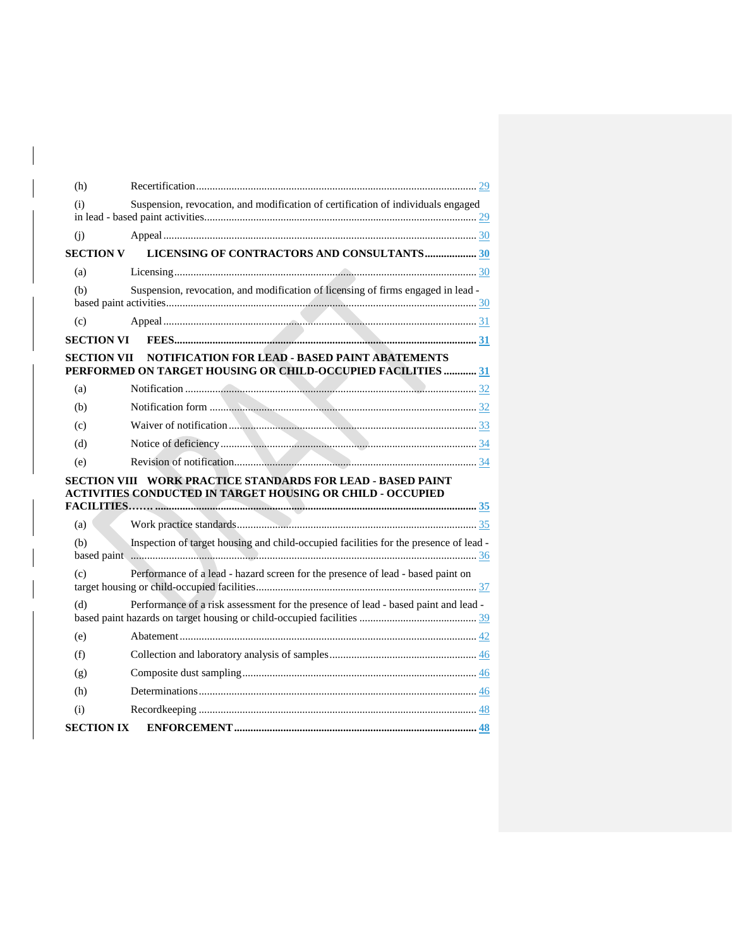| (h)                                                                                                                                |                                                                                                                |  |  |  |  |
|------------------------------------------------------------------------------------------------------------------------------------|----------------------------------------------------------------------------------------------------------------|--|--|--|--|
| (i)                                                                                                                                | Suspension, revocation, and modification of certification of individuals engaged                               |  |  |  |  |
| (i)                                                                                                                                |                                                                                                                |  |  |  |  |
| <b>SECTION V</b>                                                                                                                   | LICENSING OF CONTRACTORS AND CONSULTANTS30                                                                     |  |  |  |  |
| (a)                                                                                                                                |                                                                                                                |  |  |  |  |
| (b)                                                                                                                                | Suspension, revocation, and modification of licensing of firms engaged in lead -                               |  |  |  |  |
| (c)                                                                                                                                |                                                                                                                |  |  |  |  |
|                                                                                                                                    |                                                                                                                |  |  |  |  |
| SECTION VII                                                                                                                        | NOTIFICATION FOR LEAD - BASED PAINT ABATEMENTS<br>PERFORMED ON TARGET HOUSING OR CHILD-OCCUPIED FACILITIES  31 |  |  |  |  |
| (a)                                                                                                                                |                                                                                                                |  |  |  |  |
| (b)                                                                                                                                |                                                                                                                |  |  |  |  |
| (c)                                                                                                                                |                                                                                                                |  |  |  |  |
| (d)                                                                                                                                |                                                                                                                |  |  |  |  |
| (e)                                                                                                                                |                                                                                                                |  |  |  |  |
| SECTION VIII – WORK PRACTICE STANDARDS FOR LEAD - BASED PAINT<br><b>ACTIVITIES CONDUCTED IN TARGET HOUSING OR CHILD - OCCUPIED</b> |                                                                                                                |  |  |  |  |
| (a)                                                                                                                                |                                                                                                                |  |  |  |  |
| (b)                                                                                                                                | Inspection of target housing and child-occupied facilities for the presence of lead -                          |  |  |  |  |
| (c)                                                                                                                                | Performance of a lead - hazard screen for the presence of lead - based paint on                                |  |  |  |  |
| (d)                                                                                                                                | Performance of a risk assessment for the presence of lead - based paint and lead -                             |  |  |  |  |
| (e)                                                                                                                                |                                                                                                                |  |  |  |  |
| (f)                                                                                                                                |                                                                                                                |  |  |  |  |
| (g)                                                                                                                                |                                                                                                                |  |  |  |  |
| (h)                                                                                                                                |                                                                                                                |  |  |  |  |
| (i)                                                                                                                                |                                                                                                                |  |  |  |  |
| <b>SECTION IX</b>                                                                                                                  |                                                                                                                |  |  |  |  |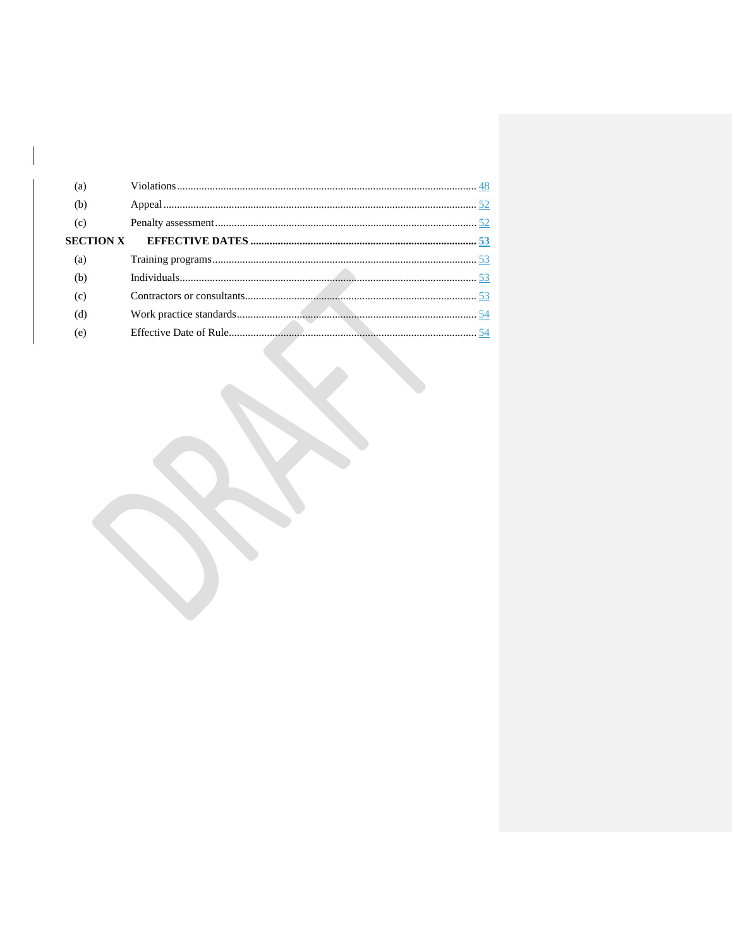| (a) |  |
|-----|--|
| (b) |  |
| (c) |  |
|     |  |
| (a) |  |
| (b) |  |
| (c) |  |
| (d) |  |
| (e) |  |
|     |  |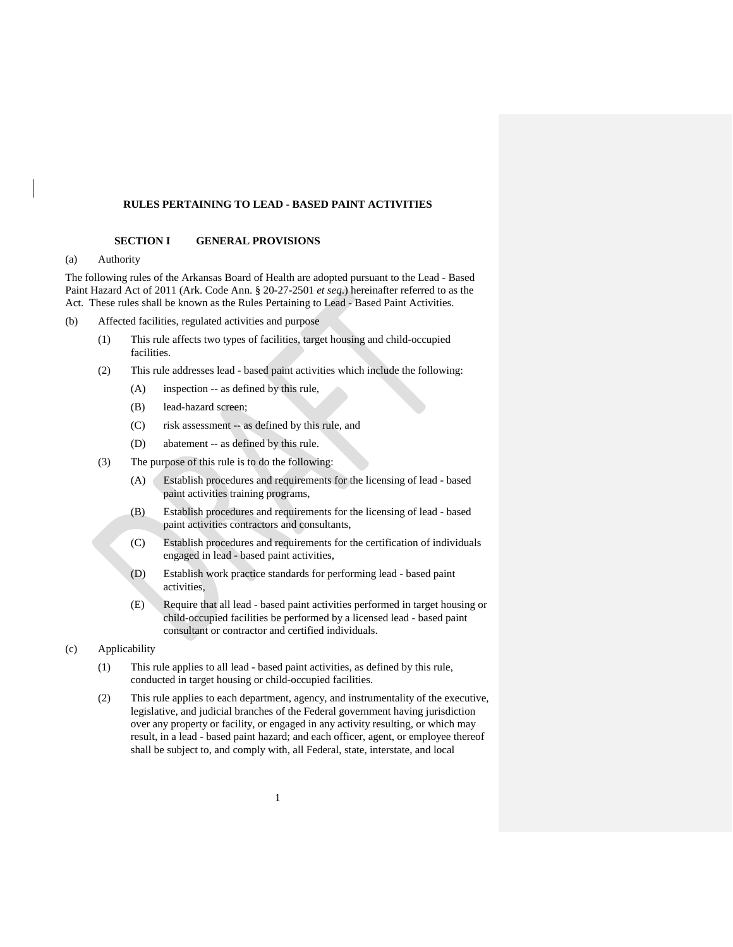## **RULES PERTAINING TO LEAD - BASED PAINT ACTIVITIES**

### **SECTION I GENERAL PROVISIONS**

### <span id="page-4-1"></span><span id="page-4-0"></span>(a) Authority

The following rules of the Arkansas Board of Health are adopted pursuant to the Lead - Based Paint Hazard Act of 2011 (Ark. Code Ann. § 20-27-2501 *et seq*.) hereinafter referred to as the Act. These rules shall be known as the Rules Pertaining to Lead - Based Paint Activities.

- <span id="page-4-2"></span>(b) Affected facilities, regulated activities and purpose
	- (1) This rule affects two types of facilities, target housing and child-occupied facilities.
	- (2) This rule addresses lead based paint activities which include the following:
		- (A) inspection -- as defined by this rule,
		- (B) lead-hazard screen;
		- (C) risk assessment -- as defined by this rule, and
		- (D) abatement -- as defined by this rule.
	- (3) The purpose of this rule is to do the following:
		- (A) Establish procedures and requirements for the licensing of lead based paint activities training programs,
		- (B) Establish procedures and requirements for the licensing of lead based paint activities contractors and consultants,
		- (C) Establish procedures and requirements for the certification of individuals engaged in lead - based paint activities,
		- (D) Establish work practice standards for performing lead based paint activities,
		- (E) Require that all lead based paint activities performed in target housing or child-occupied facilities be performed by a licensed lead - based paint consultant or contractor and certified individuals.
- <span id="page-4-3"></span>(c) Applicability
	- (1) This rule applies to all lead based paint activities, as defined by this rule, conducted in target housing or child-occupied facilities.
	- (2) This rule applies to each department, agency, and instrumentality of the executive, legislative, and judicial branches of the Federal government having jurisdiction over any property or facility, or engaged in any activity resulting, or which may result, in a lead - based paint hazard; and each officer, agent, or employee thereof shall be subject to, and comply with, all Federal, state, interstate, and local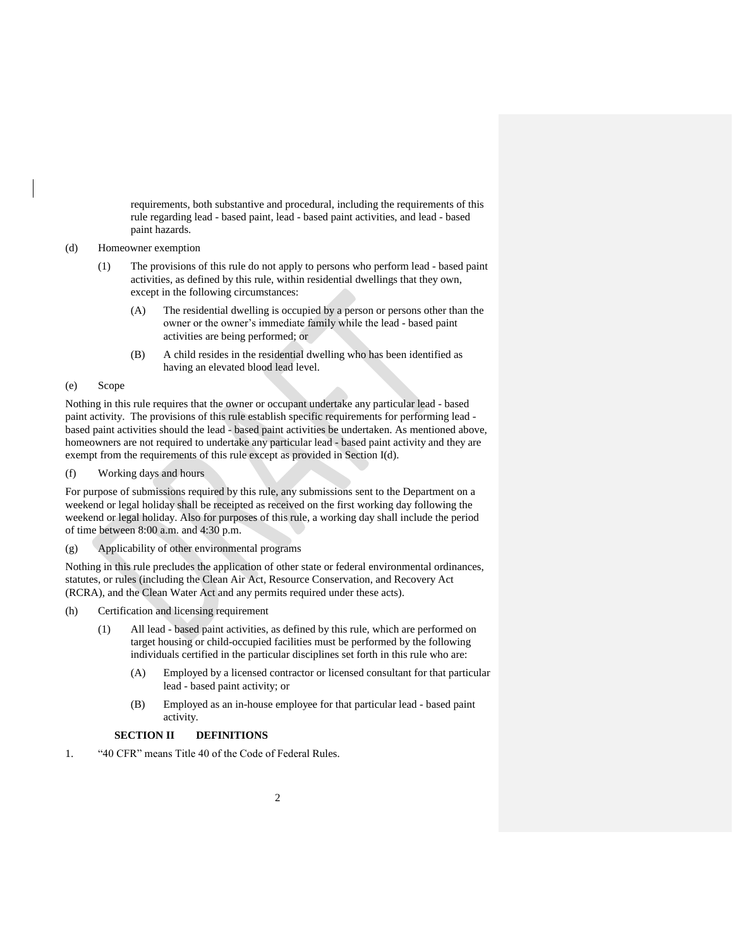requirements, both substantive and procedural, including the requirements of this rule regarding lead - based paint, lead - based paint activities, and lead - based paint hazards.

### <span id="page-5-0"></span>(d) Homeowner exemption

- (1) The provisions of this rule do not apply to persons who perform lead based paint activities, as defined by this rule, within residential dwellings that they own, except in the following circumstances:
	- (A) The residential dwelling is occupied by a person or persons other than the owner or the owner's immediate family while the lead - based paint activities are being performed; or
	- (B) A child resides in the residential dwelling who has been identified as having an elevated blood lead level.

## <span id="page-5-1"></span>(e) Scope

Nothing in this rule requires that the owner or occupant undertake any particular lead - based paint activity. The provisions of this rule establish specific requirements for performing lead based paint activities should the lead - based paint activities be undertaken. As mentioned above, homeowners are not required to undertake any particular lead - based paint activity and they are exempt from the requirements of this rule except as provided in Section I(d).

<span id="page-5-2"></span>(f) Working days and hours

For purpose of submissions required by this rule, any submissions sent to the Department on a weekend or legal holiday shall be receipted as received on the first working day following the weekend or legal holiday. Also for purposes of this rule, a working day shall include the period of time between 8:00 a.m. and 4:30 p.m.

<span id="page-5-3"></span>(g) Applicability of other environmental programs

Nothing in this rule precludes the application of other state or federal environmental ordinances, statutes, or rules (including the Clean Air Act, Resource Conservation, and Recovery Act (RCRA), and the Clean Water Act and any permits required under these acts).

- <span id="page-5-4"></span>(h) Certification and licensing requirement
	- (1) All lead based paint activities, as defined by this rule, which are performed on target housing or child-occupied facilities must be performed by the following individuals certified in the particular disciplines set forth in this rule who are:
		- (A) Employed by a licensed contractor or licensed consultant for that particular lead - based paint activity; or
		- (B) Employed as an in-house employee for that particular lead based paint activity.

# **SECTION II DEFINITIONS**

<span id="page-5-5"></span>1. "40 CFR" means Title 40 of the Code of Federal Rules.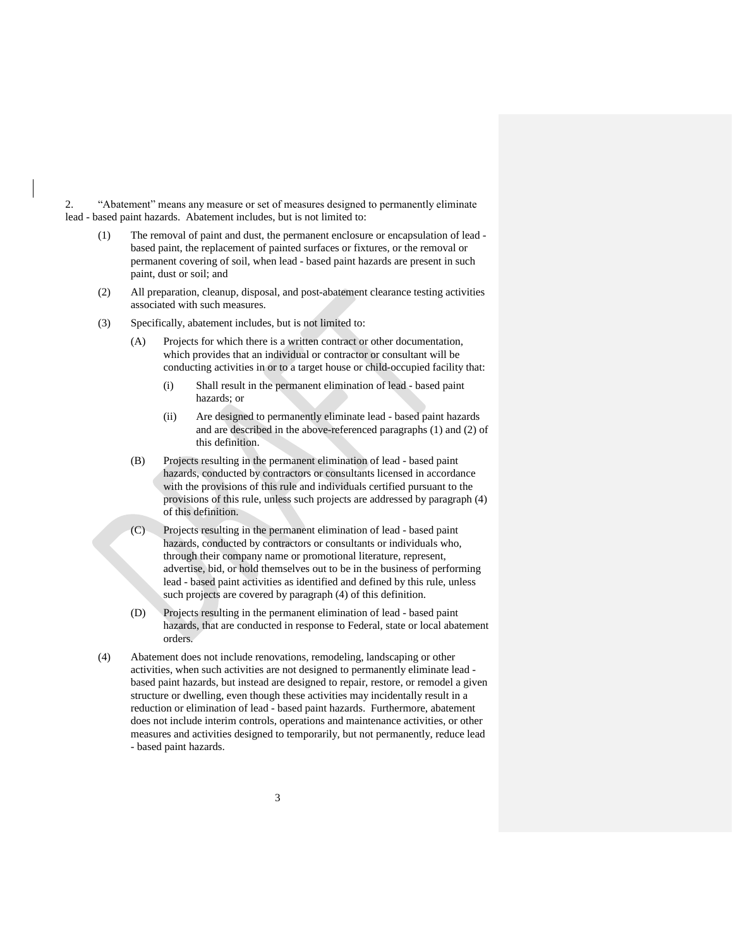2. "Abatement" means any measure or set of measures designed to permanently eliminate lead - based paint hazards. Abatement includes, but is not limited to:

- (1) The removal of paint and dust, the permanent enclosure or encapsulation of lead based paint, the replacement of painted surfaces or fixtures, or the removal or permanent covering of soil, when lead - based paint hazards are present in such paint, dust or soil; and
- (2) All preparation, cleanup, disposal, and post-abatement clearance testing activities associated with such measures.
- (3) Specifically, abatement includes, but is not limited to:
	- (A) Projects for which there is a written contract or other documentation, which provides that an individual or contractor or consultant will be conducting activities in or to a target house or child-occupied facility that:
		- (i) Shall result in the permanent elimination of lead based paint hazards; or
		- (ii) Are designed to permanently eliminate lead based paint hazards and are described in the above-referenced paragraphs (1) and (2) of this definition.
	- (B) Projects resulting in the permanent elimination of lead based paint hazards, conducted by contractors or consultants licensed in accordance with the provisions of this rule and individuals certified pursuant to the provisions of this rule, unless such projects are addressed by paragraph (4) of this definition.
	- (C) Projects resulting in the permanent elimination of lead based paint hazards, conducted by contractors or consultants or individuals who, through their company name or promotional literature, represent, advertise, bid, or hold themselves out to be in the business of performing lead - based paint activities as identified and defined by this rule, unless such projects are covered by paragraph (4) of this definition.
	- (D) Projects resulting in the permanent elimination of lead based paint hazards, that are conducted in response to Federal, state or local abatement orders.
- (4) Abatement does not include renovations, remodeling, landscaping or other activities, when such activities are not designed to permanently eliminate lead based paint hazards, but instead are designed to repair, restore, or remodel a given structure or dwelling, even though these activities may incidentally result in a reduction or elimination of lead - based paint hazards. Furthermore, abatement does not include interim controls, operations and maintenance activities, or other measures and activities designed to temporarily, but not permanently, reduce lead - based paint hazards.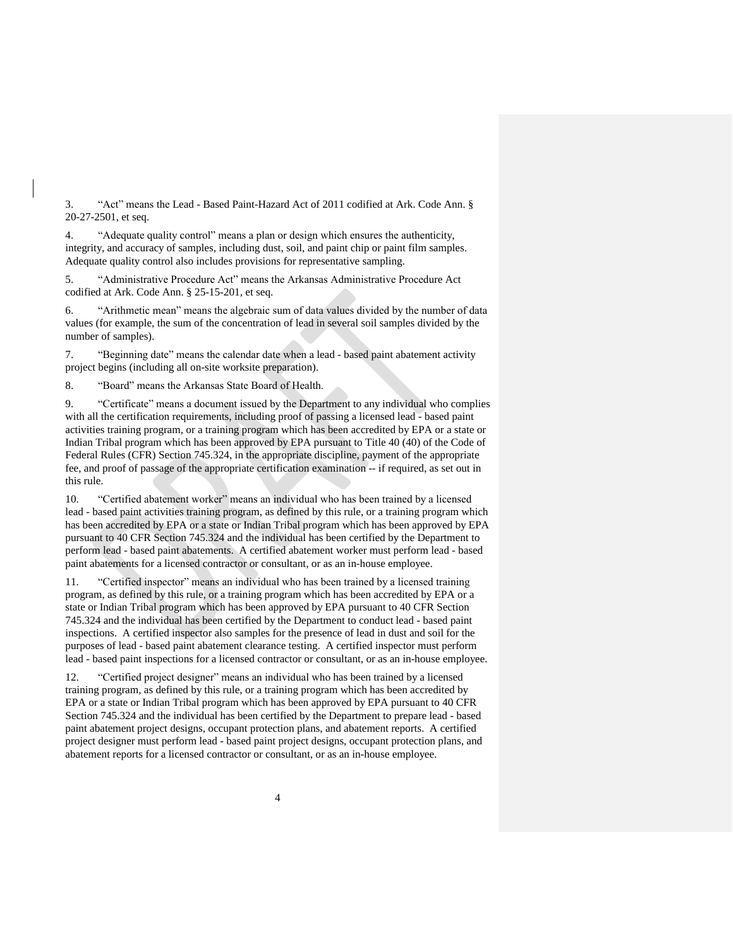3. "Act" means the Lead - Based Paint-Hazard Act of 2011 codified at Ark. Code Ann. § 20-27-2501, et seq.

4. "Adequate quality control" means a plan or design which ensures the authenticity, integrity, and accuracy of samples, including dust, soil, and paint chip or paint film samples. Adequate quality control also includes provisions for representative sampling.

5. "Administrative Procedure Act" means the Arkansas Administrative Procedure Act codified at Ark. Code Ann. § 25-15-201, et seq.

6. "Arithmetic mean" means the algebraic sum of data values divided by the number of data values (for example, the sum of the concentration of lead in several soil samples divided by the number of samples).

7. "Beginning date" means the calendar date when a lead - based paint abatement activity project begins (including all on-site worksite preparation).

8. "Board" means the Arkansas State Board of Health.

9. "Certificate" means a document issued by the Department to any individual who complies with all the certification requirements, including proof of passing a licensed lead - based paint activities training program, or a training program which has been accredited by EPA or a state or Indian Tribal program which has been approved by EPA pursuant to Title 40 (40) of the Code of Federal Rules (CFR) Section 745.324, in the appropriate discipline, payment of the appropriate fee, and proof of passage of the appropriate certification examination -- if required, as set out in this rule.

10. "Certified abatement worker" means an individual who has been trained by a licensed lead - based paint activities training program, as defined by this rule, or a training program which has been accredited by EPA or a state or Indian Tribal program which has been approved by EPA pursuant to 40 CFR Section 745.324 and the individual has been certified by the Department to perform lead - based paint abatements. A certified abatement worker must perform lead - based paint abatements for a licensed contractor or consultant, or as an in-house employee.

11. "Certified inspector" means an individual who has been trained by a licensed training program, as defined by this rule, or a training program which has been accredited by EPA or a state or Indian Tribal program which has been approved by EPA pursuant to 40 CFR Section 745.324 and the individual has been certified by the Department to conduct lead - based paint inspections. A certified inspector also samples for the presence of lead in dust and soil for the purposes of lead - based paint abatement clearance testing. A certified inspector must perform lead - based paint inspections for a licensed contractor or consultant, or as an in-house employee.

12. "Certified project designer" means an individual who has been trained by a licensed training program, as defined by this rule, or a training program which has been accredited by EPA or a state or Indian Tribal program which has been approved by EPA pursuant to 40 CFR Section 745.324 and the individual has been certified by the Department to prepare lead - based paint abatement project designs, occupant protection plans, and abatement reports. A certified project designer must perform lead - based paint project designs, occupant protection plans, and abatement reports for a licensed contractor or consultant, or as an in-house employee.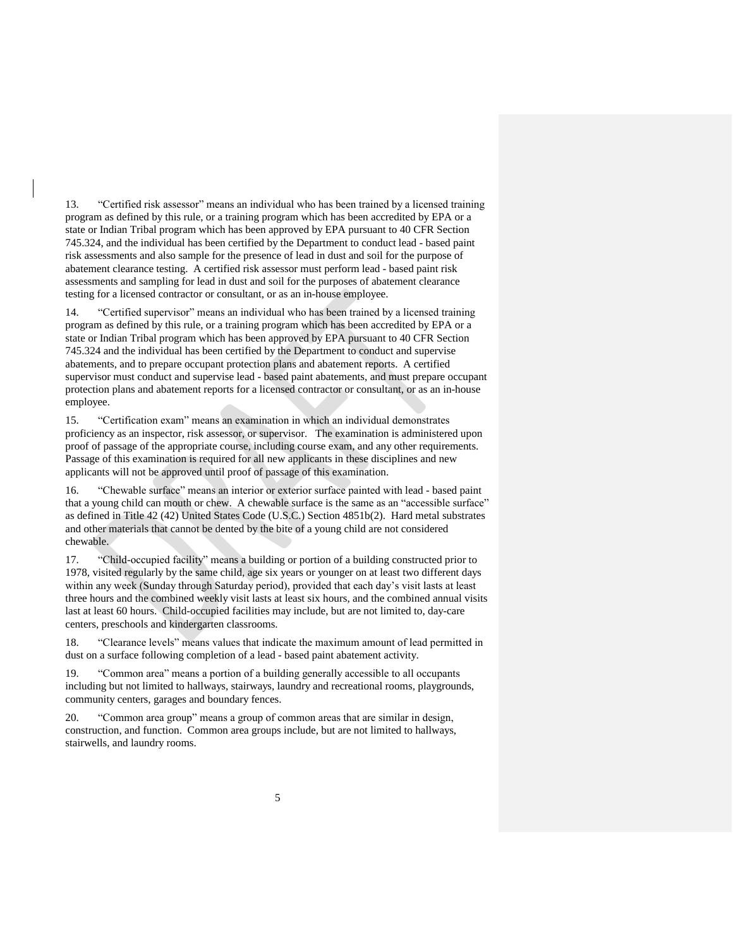13. "Certified risk assessor" means an individual who has been trained by a licensed training program as defined by this rule, or a training program which has been accredited by EPA or a state or Indian Tribal program which has been approved by EPA pursuant to 40 CFR Section 745.324, and the individual has been certified by the Department to conduct lead - based paint risk assessments and also sample for the presence of lead in dust and soil for the purpose of abatement clearance testing. A certified risk assessor must perform lead - based paint risk assessments and sampling for lead in dust and soil for the purposes of abatement clearance testing for a licensed contractor or consultant, or as an in-house employee.

14. "Certified supervisor" means an individual who has been trained by a licensed training program as defined by this rule, or a training program which has been accredited by EPA or a state or Indian Tribal program which has been approved by EPA pursuant to 40 CFR Section 745.324 and the individual has been certified by the Department to conduct and supervise abatements, and to prepare occupant protection plans and abatement reports. A certified supervisor must conduct and supervise lead - based paint abatements, and must prepare occupant protection plans and abatement reports for a licensed contractor or consultant, or as an in-house employee.

15. "Certification exam" means an examination in which an individual demonstrates proficiency as an inspector, risk assessor, or supervisor. The examination is administered upon proof of passage of the appropriate course, including course exam, and any other requirements. Passage of this examination is required for all new applicants in these disciplines and new applicants will not be approved until proof of passage of this examination.

16. "Chewable surface" means an interior or exterior surface painted with lead - based paint that a young child can mouth or chew. A chewable surface is the same as an "accessible surface" as defined in Title 42 (42) United States Code (U.S.C.) Section 4851b(2). Hard metal substrates and other materials that cannot be dented by the bite of a young child are not considered chewable.

17. "Child-occupied facility" means a building or portion of a building constructed prior to 1978, visited regularly by the same child, age six years or younger on at least two different days within any week (Sunday through Saturday period), provided that each day's visit lasts at least three hours and the combined weekly visit lasts at least six hours, and the combined annual visits last at least 60 hours. Child-occupied facilities may include, but are not limited to, day-care centers, preschools and kindergarten classrooms.

18. "Clearance levels" means values that indicate the maximum amount of lead permitted in dust on a surface following completion of a lead - based paint abatement activity.

19. "Common area" means a portion of a building generally accessible to all occupants including but not limited to hallways, stairways, laundry and recreational rooms, playgrounds, community centers, garages and boundary fences.

20. "Common area group" means a group of common areas that are similar in design, construction, and function. Common area groups include, but are not limited to hallways, stairwells, and laundry rooms.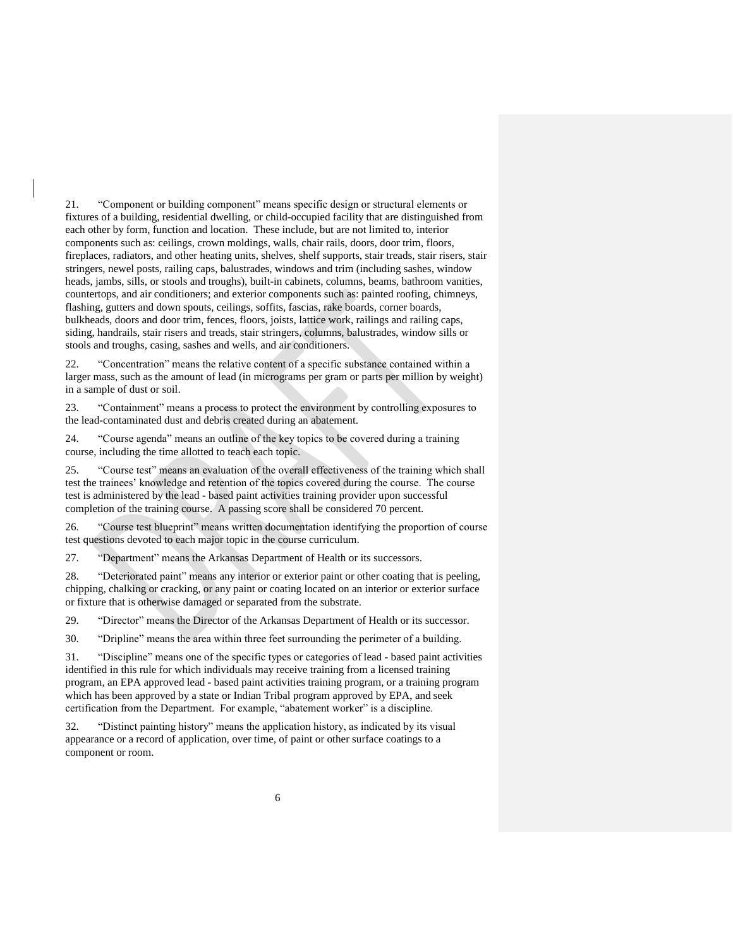21. "Component or building component" means specific design or structural elements or fixtures of a building, residential dwelling, or child-occupied facility that are distinguished from each other by form, function and location. These include, but are not limited to, interior components such as: ceilings, crown moldings, walls, chair rails, doors, door trim, floors, fireplaces, radiators, and other heating units, shelves, shelf supports, stair treads, stair risers, stair stringers, newel posts, railing caps, balustrades, windows and trim (including sashes, window heads, jambs, sills, or stools and troughs), built-in cabinets, columns, beams, bathroom vanities, countertops, and air conditioners; and exterior components such as: painted roofing, chimneys, flashing, gutters and down spouts, ceilings, soffits, fascias, rake boards, corner boards, bulkheads, doors and door trim, fences, floors, joists, lattice work, railings and railing caps, siding, handrails, stair risers and treads, stair stringers, columns, balustrades, window sills or stools and troughs, casing, sashes and wells, and air conditioners.

22. "Concentration" means the relative content of a specific substance contained within a larger mass, such as the amount of lead (in micrograms per gram or parts per million by weight) in a sample of dust or soil.

23. "Containment" means a process to protect the environment by controlling exposures to the lead-contaminated dust and debris created during an abatement.

24. "Course agenda" means an outline of the key topics to be covered during a training course, including the time allotted to teach each topic.

25. "Course test" means an evaluation of the overall effectiveness of the training which shall test the trainees' knowledge and retention of the topics covered during the course. The course test is administered by the lead - based paint activities training provider upon successful completion of the training course. A passing score shall be considered 70 percent.

26. "Course test blueprint" means written documentation identifying the proportion of course test questions devoted to each major topic in the course curriculum.

27. "Department" means the Arkansas Department of Health or its successors.

28. "Deteriorated paint" means any interior or exterior paint or other coating that is peeling, chipping, chalking or cracking, or any paint or coating located on an interior or exterior surface or fixture that is otherwise damaged or separated from the substrate.

29. "Director" means the Director of the Arkansas Department of Health or its successor.

30. "Dripline" means the area within three feet surrounding the perimeter of a building.

31. "Discipline" means one of the specific types or categories of lead - based paint activities identified in this rule for which individuals may receive training from a licensed training program, an EPA approved lead - based paint activities training program, or a training program which has been approved by a state or Indian Tribal program approved by EPA, and seek certification from the Department. For example, "abatement worker" is a discipline.

32. "Distinct painting history" means the application history, as indicated by its visual appearance or a record of application, over time, of paint or other surface coatings to a component or room.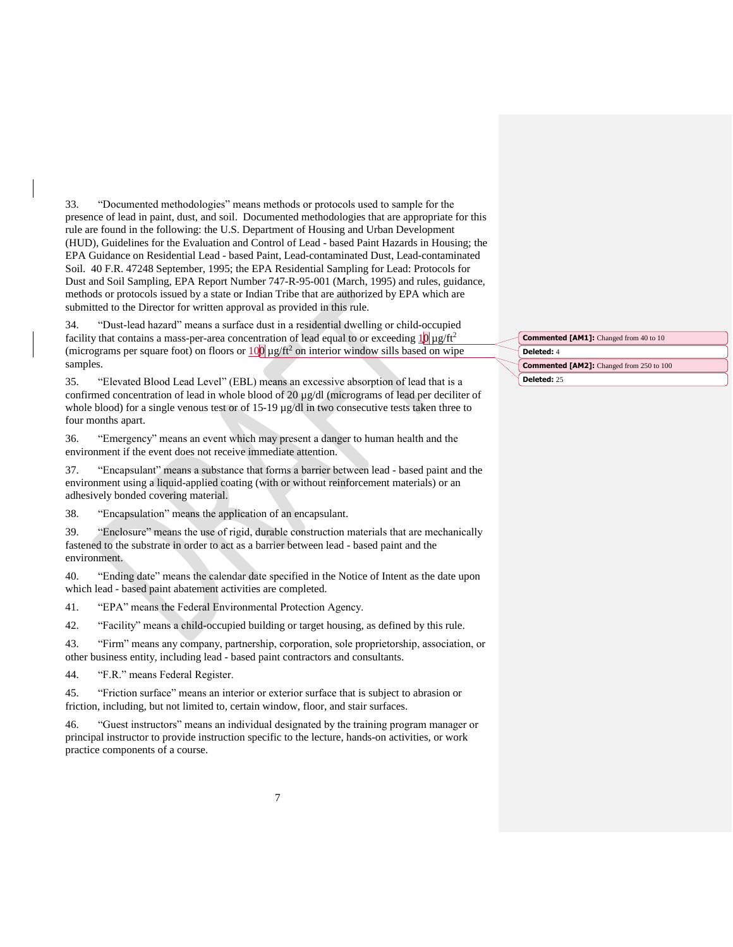33. "Documented methodologies" means methods or protocols used to sample for the presence of lead in paint, dust, and soil. Documented methodologies that are appropriate for this rule are found in the following: the U.S. Department of Housing and Urban Development (HUD), Guidelines for the Evaluation and Control of Lead - based Paint Hazards in Housing; the EPA Guidance on Residential Lead - based Paint, Lead-contaminated Dust, Lead-contaminated Soil. 40 F.R. 47248 September, 1995; the EPA Residential Sampling for Lead: Protocols for Dust and Soil Sampling, EPA Report Number 747-R-95-001 (March, 1995) and rules, guidance, methods or protocols issued by a state or Indian Tribe that are authorized by EPA which are submitted to the Director for written approval as provided in this rule.

34. "Dust-lead hazard" means a surface dust in a residential dwelling or child-occupied facility that contains a mass-per-area concentration of lead equal to or exceeding  $10 \mu g/ft^2$ (micrograms per square foot) on floors or  $100 \mu g/ft^2$  on interior window sills based on wipe samples.

35. "Elevated Blood Lead Level" (EBL) means an excessive absorption of lead that is a confirmed concentration of lead in whole blood of 20 µg/dl (micrograms of lead per deciliter of whole blood) for a single venous test or of 15-19 µg/dl in two consecutive tests taken three to four months apart.

36. "Emergency" means an event which may present a danger to human health and the environment if the event does not receive immediate attention.

37. "Encapsulant" means a substance that forms a barrier between lead - based paint and the environment using a liquid-applied coating (with or without reinforcement materials) or an adhesively bonded covering material.

38. "Encapsulation" means the application of an encapsulant.

39. "Enclosure" means the use of rigid, durable construction materials that are mechanically fastened to the substrate in order to act as a barrier between lead - based paint and the environment.

40. "Ending date" means the calendar date specified in the Notice of Intent as the date upon which lead - based paint abatement activities are completed.

41. "EPA" means the Federal Environmental Protection Agency.

42. "Facility" means a child-occupied building or target housing, as defined by this rule.

43. "Firm" means any company, partnership, corporation, sole proprietorship, association, or other business entity, including lead - based paint contractors and consultants.

44. "F.R." means Federal Register.

45. "Friction surface" means an interior or exterior surface that is subject to abrasion or friction, including, but not limited to, certain window, floor, and stair surfaces.

46. "Guest instructors" means an individual designated by the training program manager or principal instructor to provide instruction specific to the lecture, hands-on activities, or work practice components of a course.

**Deleted:** 4 **Commented [AM1]:** Changed from 40 to 10 **Commented [AM2]:** Changed from 250 to 100

**Deleted:** 25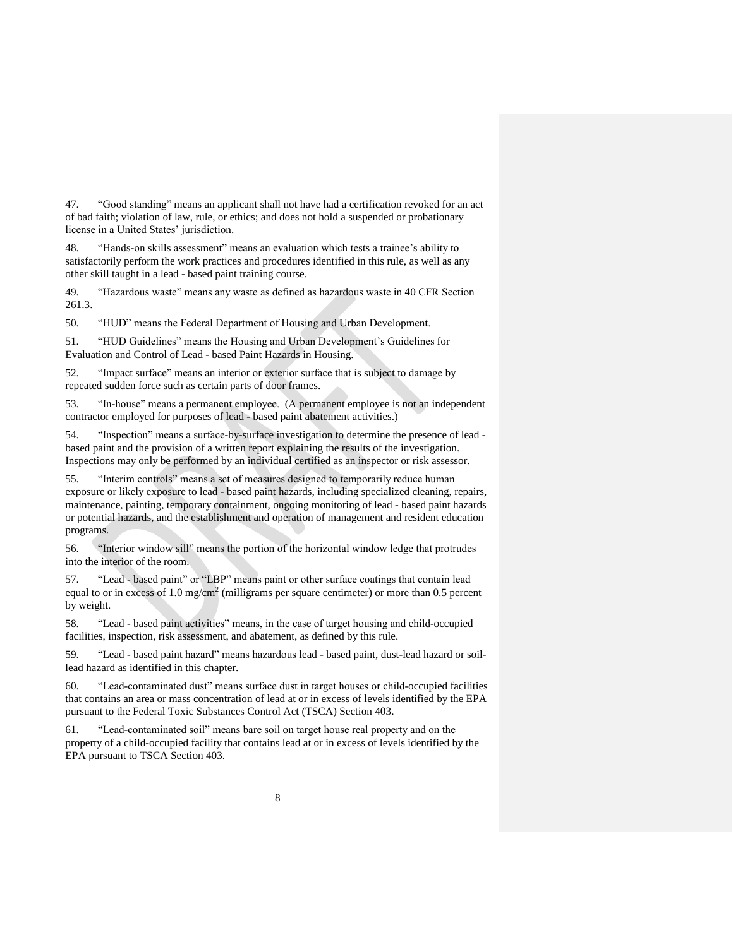47. "Good standing" means an applicant shall not have had a certification revoked for an act of bad faith; violation of law, rule, or ethics; and does not hold a suspended or probationary license in a United States' jurisdiction.

48. "Hands-on skills assessment" means an evaluation which tests a trainee's ability to satisfactorily perform the work practices and procedures identified in this rule, as well as any other skill taught in a lead - based paint training course.

49. "Hazardous waste" means any waste as defined as hazardous waste in 40 CFR Section 261.3.

50. "HUD" means the Federal Department of Housing and Urban Development.

51. "HUD Guidelines" means the Housing and Urban Development's Guidelines for Evaluation and Control of Lead - based Paint Hazards in Housing.

52. "Impact surface" means an interior or exterior surface that is subject to damage by repeated sudden force such as certain parts of door frames.

53. "In-house" means a permanent employee. (A permanent employee is not an independent contractor employed for purposes of lead - based paint abatement activities.)

54. "Inspection" means a surface-by-surface investigation to determine the presence of lead based paint and the provision of a written report explaining the results of the investigation. Inspections may only be performed by an individual certified as an inspector or risk assessor.

55. "Interim controls" means a set of measures designed to temporarily reduce human exposure or likely exposure to lead - based paint hazards, including specialized cleaning, repairs, maintenance, painting, temporary containment, ongoing monitoring of lead - based paint hazards or potential hazards, and the establishment and operation of management and resident education programs.

56. "Interior window sill" means the portion of the horizontal window ledge that protrudes into the interior of the room.

57. "Lead - based paint" or "LBP" means paint or other surface coatings that contain lead equal to or in excess of 1.0 mg/cm<sup>2</sup> (milligrams per square centimeter) or more than 0.5 percent by weight.

58. "Lead - based paint activities" means, in the case of target housing and child-occupied facilities, inspection, risk assessment, and abatement, as defined by this rule.

59. "Lead - based paint hazard" means hazardous lead - based paint, dust-lead hazard or soillead hazard as identified in this chapter.

60. "Lead-contaminated dust" means surface dust in target houses or child-occupied facilities that contains an area or mass concentration of lead at or in excess of levels identified by the EPA pursuant to the Federal Toxic Substances Control Act (TSCA) Section 403.

61. "Lead-contaminated soil" means bare soil on target house real property and on the property of a child-occupied facility that contains lead at or in excess of levels identified by the EPA pursuant to TSCA Section 403.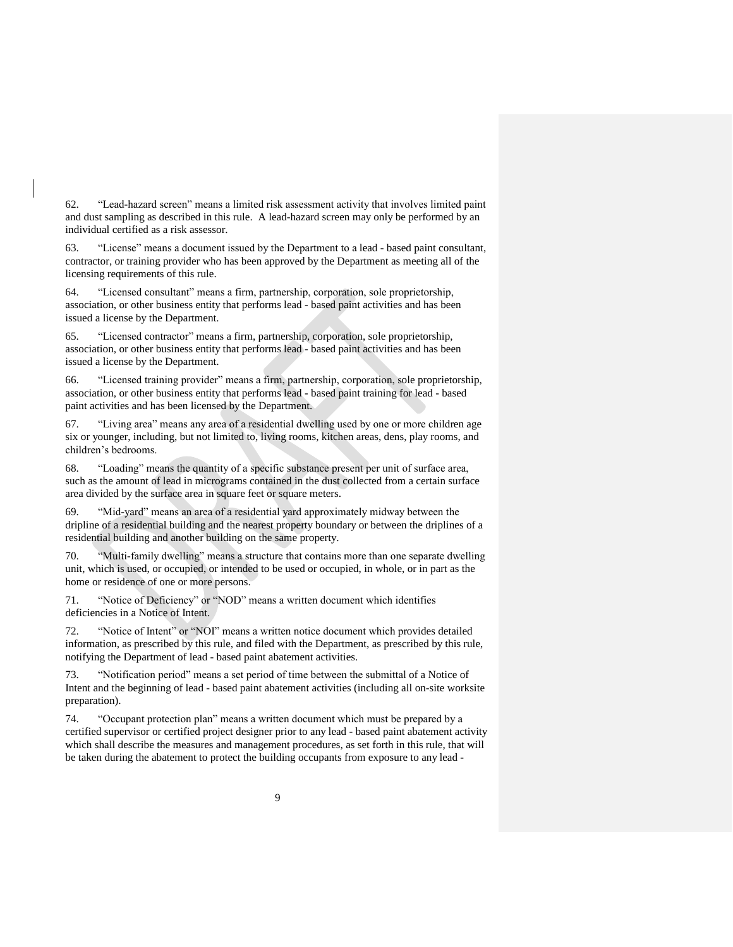62. "Lead-hazard screen" means a limited risk assessment activity that involves limited paint and dust sampling as described in this rule. A lead-hazard screen may only be performed by an individual certified as a risk assessor.

63. "License" means a document issued by the Department to a lead - based paint consultant, contractor, or training provider who has been approved by the Department as meeting all of the licensing requirements of this rule.

64. "Licensed consultant" means a firm, partnership, corporation, sole proprietorship, association, or other business entity that performs lead - based paint activities and has been issued a license by the Department.

65. "Licensed contractor" means a firm, partnership, corporation, sole proprietorship, association, or other business entity that performs lead - based paint activities and has been issued a license by the Department.

66. "Licensed training provider" means a firm, partnership, corporation, sole proprietorship, association, or other business entity that performs lead - based paint training for lead - based paint activities and has been licensed by the Department.

67. "Living area" means any area of a residential dwelling used by one or more children age six or younger, including, but not limited to, living rooms, kitchen areas, dens, play rooms, and children's bedrooms.

68. "Loading" means the quantity of a specific substance present per unit of surface area, such as the amount of lead in micrograms contained in the dust collected from a certain surface area divided by the surface area in square feet or square meters.

69. "Mid-yard" means an area of a residential yard approximately midway between the dripline of a residential building and the nearest property boundary or between the driplines of a residential building and another building on the same property.

70. "Multi-family dwelling" means a structure that contains more than one separate dwelling unit, which is used, or occupied, or intended to be used or occupied, in whole, or in part as the home or residence of one or more persons.

71. "Notice of Deficiency" or "NOD" means a written document which identifies deficiencies in a Notice of Intent.

72. "Notice of Intent" or "NOI" means a written notice document which provides detailed information, as prescribed by this rule, and filed with the Department, as prescribed by this rule, notifying the Department of lead - based paint abatement activities.

73. "Notification period" means a set period of time between the submittal of a Notice of Intent and the beginning of lead - based paint abatement activities (including all on-site worksite preparation).

74. "Occupant protection plan" means a written document which must be prepared by a certified supervisor or certified project designer prior to any lead - based paint abatement activity which shall describe the measures and management procedures, as set forth in this rule, that will be taken during the abatement to protect the building occupants from exposure to any lead -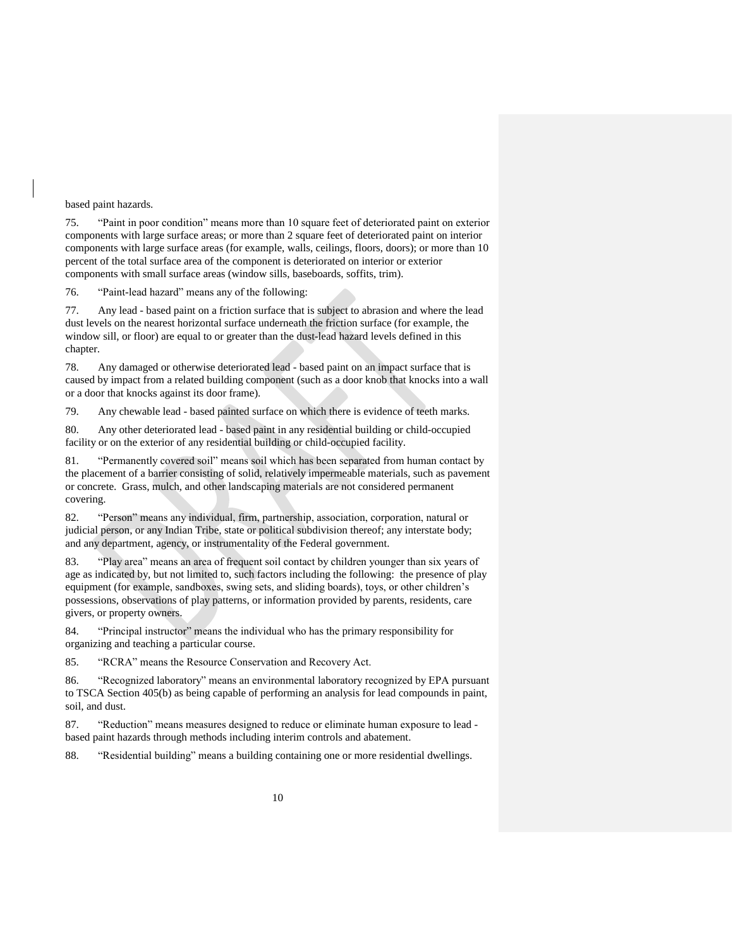### based paint hazards.

75. "Paint in poor condition" means more than 10 square feet of deteriorated paint on exterior components with large surface areas; or more than 2 square feet of deteriorated paint on interior components with large surface areas (for example, walls, ceilings, floors, doors); or more than 10 percent of the total surface area of the component is deteriorated on interior or exterior components with small surface areas (window sills, baseboards, soffits, trim).

76. "Paint-lead hazard" means any of the following:

77. Any lead - based paint on a friction surface that is subject to abrasion and where the lead dust levels on the nearest horizontal surface underneath the friction surface (for example, the window sill, or floor) are equal to or greater than the dust-lead hazard levels defined in this chapter.

78. Any damaged or otherwise deteriorated lead - based paint on an impact surface that is caused by impact from a related building component (such as a door knob that knocks into a wall or a door that knocks against its door frame).

79. Any chewable lead - based painted surface on which there is evidence of teeth marks.

80. Any other deteriorated lead - based paint in any residential building or child-occupied facility or on the exterior of any residential building or child-occupied facility.

81. "Permanently covered soil" means soil which has been separated from human contact by the placement of a barrier consisting of solid, relatively impermeable materials, such as pavement or concrete. Grass, mulch, and other landscaping materials are not considered permanent covering.

82. "Person" means any individual, firm, partnership, association, corporation, natural or judicial person, or any Indian Tribe, state or political subdivision thereof; any interstate body; and any department, agency, or instrumentality of the Federal government.

83. "Play area" means an area of frequent soil contact by children younger than six years of age as indicated by, but not limited to, such factors including the following: the presence of play equipment (for example, sandboxes, swing sets, and sliding boards), toys, or other children's possessions, observations of play patterns, or information provided by parents, residents, care givers, or property owners.

84. "Principal instructor" means the individual who has the primary responsibility for organizing and teaching a particular course.

85. "RCRA" means the Resource Conservation and Recovery Act.

86. "Recognized laboratory" means an environmental laboratory recognized by EPA pursuant to TSCA Section 405(b) as being capable of performing an analysis for lead compounds in paint, soil, and dust.

87. "Reduction" means measures designed to reduce or eliminate human exposure to lead based paint hazards through methods including interim controls and abatement.

88. "Residential building" means a building containing one or more residential dwellings.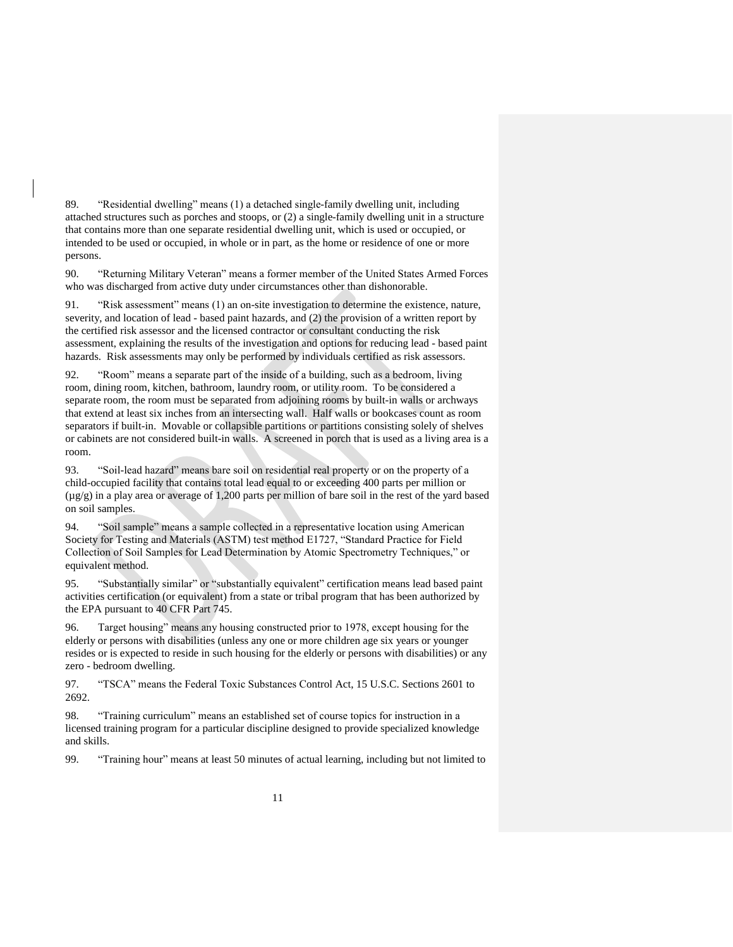89. "Residential dwelling" means (1) a detached single-family dwelling unit, including attached structures such as porches and stoops, or (2) a single-family dwelling unit in a structure that contains more than one separate residential dwelling unit, which is used or occupied, or intended to be used or occupied, in whole or in part, as the home or residence of one or more persons.

90. "Returning Military Veteran" means a former member of the United States Armed Forces who was discharged from active duty under circumstances other than dishonorable.

91. "Risk assessment" means (1) an on-site investigation to determine the existence, nature, severity, and location of lead - based paint hazards, and (2) the provision of a written report by the certified risk assessor and the licensed contractor or consultant conducting the risk assessment, explaining the results of the investigation and options for reducing lead - based paint hazards. Risk assessments may only be performed by individuals certified as risk assessors.

92. "Room" means a separate part of the inside of a building, such as a bedroom, living room, dining room, kitchen, bathroom, laundry room, or utility room. To be considered a separate room, the room must be separated from adjoining rooms by built-in walls or archways that extend at least six inches from an intersecting wall. Half walls or bookcases count as room separators if built-in. Movable or collapsible partitions or partitions consisting solely of shelves or cabinets are not considered built-in walls. A screened in porch that is used as a living area is a room.

93. "Soil-lead hazard" means bare soil on residential real property or on the property of a child-occupied facility that contains total lead equal to or exceeding 400 parts per million or  $(\mu g/g)$  in a play area or average of 1,200 parts per million of bare soil in the rest of the yard based on soil samples.

94. "Soil sample" means a sample collected in a representative location using American Society for Testing and Materials (ASTM) test method E1727, "Standard Practice for Field Collection of Soil Samples for Lead Determination by Atomic Spectrometry Techniques," or equivalent method.

95. "Substantially similar" or "substantially equivalent" certification means lead based paint activities certification (or equivalent) from a state or tribal program that has been authorized by the EPA pursuant to 40 CFR Part 745.

96. Target housing" means any housing constructed prior to 1978, except housing for the elderly or persons with disabilities (unless any one or more children age six years or younger resides or is expected to reside in such housing for the elderly or persons with disabilities) or any zero - bedroom dwelling.

97. "TSCA" means the Federal Toxic Substances Control Act, 15 U.S.C. Sections 2601 to 2692.

98. "Training curriculum" means an established set of course topics for instruction in a licensed training program for a particular discipline designed to provide specialized knowledge and skills.

99. "Training hour" means at least 50 minutes of actual learning, including but not limited to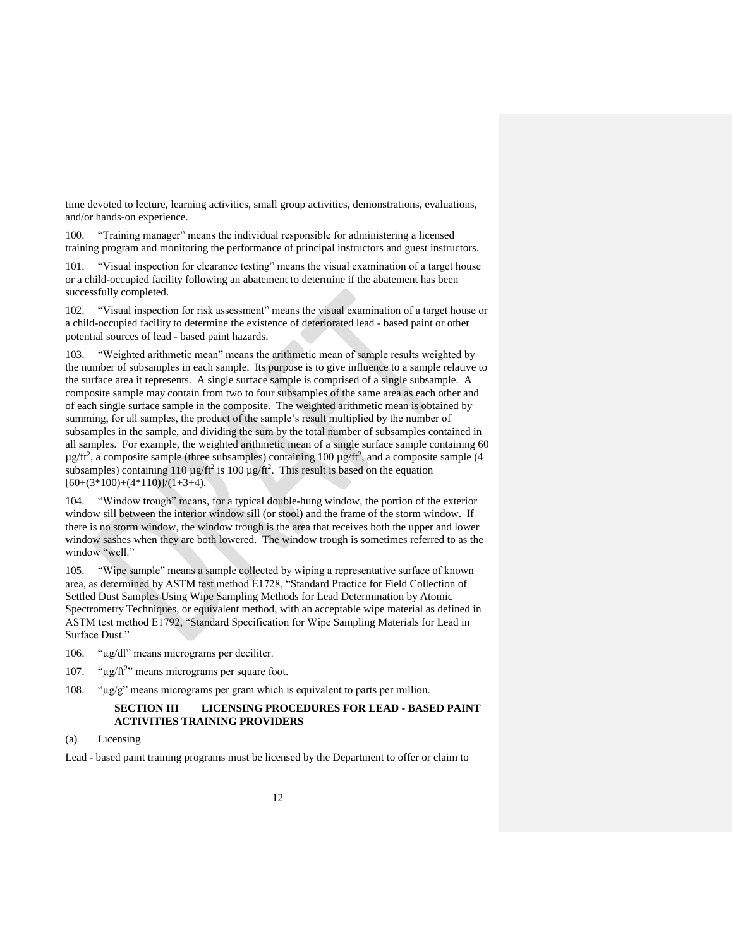time devoted to lecture, learning activities, small group activities, demonstrations, evaluations, and/or hands-on experience.

100. "Training manager" means the individual responsible for administering a licensed training program and monitoring the performance of principal instructors and guest instructors.

101. "Visual inspection for clearance testing" means the visual examination of a target house or a child-occupied facility following an abatement to determine if the abatement has been successfully completed.

102. "Visual inspection for risk assessment" means the visual examination of a target house or a child-occupied facility to determine the existence of deteriorated lead - based paint or other potential sources of lead - based paint hazards.

103. "Weighted arithmetic mean" means the arithmetic mean of sample results weighted by the number of subsamples in each sample. Its purpose is to give influence to a sample relative to the surface area it represents. A single surface sample is comprised of a single subsample. A composite sample may contain from two to four subsamples of the same area as each other and of each single surface sample in the composite. The weighted arithmetic mean is obtained by summing, for all samples, the product of the sample's result multiplied by the number of subsamples in the sample, and dividing the sum by the total number of subsamples contained in all samples. For example, the weighted arithmetic mean of a single surface sample containing 60  $\mu$ g/ft<sup>2</sup>, a composite sample (three subsamples) containing 100  $\mu$ g/ft<sup>2</sup>, and a composite sample (4 subsamples) containing 110  $\mu$ g/ft<sup>2</sup> is 100  $\mu$ g/ft<sup>2</sup>. This result is based on the equation  $[60+(3*100)+(4*110)]/(1+3+4)$ .

104. "Window trough" means, for a typical double-hung window, the portion of the exterior window sill between the interior window sill (or stool) and the frame of the storm window. If there is no storm window, the window trough is the area that receives both the upper and lower window sashes when they are both lowered. The window trough is sometimes referred to as the window "well."

105. "Wipe sample" means a sample collected by wiping a representative surface of known area, as determined by ASTM test method E1728, "Standard Practice for Field Collection of Settled Dust Samples Using Wipe Sampling Methods for Lead Determination by Atomic Spectrometry Techniques, or equivalent method, with an acceptable wipe material as defined in ASTM test method E1792, "Standard Specification for Wipe Sampling Materials for Lead in Surface Dust."

106. "µg/dl" means micrograms per deciliter.

- 107. " $\mu$ g/ft<sup>2</sup>" means micrograms per square foot.
- 108. "µg/g" means micrograms per gram which is equivalent to parts per million.

# <span id="page-15-0"></span>**SECTION III LICENSING PROCEDURES FOR LEAD - BASED PAINT ACTIVITIES TRAINING PROVIDERS**

Lead - based paint training programs must be licensed by the Department to offer or claim to

<span id="page-15-1"></span><sup>(</sup>a) Licensing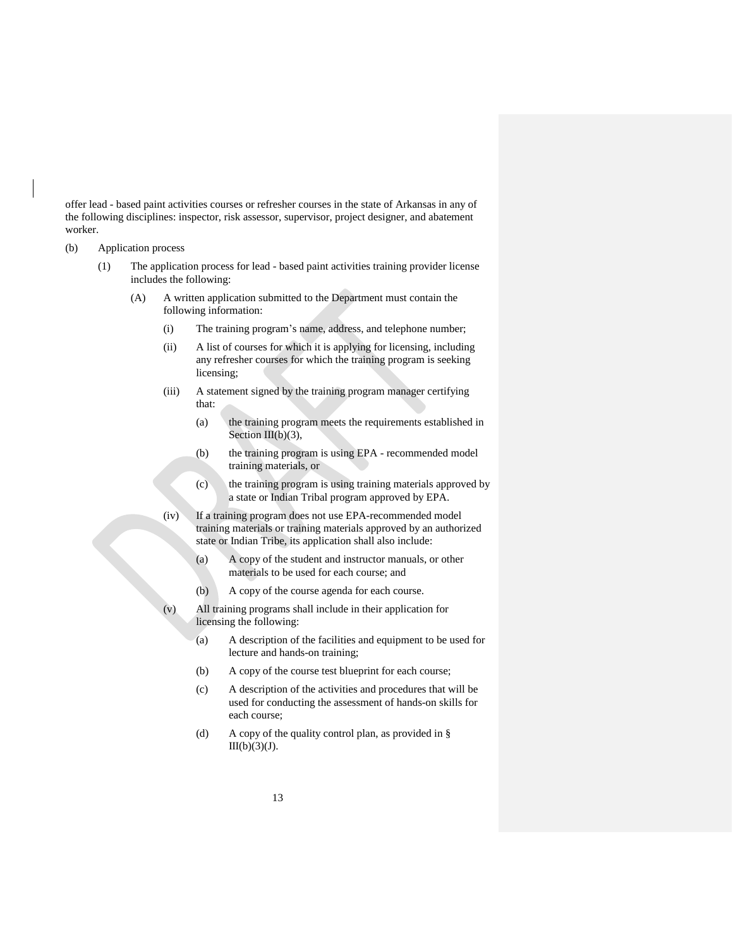offer lead - based paint activities courses or refresher courses in the state of Arkansas in any of the following disciplines: inspector, risk assessor, supervisor, project designer, and abatement worker.

- <span id="page-16-0"></span>(b) Application process
	- (1) The application process for lead based paint activities training provider license includes the following:
		- (A) A written application submitted to the Department must contain the following information:
			- (i) The training program's name, address, and telephone number;
			- (ii) A list of courses for which it is applying for licensing, including any refresher courses for which the training program is seeking licensing;
			- (iii) A statement signed by the training program manager certifying that:
				- (a) the training program meets the requirements established in Section  $III(b)(3)$ ,
				- (b) the training program is using EPA recommended model training materials, or
				- (c) the training program is using training materials approved by a state or Indian Tribal program approved by EPA.
			- (iv) If a training program does not use EPA-recommended model training materials or training materials approved by an authorized state or Indian Tribe, its application shall also include:
				- (a) A copy of the student and instructor manuals, or other materials to be used for each course; and
				- (b) A copy of the course agenda for each course.
			- (v) All training programs shall include in their application for licensing the following:
				- (a) A description of the facilities and equipment to be used for lecture and hands-on training;
				- (b) A copy of the course test blueprint for each course;
				- (c) A description of the activities and procedures that will be used for conducting the assessment of hands-on skills for each course;
				- (d) A copy of the quality control plan, as provided in §  $III(b)(3)(J).$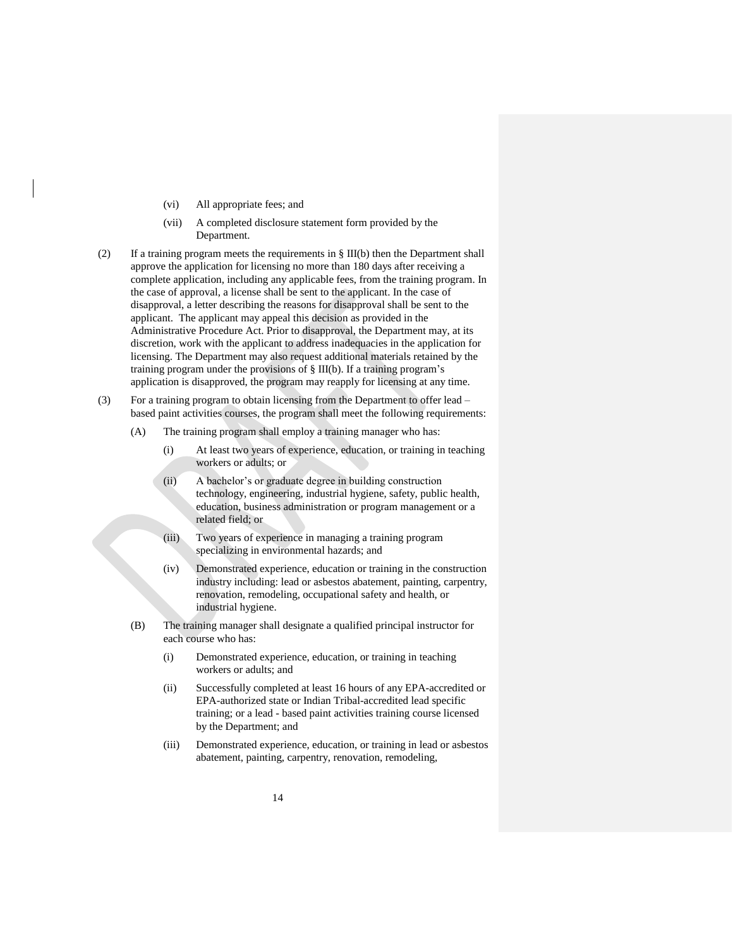- (vi) All appropriate fees; and
- (vii) A completed disclosure statement form provided by the Department.
- (2) If a training program meets the requirements in § III(b) then the Department shall approve the application for licensing no more than 180 days after receiving a complete application, including any applicable fees, from the training program. In the case of approval, a license shall be sent to the applicant. In the case of disapproval, a letter describing the reasons for disapproval shall be sent to the applicant. The applicant may appeal this decision as provided in the Administrative Procedure Act. Prior to disapproval, the Department may, at its discretion, work with the applicant to address inadequacies in the application for licensing. The Department may also request additional materials retained by the training program under the provisions of § III(b). If a training program's application is disapproved, the program may reapply for licensing at any time.
- (3) For a training program to obtain licensing from the Department to offer lead based paint activities courses, the program shall meet the following requirements:
	- (A) The training program shall employ a training manager who has:
		- (i) At least two years of experience, education, or training in teaching workers or adults; or
		- (ii) A bachelor's or graduate degree in building construction technology, engineering, industrial hygiene, safety, public health, education, business administration or program management or a related field; or
		- (iii) Two years of experience in managing a training program specializing in environmental hazards; and
		- (iv) Demonstrated experience, education or training in the construction industry including: lead or asbestos abatement, painting, carpentry, renovation, remodeling, occupational safety and health, or industrial hygiene.
	- (B) The training manager shall designate a qualified principal instructor for each course who has:
		- (i) Demonstrated experience, education, or training in teaching workers or adults; and
		- (ii) Successfully completed at least 16 hours of any EPA-accredited or EPA-authorized state or Indian Tribal-accredited lead specific training; or a lead - based paint activities training course licensed by the Department; and
		- (iii) Demonstrated experience, education, or training in lead or asbestos abatement, painting, carpentry, renovation, remodeling,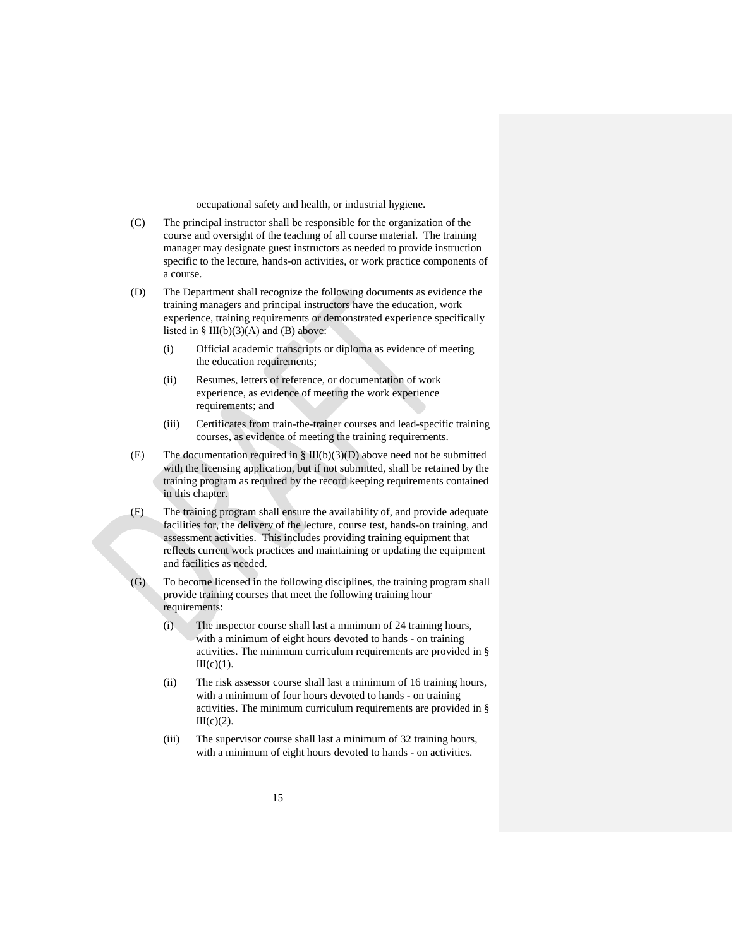occupational safety and health, or industrial hygiene.

- (C) The principal instructor shall be responsible for the organization of the course and oversight of the teaching of all course material. The training manager may designate guest instructors as needed to provide instruction specific to the lecture, hands-on activities, or work practice components of a course.
- (D) The Department shall recognize the following documents as evidence the training managers and principal instructors have the education, work experience, training requirements or demonstrated experience specifically listed in  $\S$  III(b)(3)(A) and (B) above:
	- (i) Official academic transcripts or diploma as evidence of meeting the education requirements;
	- (ii) Resumes, letters of reference, or documentation of work experience, as evidence of meeting the work experience requirements; and
	- (iii) Certificates from train-the-trainer courses and lead-specific training courses, as evidence of meeting the training requirements.
- (E) The documentation required in  $\S$  III(b)(3)(D) above need not be submitted with the licensing application, but if not submitted, shall be retained by the training program as required by the record keeping requirements contained in this chapter.
- (F) The training program shall ensure the availability of, and provide adequate facilities for, the delivery of the lecture, course test, hands-on training, and assessment activities. This includes providing training equipment that reflects current work practices and maintaining or updating the equipment and facilities as needed.
- (G) To become licensed in the following disciplines, the training program shall provide training courses that meet the following training hour requirements:
	- (i) The inspector course shall last a minimum of 24 training hours, with a minimum of eight hours devoted to hands - on training activities. The minimum curriculum requirements are provided in §  $III(c)(1)$ .
	- (ii) The risk assessor course shall last a minimum of 16 training hours, with a minimum of four hours devoted to hands - on training activities. The minimum curriculum requirements are provided in §  $III(c)(2)$ .
	- (iii) The supervisor course shall last a minimum of 32 training hours, with a minimum of eight hours devoted to hands - on activities.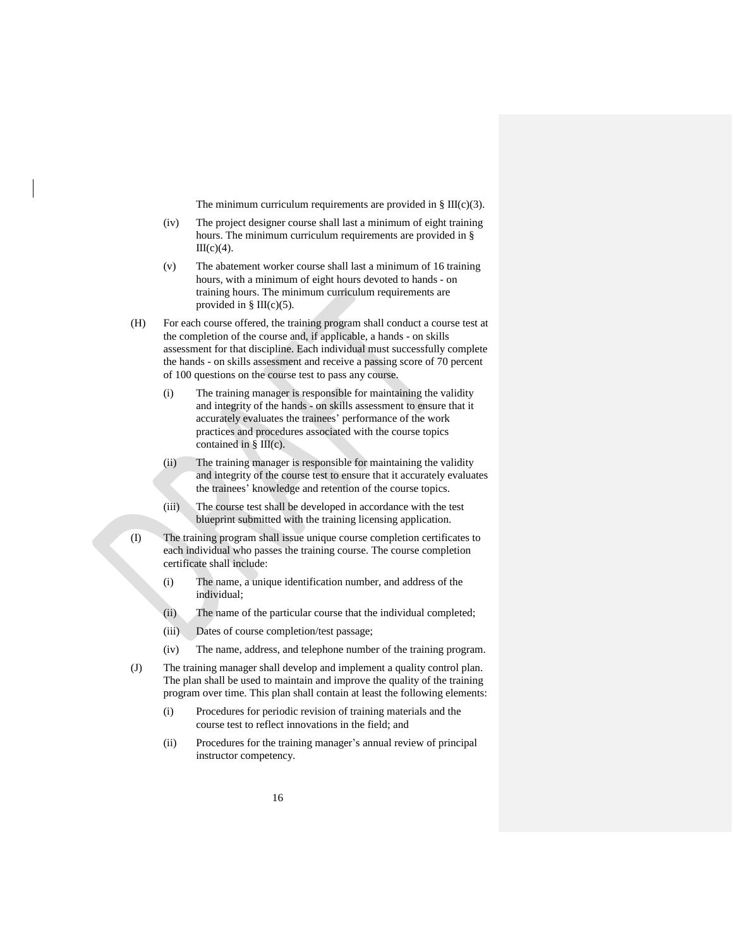The minimum curriculum requirements are provided in  $\S$  III(c)(3).

- (iv) The project designer course shall last a minimum of eight training hours. The minimum curriculum requirements are provided in §  $III(c)(4)$ .
- (v) The abatement worker course shall last a minimum of 16 training hours, with a minimum of eight hours devoted to hands - on training hours. The minimum curriculum requirements are provided in  $\S$  III(c)(5).
- (H) For each course offered, the training program shall conduct a course test at the completion of the course and, if applicable, a hands - on skills assessment for that discipline. Each individual must successfully complete the hands - on skills assessment and receive a passing score of 70 percent of 100 questions on the course test to pass any course.
	- (i) The training manager is responsible for maintaining the validity and integrity of the hands - on skills assessment to ensure that it accurately evaluates the trainees' performance of the work practices and procedures associated with the course topics contained in  $\S$  III(c).
	- (ii) The training manager is responsible for maintaining the validity and integrity of the course test to ensure that it accurately evaluates the trainees' knowledge and retention of the course topics.
	- (iii) The course test shall be developed in accordance with the test blueprint submitted with the training licensing application.
- (I) The training program shall issue unique course completion certificates to each individual who passes the training course. The course completion certificate shall include:
	- (i) The name, a unique identification number, and address of the individual;
	- (ii) The name of the particular course that the individual completed;
	- (iii) Dates of course completion/test passage;
	- (iv) The name, address, and telephone number of the training program.
- (J) The training manager shall develop and implement a quality control plan. The plan shall be used to maintain and improve the quality of the training program over time. This plan shall contain at least the following elements:
	- (i) Procedures for periodic revision of training materials and the course test to reflect innovations in the field; and
	- (ii) Procedures for the training manager's annual review of principal instructor competency.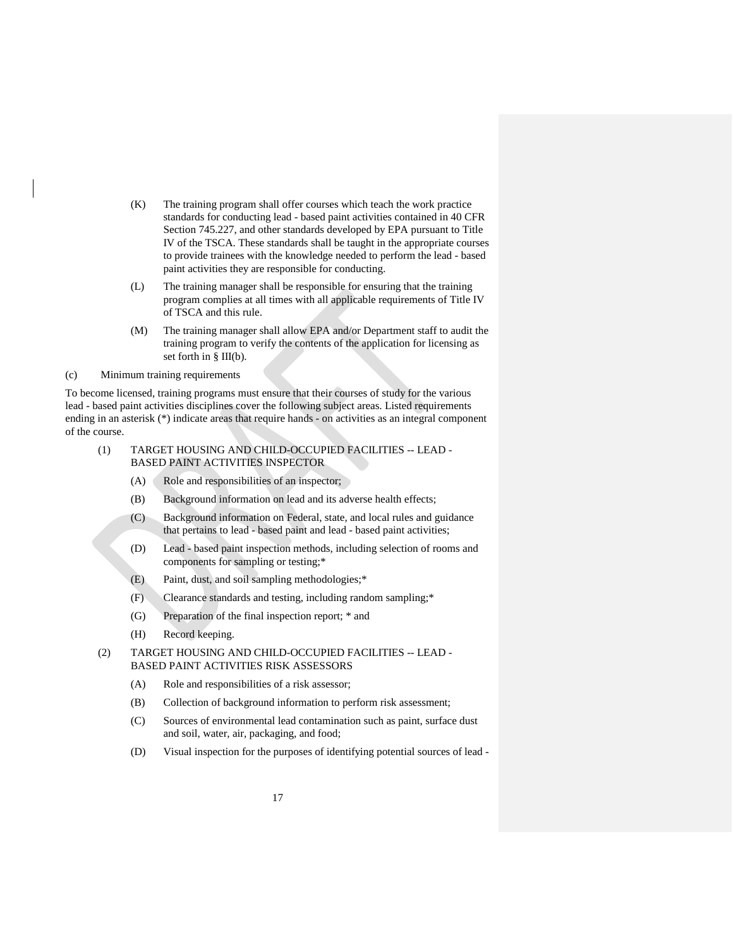- (K) The training program shall offer courses which teach the work practice standards for conducting lead - based paint activities contained in 40 CFR Section 745.227, and other standards developed by EPA pursuant to Title IV of the TSCA. These standards shall be taught in the appropriate courses to provide trainees with the knowledge needed to perform the lead - based paint activities they are responsible for conducting.
- (L) The training manager shall be responsible for ensuring that the training program complies at all times with all applicable requirements of Title IV of TSCA and this rule.
- (M) The training manager shall allow EPA and/or Department staff to audit the training program to verify the contents of the application for licensing as set forth in § III(b).

<span id="page-20-0"></span>(c) Minimum training requirements

To become licensed, training programs must ensure that their courses of study for the various lead - based paint activities disciplines cover the following subject areas. Listed requirements ending in an asterisk (\*) indicate areas that require hands - on activities as an integral component of the course.

- (1) TARGET HOUSING AND CHILD-OCCUPIED FACILITIES -- LEAD BASED PAINT ACTIVITIES INSPECTOR
	- (A) Role and responsibilities of an inspector;
	- (B) Background information on lead and its adverse health effects;
	- (C) Background information on Federal, state, and local rules and guidance that pertains to lead - based paint and lead - based paint activities;
	- (D) Lead based paint inspection methods, including selection of rooms and components for sampling or testing;\*
	- (E) Paint, dust, and soil sampling methodologies;\*
	- (F) Clearance standards and testing, including random sampling;\*
	- (G) Preparation of the final inspection report; \* and
	- (H) Record keeping.
- (2) TARGET HOUSING AND CHILD-OCCUPIED FACILITIES -- LEAD BASED PAINT ACTIVITIES RISK ASSESSORS
	- (A) Role and responsibilities of a risk assessor;
	- (B) Collection of background information to perform risk assessment;
	- (C) Sources of environmental lead contamination such as paint, surface dust and soil, water, air, packaging, and food;
	- (D) Visual inspection for the purposes of identifying potential sources of lead -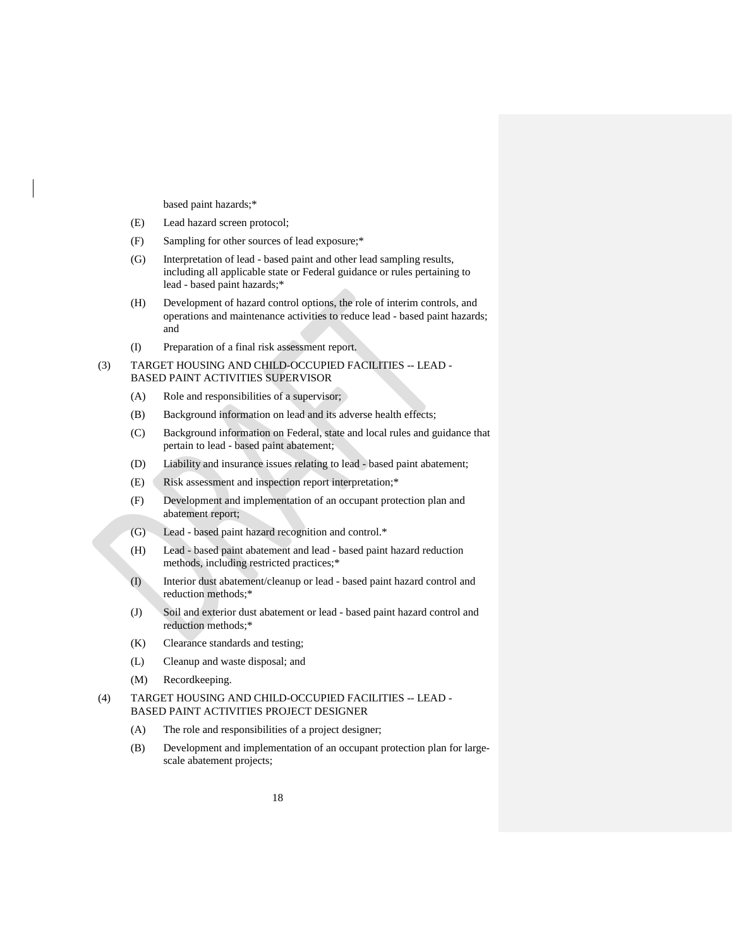based paint hazards;\*

- (E) Lead hazard screen protocol;
- (F) Sampling for other sources of lead exposure;\*
- (G) Interpretation of lead based paint and other lead sampling results, including all applicable state or Federal guidance or rules pertaining to lead - based paint hazards;\*
- (H) Development of hazard control options, the role of interim controls, and operations and maintenance activities to reduce lead - based paint hazards; and
- (I) Preparation of a final risk assessment report.

# (3) TARGET HOUSING AND CHILD-OCCUPIED FACILITIES -- LEAD - BASED PAINT ACTIVITIES SUPERVISOR

- (A) Role and responsibilities of a supervisor;
- (B) Background information on lead and its adverse health effects;
- (C) Background information on Federal, state and local rules and guidance that pertain to lead - based paint abatement;
- (D) Liability and insurance issues relating to lead based paint abatement;
- (E) Risk assessment and inspection report interpretation;\*
- (F) Development and implementation of an occupant protection plan and abatement report;
- (G) Lead based paint hazard recognition and control.\*
- (H) Lead based paint abatement and lead based paint hazard reduction methods, including restricted practices;\*
- (I) Interior dust abatement/cleanup or lead based paint hazard control and reduction methods;\*
- (J) Soil and exterior dust abatement or lead based paint hazard control and reduction methods;\*
- (K) Clearance standards and testing;
- (L) Cleanup and waste disposal; and
- (M) Recordkeeping.
- (4) TARGET HOUSING AND CHILD-OCCUPIED FACILITIES -- LEAD BASED PAINT ACTIVITIES PROJECT DESIGNER
	- (A) The role and responsibilities of a project designer;
	- (B) Development and implementation of an occupant protection plan for largescale abatement projects;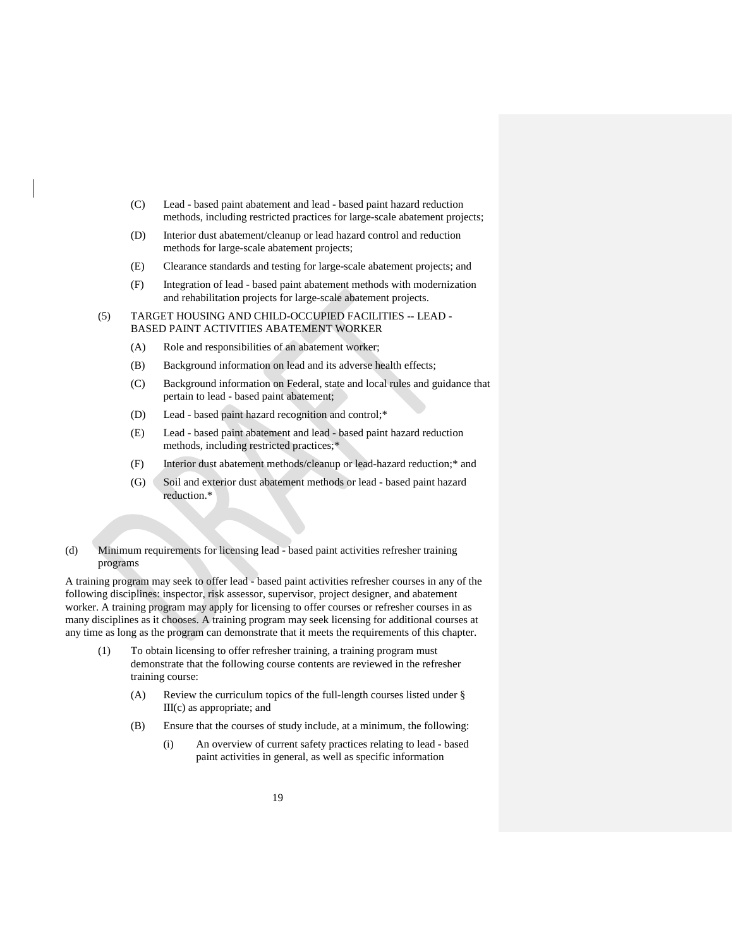- (C) Lead based paint abatement and lead based paint hazard reduction methods, including restricted practices for large-scale abatement projects;
- (D) Interior dust abatement/cleanup or lead hazard control and reduction methods for large-scale abatement projects;
- (E) Clearance standards and testing for large-scale abatement projects; and
- (F) Integration of lead based paint abatement methods with modernization and rehabilitation projects for large-scale abatement projects.
- (5) TARGET HOUSING AND CHILD-OCCUPIED FACILITIES -- LEAD BASED PAINT ACTIVITIES ABATEMENT WORKER
	- (A) Role and responsibilities of an abatement worker;
	- (B) Background information on lead and its adverse health effects;
	- (C) Background information on Federal, state and local rules and guidance that pertain to lead - based paint abatement;
	- (D) Lead based paint hazard recognition and control;\*
	- (E) Lead based paint abatement and lead based paint hazard reduction methods, including restricted practices;\*
	- (F) Interior dust abatement methods/cleanup or lead-hazard reduction;\* and
	- (G) Soil and exterior dust abatement methods or lead based paint hazard reduction.\*
- <span id="page-22-0"></span>(d) Minimum requirements for licensing lead - based paint activities refresher training programs

A training program may seek to offer lead - based paint activities refresher courses in any of the following disciplines: inspector, risk assessor, supervisor, project designer, and abatement worker. A training program may apply for licensing to offer courses or refresher courses in as many disciplines as it chooses. A training program may seek licensing for additional courses at any time as long as the program can demonstrate that it meets the requirements of this chapter.

- (1) To obtain licensing to offer refresher training, a training program must demonstrate that the following course contents are reviewed in the refresher training course:
	- (A) Review the curriculum topics of the full-length courses listed under § III(c) as appropriate; and
	- (B) Ensure that the courses of study include, at a minimum, the following:
		- (i) An overview of current safety practices relating to lead based paint activities in general, as well as specific information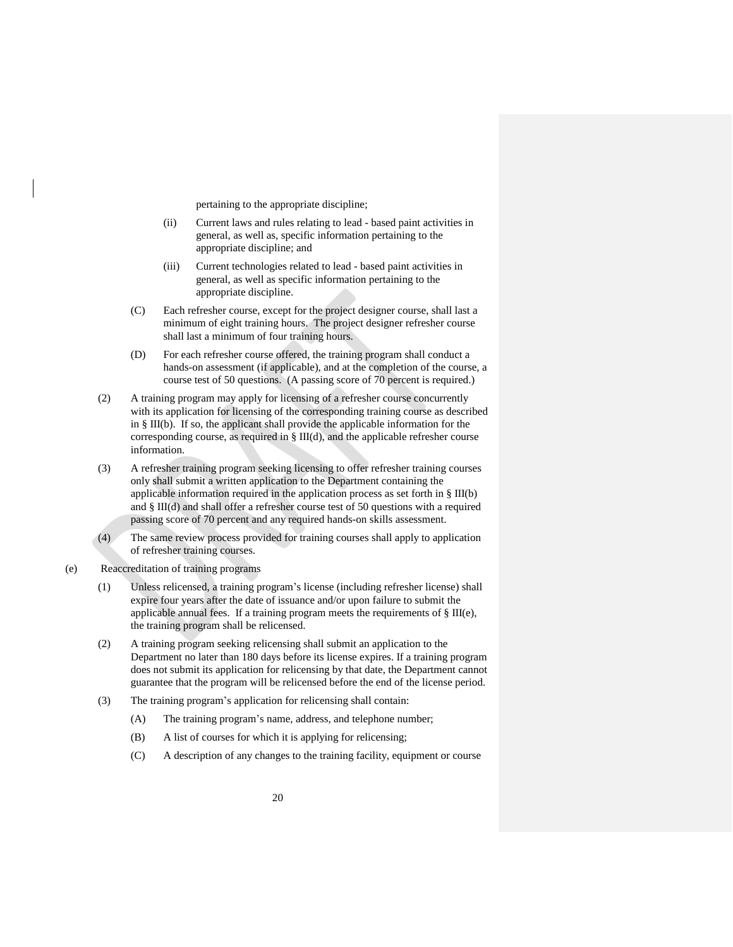pertaining to the appropriate discipline;

- (ii) Current laws and rules relating to lead based paint activities in general, as well as, specific information pertaining to the appropriate discipline; and
- (iii) Current technologies related to lead based paint activities in general, as well as specific information pertaining to the appropriate discipline.
- (C) Each refresher course, except for the project designer course, shall last a minimum of eight training hours. The project designer refresher course shall last a minimum of four training hours.
- (D) For each refresher course offered, the training program shall conduct a hands-on assessment (if applicable), and at the completion of the course, a course test of 50 questions. (A passing score of 70 percent is required.)
- (2) A training program may apply for licensing of a refresher course concurrently with its application for licensing of the corresponding training course as described in § III(b). If so, the applicant shall provide the applicable information for the corresponding course, as required in § III(d), and the applicable refresher course information.
- (3) A refresher training program seeking licensing to offer refresher training courses only shall submit a written application to the Department containing the applicable information required in the application process as set forth in § III(b) and § III(d) and shall offer a refresher course test of 50 questions with a required passing score of 70 percent and any required hands-on skills assessment.
- <span id="page-23-0"></span>(4) The same review process provided for training courses shall apply to application of refresher training courses.
- (e) Reaccreditation of training programs
	- (1) Unless relicensed, a training program's license (including refresher license) shall expire four years after the date of issuance and/or upon failure to submit the applicable annual fees. If a training program meets the requirements of  $\S$  III(e), the training program shall be relicensed.
	- (2) A training program seeking relicensing shall submit an application to the Department no later than 180 days before its license expires. If a training program does not submit its application for relicensing by that date, the Department cannot guarantee that the program will be relicensed before the end of the license period.
	- (3) The training program's application for relicensing shall contain:
		- (A) The training program's name, address, and telephone number;
		- (B) A list of courses for which it is applying for relicensing;
		- (C) A description of any changes to the training facility, equipment or course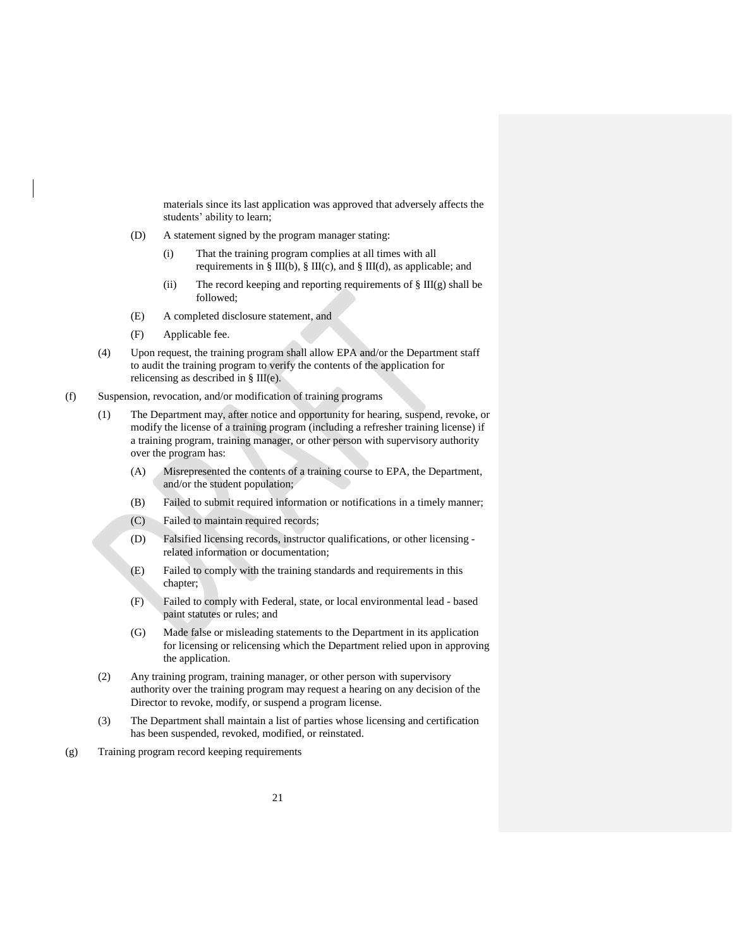materials since its last application was approved that adversely affects the students' ability to learn;

- (D) A statement signed by the program manager stating:
	- (i) That the training program complies at all times with all requirements in § III(b), § III(c), and § III(d), as applicable; and
	- (ii) The record keeping and reporting requirements of  $\S$  III(g) shall be followed;
- (E) A completed disclosure statement, and
- (F) Applicable fee.
- (4) Upon request, the training program shall allow EPA and/or the Department staff to audit the training program to verify the contents of the application for relicensing as described in § III(e).
- <span id="page-24-0"></span>(f) Suspension, revocation, and/or modification of training programs
	- (1) The Department may, after notice and opportunity for hearing, suspend, revoke, or modify the license of a training program (including a refresher training license) if a training program, training manager, or other person with supervisory authority over the program has:
		- (A) Misrepresented the contents of a training course to EPA, the Department, and/or the student population;
		- (B) Failed to submit required information or notifications in a timely manner;
		- (C) Failed to maintain required records;
		- (D) Falsified licensing records, instructor qualifications, or other licensing related information or documentation;
		- (E) Failed to comply with the training standards and requirements in this chapter;
		- (F) Failed to comply with Federal, state, or local environmental lead based paint statutes or rules; and
		- (G) Made false or misleading statements to the Department in its application for licensing or relicensing which the Department relied upon in approving the application.
	- (2) Any training program, training manager, or other person with supervisory authority over the training program may request a hearing on any decision of the Director to revoke, modify, or suspend a program license.
	- (3) The Department shall maintain a list of parties whose licensing and certification has been suspended, revoked, modified, or reinstated.
- <span id="page-24-1"></span>(g) Training program record keeping requirements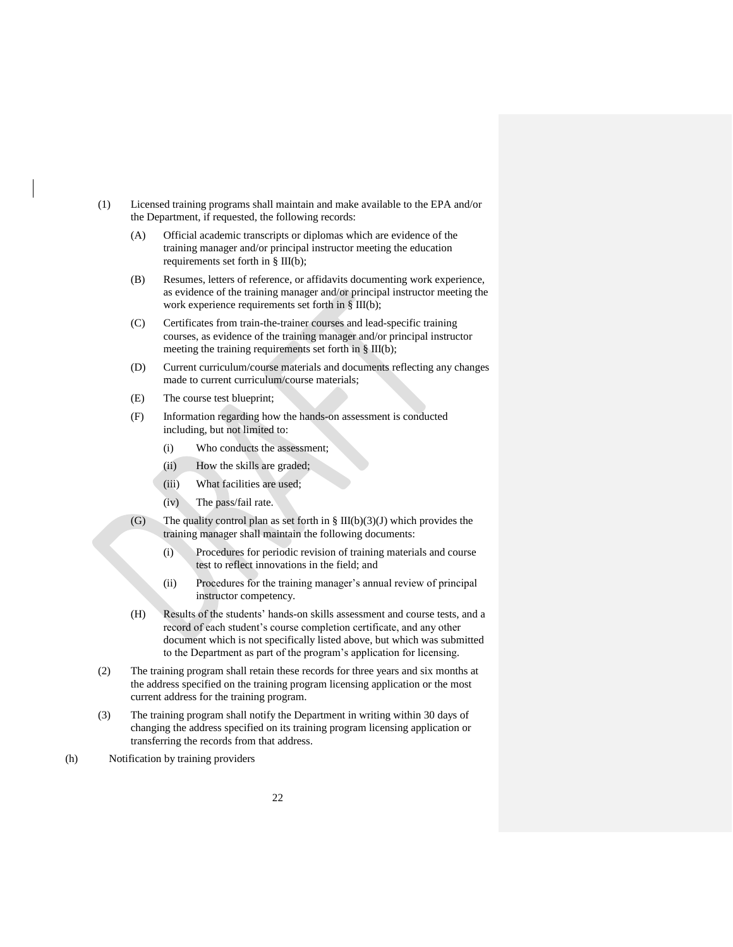- (1) Licensed training programs shall maintain and make available to the EPA and/or the Department, if requested, the following records:
	- (A) Official academic transcripts or diplomas which are evidence of the training manager and/or principal instructor meeting the education requirements set forth in § III(b);
	- (B) Resumes, letters of reference, or affidavits documenting work experience, as evidence of the training manager and/or principal instructor meeting the work experience requirements set forth in § III(b);
	- (C) Certificates from train-the-trainer courses and lead-specific training courses, as evidence of the training manager and/or principal instructor meeting the training requirements set forth in § III(b);
	- (D) Current curriculum/course materials and documents reflecting any changes made to current curriculum/course materials;
	- (E) The course test blueprint;
	- (F) Information regarding how the hands-on assessment is conducted including, but not limited to:
		- (i) Who conducts the assessment;
		- (ii) How the skills are graded;
		- (iii) What facilities are used;
		- (iv) The pass/fail rate.
	- (G) The quality control plan as set forth in § III(b)(3)(J) which provides the training manager shall maintain the following documents:
		- (i) Procedures for periodic revision of training materials and course test to reflect innovations in the field; and
		- (ii) Procedures for the training manager's annual review of principal instructor competency.
	- (H) Results of the students' hands-on skills assessment and course tests, and a record of each student's course completion certificate, and any other document which is not specifically listed above, but which was submitted to the Department as part of the program's application for licensing.
- (2) The training program shall retain these records for three years and six months at the address specified on the training program licensing application or the most current address for the training program.
- (3) The training program shall notify the Department in writing within 30 days of changing the address specified on its training program licensing application or transferring the records from that address.
- <span id="page-25-0"></span>(h) Notification by training providers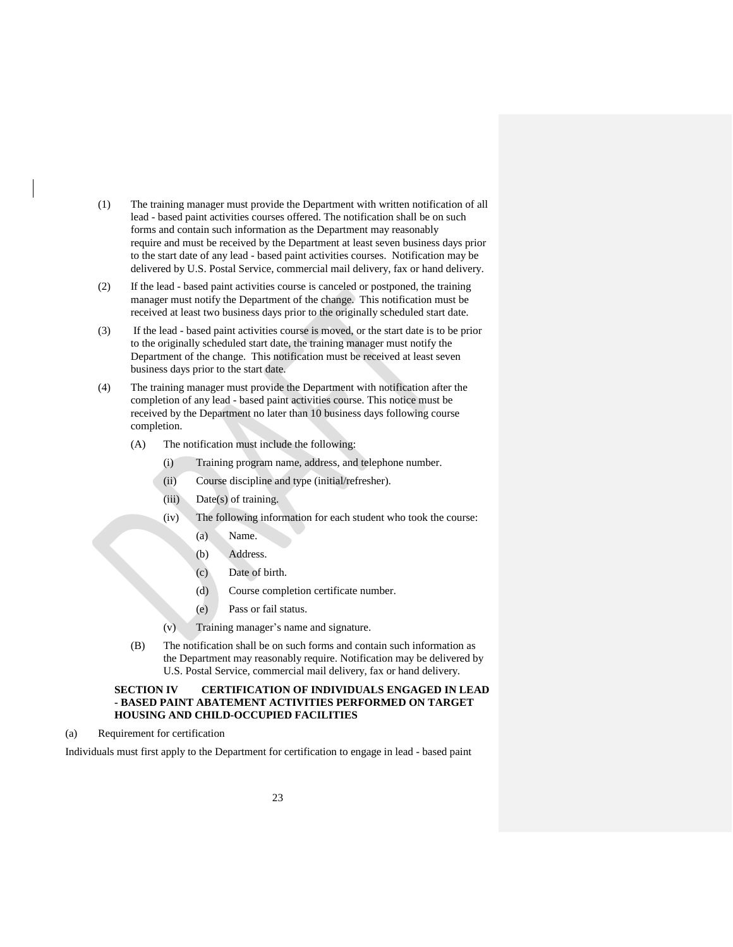- (1) The training manager must provide the Department with written notification of all lead - based paint activities courses offered. The notification shall be on such forms and contain such information as the Department may reasonably require and must be received by the Department at least seven business days prior to the start date of any lead - based paint activities courses. Notification may be delivered by U.S. Postal Service, commercial mail delivery, fax or hand delivery.
- (2) If the lead based paint activities course is canceled or postponed, the training manager must notify the Department of the change. This notification must be received at least two business days prior to the originally scheduled start date.
- (3) If the lead based paint activities course is moved, or the start date is to be prior to the originally scheduled start date, the training manager must notify the Department of the change. This notification must be received at least seven business days prior to the start date.
- (4) The training manager must provide the Department with notification after the completion of any lead - based paint activities course. This notice must be received by the Department no later than 10 business days following course completion.
	- (A) The notification must include the following:
		- (i) Training program name, address, and telephone number.
		- (ii) Course discipline and type (initial/refresher).
		- (iii) Date(s) of training.
		- (iv) The following information for each student who took the course:
			- (a) Name.
			- (b) Address.
			- (c) Date of birth.
			- (d) Course completion certificate number.
			- (e) Pass or fail status.
		- (v) Training manager's name and signature.
	- (B) The notification shall be on such forms and contain such information as the Department may reasonably require. Notification may be delivered by U.S. Postal Service, commercial mail delivery, fax or hand delivery.

# <span id="page-26-0"></span>**SECTION IV CERTIFICATION OF INDIVIDUALS ENGAGED IN LEAD - BASED PAINT ABATEMENT ACTIVITIES PERFORMED ON TARGET HOUSING AND CHILD-OCCUPIED FACILITIES**

<span id="page-26-1"></span>(a) Requirement for certification

Individuals must first apply to the Department for certification to engage in lead - based paint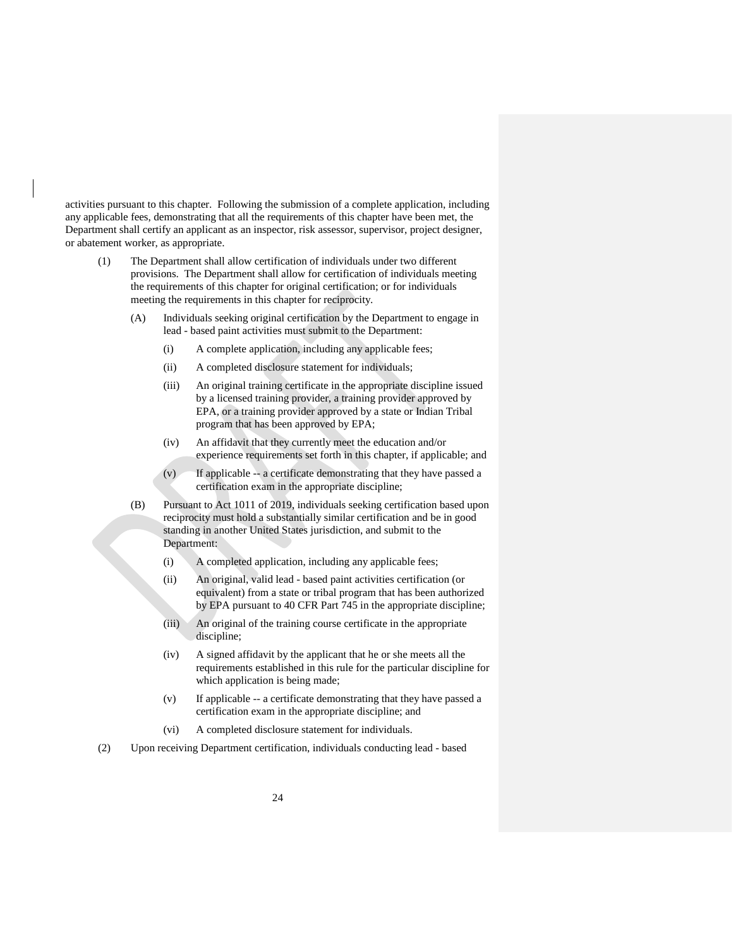activities pursuant to this chapter. Following the submission of a complete application, including any applicable fees, demonstrating that all the requirements of this chapter have been met, the Department shall certify an applicant as an inspector, risk assessor, supervisor, project designer, or abatement worker, as appropriate.

- (1) The Department shall allow certification of individuals under two different provisions. The Department shall allow for certification of individuals meeting the requirements of this chapter for original certification; or for individuals meeting the requirements in this chapter for reciprocity.
	- (A) Individuals seeking original certification by the Department to engage in lead - based paint activities must submit to the Department:
		- (i) A complete application, including any applicable fees;
		- (ii) A completed disclosure statement for individuals;
		- (iii) An original training certificate in the appropriate discipline issued by a licensed training provider, a training provider approved by EPA, or a training provider approved by a state or Indian Tribal program that has been approved by EPA;
		- (iv) An affidavit that they currently meet the education and/or experience requirements set forth in this chapter, if applicable; and
		- (v) If applicable -- a certificate demonstrating that they have passed a certification exam in the appropriate discipline;
	- (B) Pursuant to Act 1011 of 2019, individuals seeking certification based upon reciprocity must hold a substantially similar certification and be in good standing in another United States jurisdiction, and submit to the Department:
		- (i) A completed application, including any applicable fees;
		- (ii) An original, valid lead based paint activities certification (or equivalent) from a state or tribal program that has been authorized by EPA pursuant to 40 CFR Part 745 in the appropriate discipline;
		- (iii) An original of the training course certificate in the appropriate discipline;
		- (iv) A signed affidavit by the applicant that he or she meets all the requirements established in this rule for the particular discipline for which application is being made;
		- (v) If applicable -- a certificate demonstrating that they have passed a certification exam in the appropriate discipline; and
		- (vi) A completed disclosure statement for individuals.
- (2) Upon receiving Department certification, individuals conducting lead based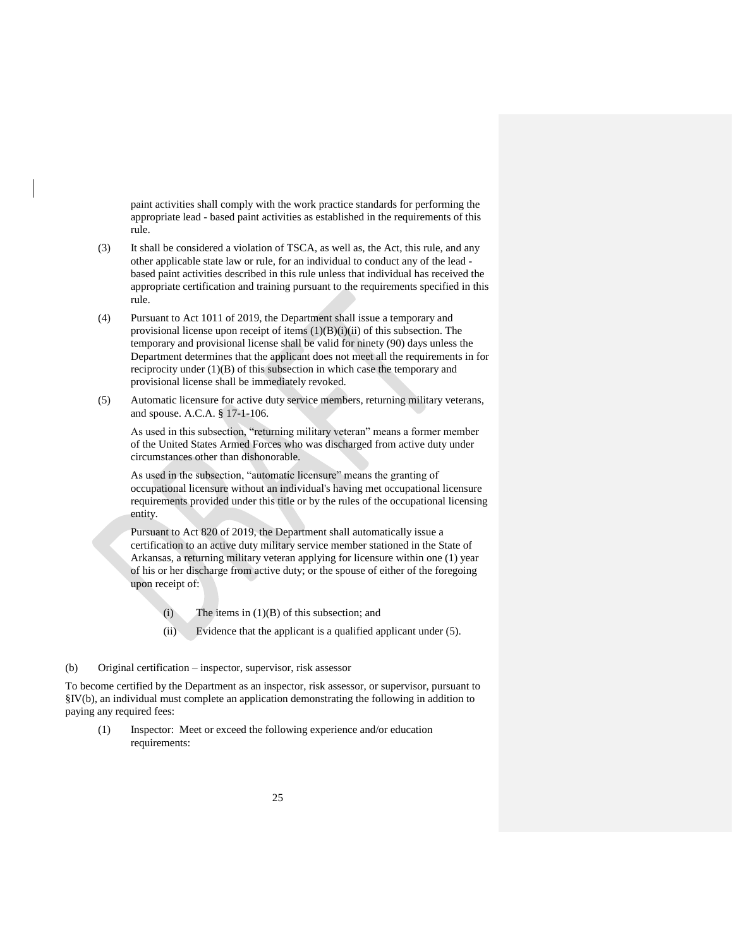paint activities shall comply with the work practice standards for performing the appropriate lead - based paint activities as established in the requirements of this rule.

- (3) It shall be considered a violation of TSCA, as well as, the Act, this rule, and any other applicable state law or rule, for an individual to conduct any of the lead based paint activities described in this rule unless that individual has received the appropriate certification and training pursuant to the requirements specified in this rule.
- (4) Pursuant to Act 1011 of 2019, the Department shall issue a temporary and provisional license upon receipt of items  $(1)(B)(i)(ii)$  of this subsection. The temporary and provisional license shall be valid for ninety (90) days unless the Department determines that the applicant does not meet all the requirements in for reciprocity under (1)(B) of this subsection in which case the temporary and provisional license shall be immediately revoked.
- (5) Automatic licensure for active duty service members, returning military veterans, and spouse. A.C.A. § 17-1-106.

As used in this subsection, "returning military veteran" means a former member of the United States Armed Forces who was discharged from active duty under circumstances other than dishonorable.

As used in the subsection, "automatic licensure" means the granting of occupational licensure without an individual's having met occupational licensure requirements provided under this title or by the rules of the occupational licensing entity.

Pursuant to Act 820 of 2019, the Department shall automatically issue a certification to an active duty military service member stationed in the State of Arkansas, a returning military veteran applying for licensure within one (1) year of his or her discharge from active duty; or the spouse of either of the foregoing upon receipt of:

- (i) The items in  $(1)(B)$  of this subsection; and
- (ii) Evidence that the applicant is a qualified applicant under (5).

### <span id="page-28-0"></span>(b) Original certification – inspector, supervisor, risk assessor

To become certified by the Department as an inspector, risk assessor, or supervisor, pursuant to §IV(b), an individual must complete an application demonstrating the following in addition to paying any required fees:

(1) Inspector: Meet or exceed the following experience and/or education requirements: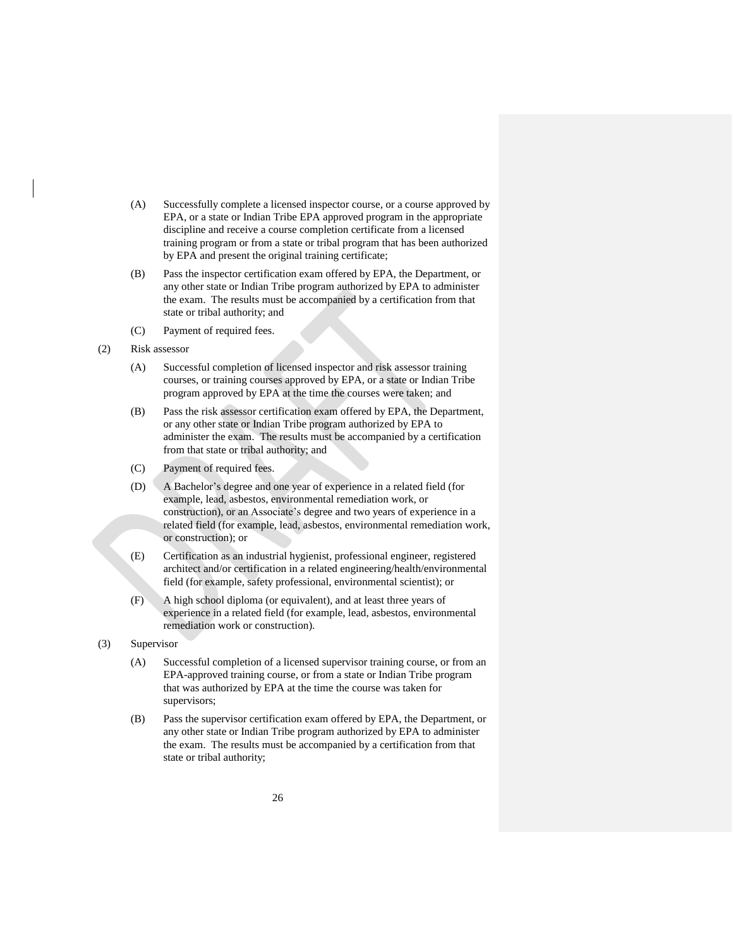- (A) Successfully complete a licensed inspector course, or a course approved by EPA, or a state or Indian Tribe EPA approved program in the appropriate discipline and receive a course completion certificate from a licensed training program or from a state or tribal program that has been authorized by EPA and present the original training certificate;
- (B) Pass the inspector certification exam offered by EPA, the Department, or any other state or Indian Tribe program authorized by EPA to administer the exam. The results must be accompanied by a certification from that state or tribal authority; and
- (C) Payment of required fees.
- (2) Risk assessor
	- (A) Successful completion of licensed inspector and risk assessor training courses, or training courses approved by EPA, or a state or Indian Tribe program approved by EPA at the time the courses were taken; and
	- (B) Pass the risk assessor certification exam offered by EPA, the Department, or any other state or Indian Tribe program authorized by EPA to administer the exam. The results must be accompanied by a certification from that state or tribal authority; and
	- (C) Payment of required fees.
	- (D) A Bachelor's degree and one year of experience in a related field (for example, lead, asbestos, environmental remediation work, or construction), or an Associate's degree and two years of experience in a related field (for example, lead, asbestos, environmental remediation work, or construction); or
	- (E) Certification as an industrial hygienist, professional engineer, registered architect and/or certification in a related engineering/health/environmental field (for example, safety professional, environmental scientist); or
	- (F) A high school diploma (or equivalent), and at least three years of experience in a related field (for example, lead, asbestos, environmental remediation work or construction).
- (3) Supervisor
	- (A) Successful completion of a licensed supervisor training course, or from an EPA-approved training course, or from a state or Indian Tribe program that was authorized by EPA at the time the course was taken for supervisors;
	- (B) Pass the supervisor certification exam offered by EPA, the Department, or any other state or Indian Tribe program authorized by EPA to administer the exam. The results must be accompanied by a certification from that state or tribal authority;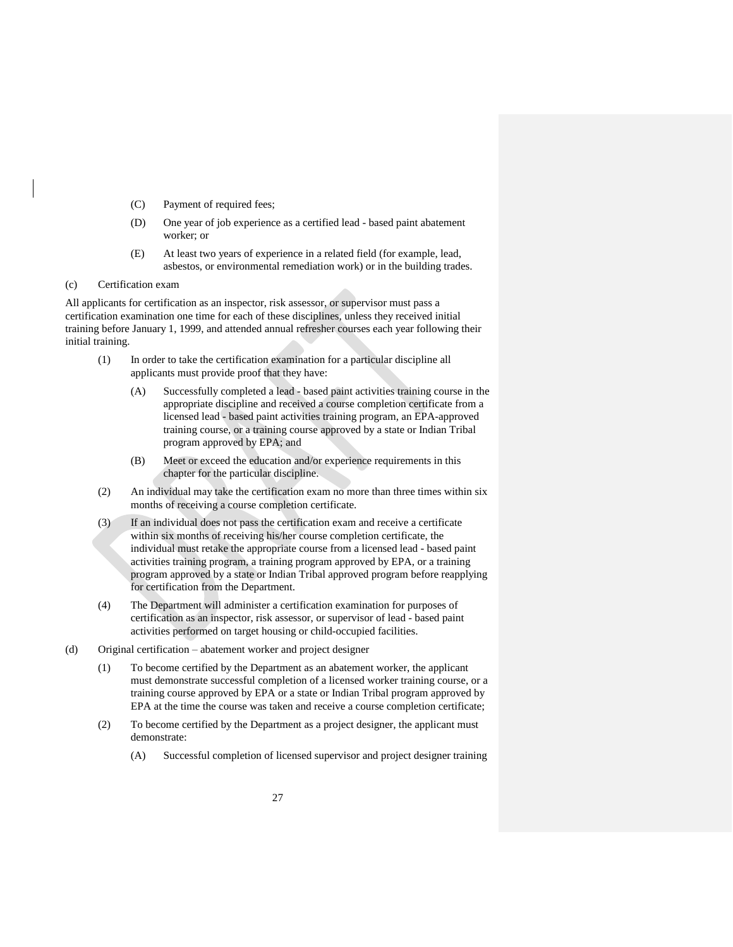- (C) Payment of required fees;
- (D) One year of job experience as a certified lead based paint abatement worker; or
- (E) At least two years of experience in a related field (for example, lead, asbestos, or environmental remediation work) or in the building trades.

## <span id="page-30-0"></span>(c) Certification exam

All applicants for certification as an inspector, risk assessor, or supervisor must pass a certification examination one time for each of these disciplines, unless they received initial training before January 1, 1999, and attended annual refresher courses each year following their initial training.

- (1) In order to take the certification examination for a particular discipline all applicants must provide proof that they have:
	- (A) Successfully completed a lead based paint activities training course in the appropriate discipline and received a course completion certificate from a licensed lead - based paint activities training program, an EPA-approved training course, or a training course approved by a state or Indian Tribal program approved by EPA; and
	- (B) Meet or exceed the education and/or experience requirements in this chapter for the particular discipline.
- (2) An individual may take the certification exam no more than three times within six months of receiving a course completion certificate.
- (3) If an individual does not pass the certification exam and receive a certificate within six months of receiving his/her course completion certificate, the individual must retake the appropriate course from a licensed lead - based paint activities training program, a training program approved by EPA, or a training program approved by a state or Indian Tribal approved program before reapplying for certification from the Department.
- (4) The Department will administer a certification examination for purposes of certification as an inspector, risk assessor, or supervisor of lead - based paint activities performed on target housing or child-occupied facilities.
- <span id="page-30-1"></span>(d) Original certification – abatement worker and project designer
	- (1) To become certified by the Department as an abatement worker, the applicant must demonstrate successful completion of a licensed worker training course, or a training course approved by EPA or a state or Indian Tribal program approved by EPA at the time the course was taken and receive a course completion certificate;
	- (2) To become certified by the Department as a project designer, the applicant must demonstrate:
		- (A) Successful completion of licensed supervisor and project designer training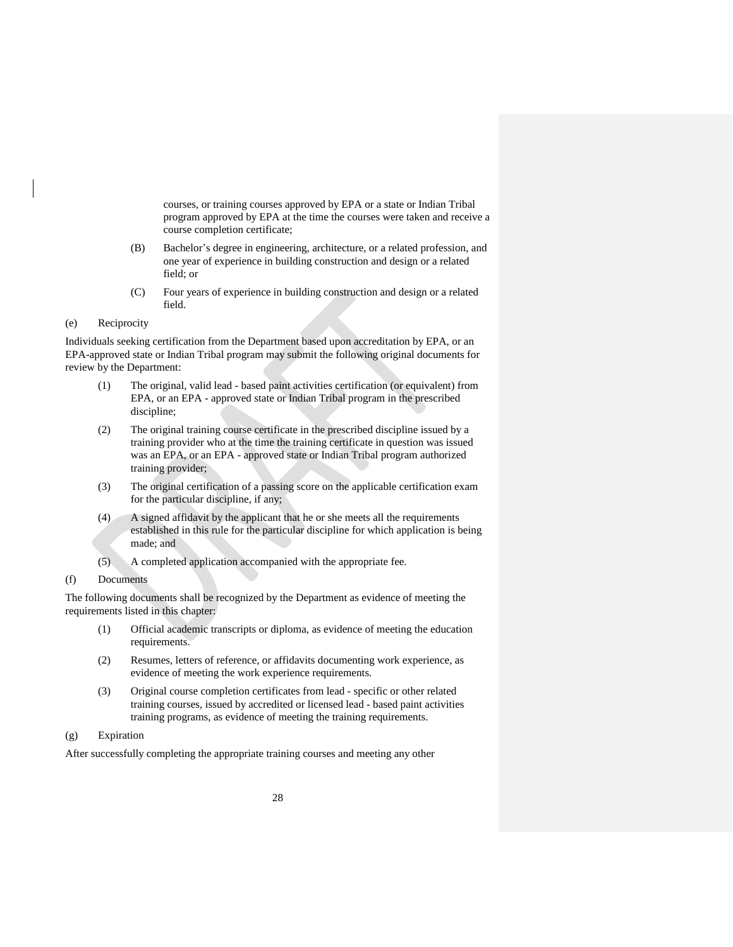courses, or training courses approved by EPA or a state or Indian Tribal program approved by EPA at the time the courses were taken and receive a course completion certificate;

- (B) Bachelor's degree in engineering, architecture, or a related profession, and one year of experience in building construction and design or a related field; or
- (C) Four years of experience in building construction and design or a related field.
- <span id="page-31-0"></span>(e) Reciprocity

Individuals seeking certification from the Department based upon accreditation by EPA, or an EPA-approved state or Indian Tribal program may submit the following original documents for review by the Department:

- (1) The original, valid lead based paint activities certification (or equivalent) from EPA, or an EPA - approved state or Indian Tribal program in the prescribed discipline;
- (2) The original training course certificate in the prescribed discipline issued by a training provider who at the time the training certificate in question was issued was an EPA, or an EPA - approved state or Indian Tribal program authorized training provider;
- (3) The original certification of a passing score on the applicable certification exam for the particular discipline, if any;
- (4) A signed affidavit by the applicant that he or she meets all the requirements established in this rule for the particular discipline for which application is being made; and
- (5) A completed application accompanied with the appropriate fee.
- <span id="page-31-1"></span>(f) Documents

The following documents shall be recognized by the Department as evidence of meeting the requirements listed in this chapter:

- (1) Official academic transcripts or diploma, as evidence of meeting the education requirements.
- (2) Resumes, letters of reference, or affidavits documenting work experience, as evidence of meeting the work experience requirements.
- (3) Original course completion certificates from lead specific or other related training courses, issued by accredited or licensed lead - based paint activities training programs, as evidence of meeting the training requirements.
- <span id="page-31-2"></span>(g) Expiration

After successfully completing the appropriate training courses and meeting any other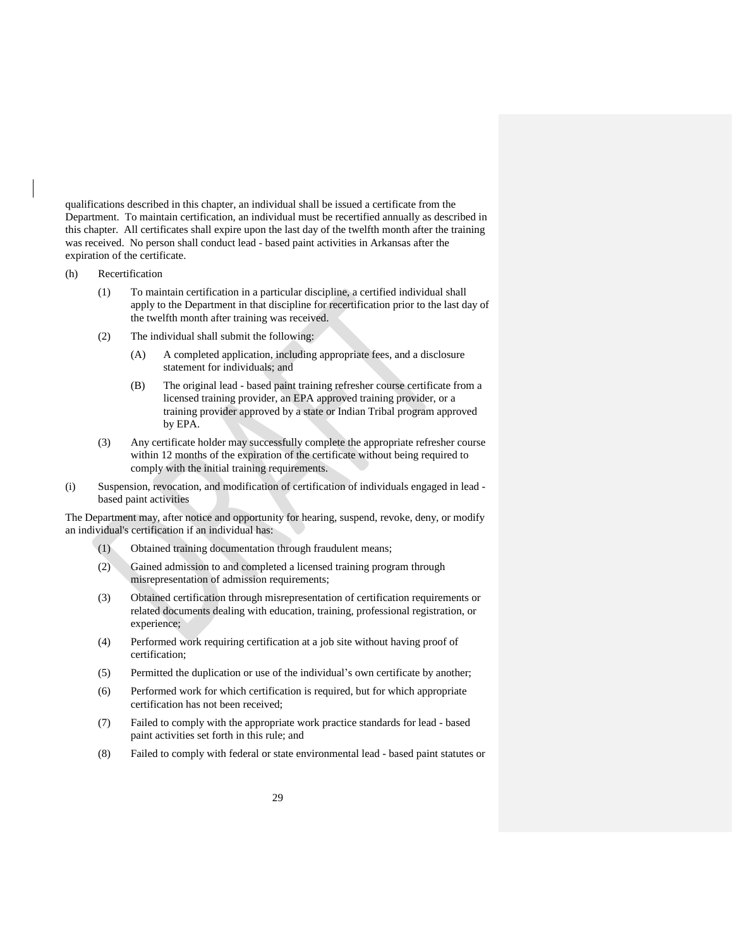qualifications described in this chapter, an individual shall be issued a certificate from the Department. To maintain certification, an individual must be recertified annually as described in this chapter. All certificates shall expire upon the last day of the twelfth month after the training was received. No person shall conduct lead - based paint activities in Arkansas after the expiration of the certificate.

- <span id="page-32-0"></span>(h) Recertification
	- (1) To maintain certification in a particular discipline, a certified individual shall apply to the Department in that discipline for recertification prior to the last day of the twelfth month after training was received.
	- (2) The individual shall submit the following:
		- (A) A completed application, including appropriate fees, and a disclosure statement for individuals; and
		- (B) The original lead based paint training refresher course certificate from a licensed training provider, an EPA approved training provider, or a training provider approved by a state or Indian Tribal program approved by EPA.
	- (3) Any certificate holder may successfully complete the appropriate refresher course within 12 months of the expiration of the certificate without being required to comply with the initial training requirements.
- <span id="page-32-1"></span>(i) Suspension, revocation, and modification of certification of individuals engaged in lead based paint activities

The Department may, after notice and opportunity for hearing, suspend, revoke, deny, or modify an individual's certification if an individual has:

- (1) Obtained training documentation through fraudulent means;
- (2) Gained admission to and completed a licensed training program through misrepresentation of admission requirements;
- (3) Obtained certification through misrepresentation of certification requirements or related documents dealing with education, training, professional registration, or experience;
- (4) Performed work requiring certification at a job site without having proof of certification;
- (5) Permitted the duplication or use of the individual's own certificate by another;
- (6) Performed work for which certification is required, but for which appropriate certification has not been received;
- (7) Failed to comply with the appropriate work practice standards for lead based paint activities set forth in this rule; and
- (8) Failed to comply with federal or state environmental lead based paint statutes or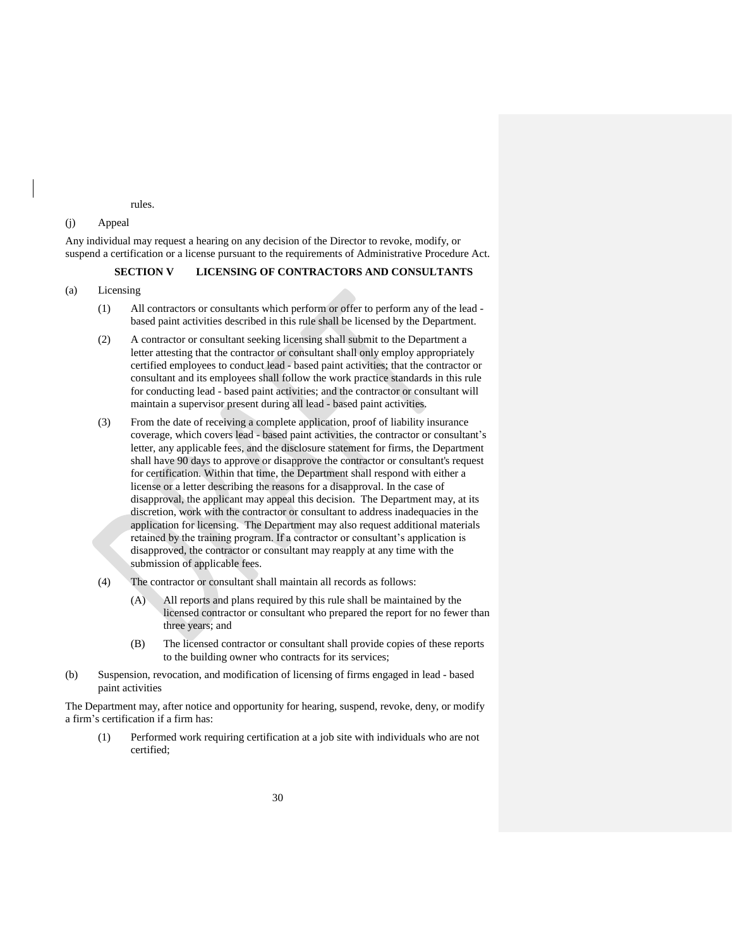rules.

### <span id="page-33-0"></span>(j) Appeal

Any individual may request a hearing on any decision of the Director to revoke, modify, or suspend a certification or a license pursuant to the requirements of Administrative Procedure Act.

# **SECTION V LICENSING OF CONTRACTORS AND CONSULTANTS**

### <span id="page-33-2"></span><span id="page-33-1"></span>(a) Licensing

- (1) All contractors or consultants which perform or offer to perform any of the lead based paint activities described in this rule shall be licensed by the Department.
- (2) A contractor or consultant seeking licensing shall submit to the Department a letter attesting that the contractor or consultant shall only employ appropriately certified employees to conduct lead - based paint activities; that the contractor or consultant and its employees shall follow the work practice standards in this rule for conducting lead - based paint activities; and the contractor or consultant will maintain a supervisor present during all lead - based paint activities.
- (3) From the date of receiving a complete application, proof of liability insurance coverage, which covers lead - based paint activities, the contractor or consultant's letter, any applicable fees, and the disclosure statement for firms, the Department shall have 90 days to approve or disapprove the contractor or consultant's request for certification. Within that time, the Department shall respond with either a license or a letter describing the reasons for a disapproval. In the case of disapproval, the applicant may appeal this decision. The Department may, at its discretion, work with the contractor or consultant to address inadequacies in the application for licensing. The Department may also request additional materials retained by the training program. If a contractor or consultant's application is disapproved, the contractor or consultant may reapply at any time with the submission of applicable fees.
- (4) The contractor or consultant shall maintain all records as follows:
	- (A) All reports and plans required by this rule shall be maintained by the licensed contractor or consultant who prepared the report for no fewer than three years; and
	- (B) The licensed contractor or consultant shall provide copies of these reports to the building owner who contracts for its services;
- <span id="page-33-3"></span>(b) Suspension, revocation, and modification of licensing of firms engaged in lead - based paint activities

The Department may, after notice and opportunity for hearing, suspend, revoke, deny, or modify a firm's certification if a firm has:

(1) Performed work requiring certification at a job site with individuals who are not certified;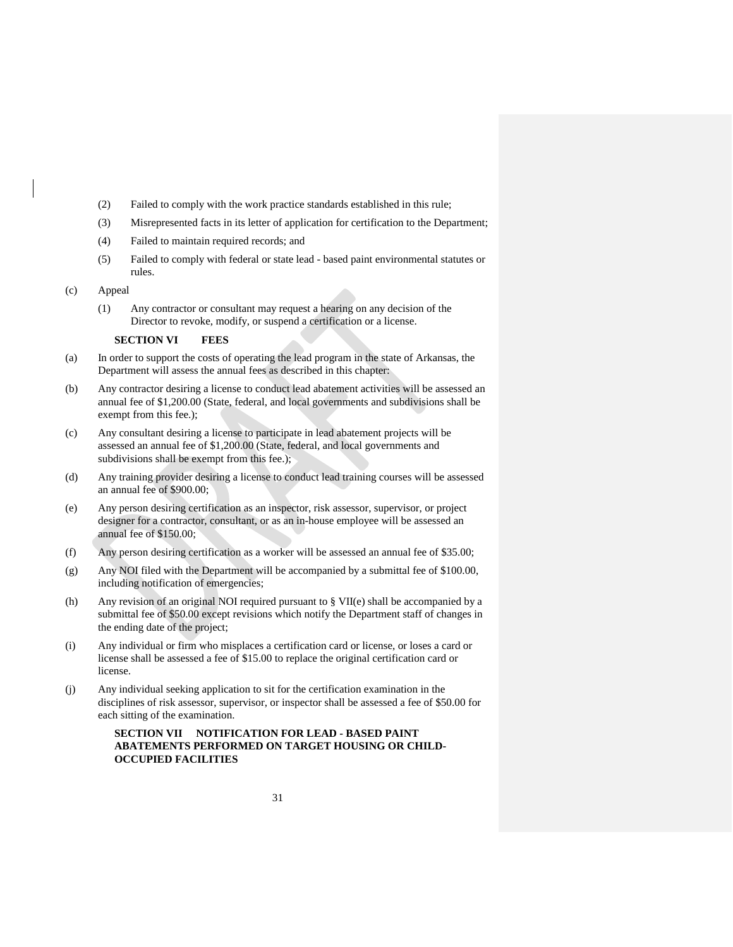- (2) Failed to comply with the work practice standards established in this rule;
- (3) Misrepresented facts in its letter of application for certification to the Department;
- (4) Failed to maintain required records; and
- (5) Failed to comply with federal or state lead based paint environmental statutes or rules.
- <span id="page-34-0"></span>(c) Appeal
	- (1) Any contractor or consultant may request a hearing on any decision of the Director to revoke, modify, or suspend a certification or a license.

### <span id="page-34-1"></span>**SECTION VI FEES**

- (a) In order to support the costs of operating the lead program in the state of Arkansas, the Department will assess the annual fees as described in this chapter:
- (b) Any contractor desiring a license to conduct lead abatement activities will be assessed an annual fee of \$1,200.00 (State, federal, and local governments and subdivisions shall be exempt from this fee.);
- (c) Any consultant desiring a license to participate in lead abatement projects will be assessed an annual fee of \$1,200.00 (State, federal, and local governments and subdivisions shall be exempt from this fee.);
- (d) Any training provider desiring a license to conduct lead training courses will be assessed an annual fee of \$900.00;
- (e) Any person desiring certification as an inspector, risk assessor, supervisor, or project designer for a contractor, consultant, or as an in-house employee will be assessed an annual fee of \$150.00;
- (f) Any person desiring certification as a worker will be assessed an annual fee of \$35.00;
- (g) Any NOI filed with the Department will be accompanied by a submittal fee of \$100.00, including notification of emergencies;
- (h) Any revision of an original NOI required pursuant to § VII(e) shall be accompanied by a submittal fee of \$50.00 except revisions which notify the Department staff of changes in the ending date of the project;
- (i) Any individual or firm who misplaces a certification card or license, or loses a card or license shall be assessed a fee of \$15.00 to replace the original certification card or license.
- <span id="page-34-2"></span>(j) Any individual seeking application to sit for the certification examination in the disciplines of risk assessor, supervisor, or inspector shall be assessed a fee of \$50.00 for each sitting of the examination.

# **SECTION VII NOTIFICATION FOR LEAD - BASED PAINT ABATEMENTS PERFORMED ON TARGET HOUSING OR CHILD-OCCUPIED FACILITIES**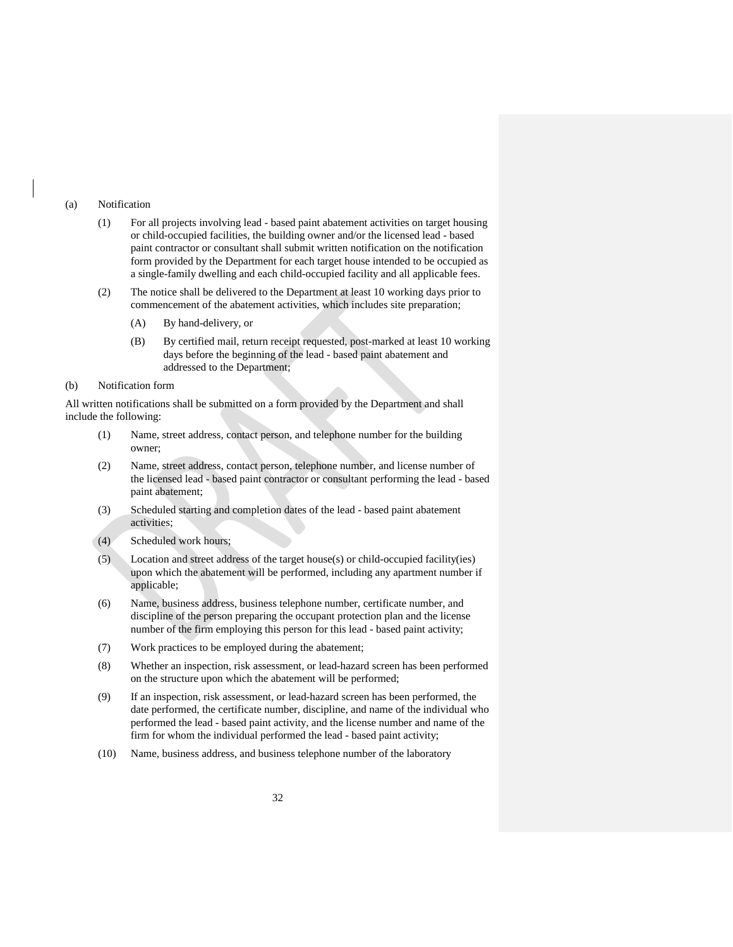### <span id="page-35-0"></span>(a) Notification

- (1) For all projects involving lead based paint abatement activities on target housing or child-occupied facilities, the building owner and/or the licensed lead - based paint contractor or consultant shall submit written notification on the notification form provided by the Department for each target house intended to be occupied as a single-family dwelling and each child-occupied facility and all applicable fees.
- (2) The notice shall be delivered to the Department at least 10 working days prior to commencement of the abatement activities, which includes site preparation;
	- (A) By hand-delivery, or
	- (B) By certified mail, return receipt requested, post-marked at least 10 working days before the beginning of the lead - based paint abatement and addressed to the Department;

### <span id="page-35-1"></span>(b) Notification form

All written notifications shall be submitted on a form provided by the Department and shall include the following:

- (1) Name, street address, contact person, and telephone number for the building owner;
- (2) Name, street address, contact person, telephone number, and license number of the licensed lead - based paint contractor or consultant performing the lead - based paint abatement;
- (3) Scheduled starting and completion dates of the lead based paint abatement activities;
- (4) Scheduled work hours;
- (5) Location and street address of the target house(s) or child-occupied facility(ies) upon which the abatement will be performed, including any apartment number if applicable;
- (6) Name, business address, business telephone number, certificate number, and discipline of the person preparing the occupant protection plan and the license number of the firm employing this person for this lead - based paint activity;
- (7) Work practices to be employed during the abatement;
- (8) Whether an inspection, risk assessment, or lead-hazard screen has been performed on the structure upon which the abatement will be performed;
- (9) If an inspection, risk assessment, or lead-hazard screen has been performed, the date performed, the certificate number, discipline, and name of the individual who performed the lead - based paint activity, and the license number and name of the firm for whom the individual performed the lead - based paint activity;
- (10) Name, business address, and business telephone number of the laboratory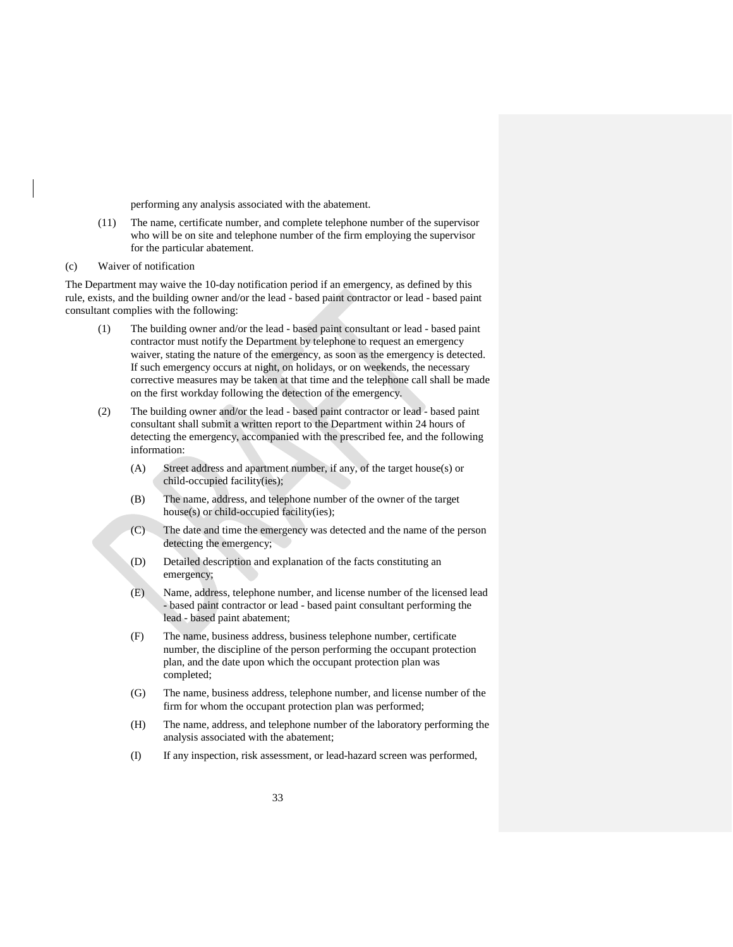performing any analysis associated with the abatement.

- (11) The name, certificate number, and complete telephone number of the supervisor who will be on site and telephone number of the firm employing the supervisor for the particular abatement.
- <span id="page-36-0"></span>(c) Waiver of notification

The Department may waive the 10-day notification period if an emergency, as defined by this rule, exists, and the building owner and/or the lead - based paint contractor or lead - based paint consultant complies with the following:

- (1) The building owner and/or the lead based paint consultant or lead based paint contractor must notify the Department by telephone to request an emergency waiver, stating the nature of the emergency, as soon as the emergency is detected. If such emergency occurs at night, on holidays, or on weekends, the necessary corrective measures may be taken at that time and the telephone call shall be made on the first workday following the detection of the emergency.
- (2) The building owner and/or the lead based paint contractor or lead based paint consultant shall submit a written report to the Department within 24 hours of detecting the emergency, accompanied with the prescribed fee, and the following information:
	- (A) Street address and apartment number, if any, of the target house(s) or child-occupied facility(ies);
	- (B) The name, address, and telephone number of the owner of the target house(s) or child-occupied facility(ies);
	- (C) The date and time the emergency was detected and the name of the person detecting the emergency;
	- (D) Detailed description and explanation of the facts constituting an emergency;
	- (E) Name, address, telephone number, and license number of the licensed lead - based paint contractor or lead - based paint consultant performing the lead - based paint abatement;
	- (F) The name, business address, business telephone number, certificate number, the discipline of the person performing the occupant protection plan, and the date upon which the occupant protection plan was completed;
	- (G) The name, business address, telephone number, and license number of the firm for whom the occupant protection plan was performed;
	- (H) The name, address, and telephone number of the laboratory performing the analysis associated with the abatement;
	- (I) If any inspection, risk assessment, or lead-hazard screen was performed,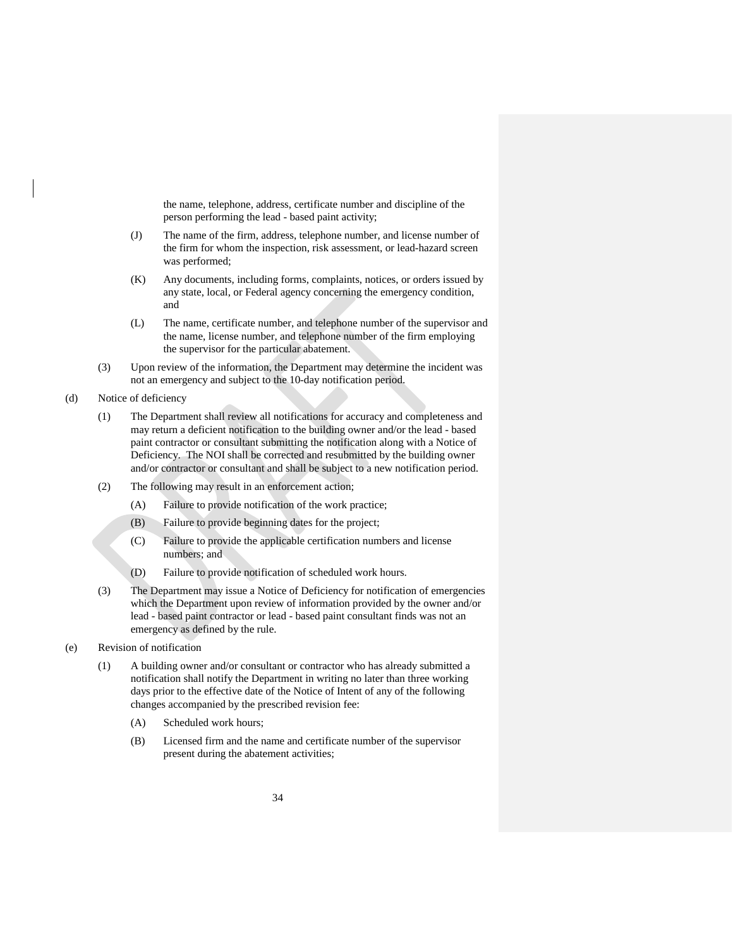the name, telephone, address, certificate number and discipline of the person performing the lead - based paint activity;

- (J) The name of the firm, address, telephone number, and license number of the firm for whom the inspection, risk assessment, or lead-hazard screen was performed;
- (K) Any documents, including forms, complaints, notices, or orders issued by any state, local, or Federal agency concerning the emergency condition, and
- (L) The name, certificate number, and telephone number of the supervisor and the name, license number, and telephone number of the firm employing the supervisor for the particular abatement.
- (3) Upon review of the information, the Department may determine the incident was not an emergency and subject to the 10-day notification period.
- <span id="page-37-0"></span>(d) Notice of deficiency
	- (1) The Department shall review all notifications for accuracy and completeness and may return a deficient notification to the building owner and/or the lead - based paint contractor or consultant submitting the notification along with a Notice of Deficiency. The NOI shall be corrected and resubmitted by the building owner and/or contractor or consultant and shall be subject to a new notification period.
	- (2) The following may result in an enforcement action;
		- (A) Failure to provide notification of the work practice;
		- (B) Failure to provide beginning dates for the project;
		- (C) Failure to provide the applicable certification numbers and license numbers; and
		- (D) Failure to provide notification of scheduled work hours.
	- (3) The Department may issue a Notice of Deficiency for notification of emergencies which the Department upon review of information provided by the owner and/or lead - based paint contractor or lead - based paint consultant finds was not an emergency as defined by the rule.
- <span id="page-37-1"></span>(e) Revision of notification
	- (1) A building owner and/or consultant or contractor who has already submitted a notification shall notify the Department in writing no later than three working days prior to the effective date of the Notice of Intent of any of the following changes accompanied by the prescribed revision fee:
		- (A) Scheduled work hours;
		- (B) Licensed firm and the name and certificate number of the supervisor present during the abatement activities;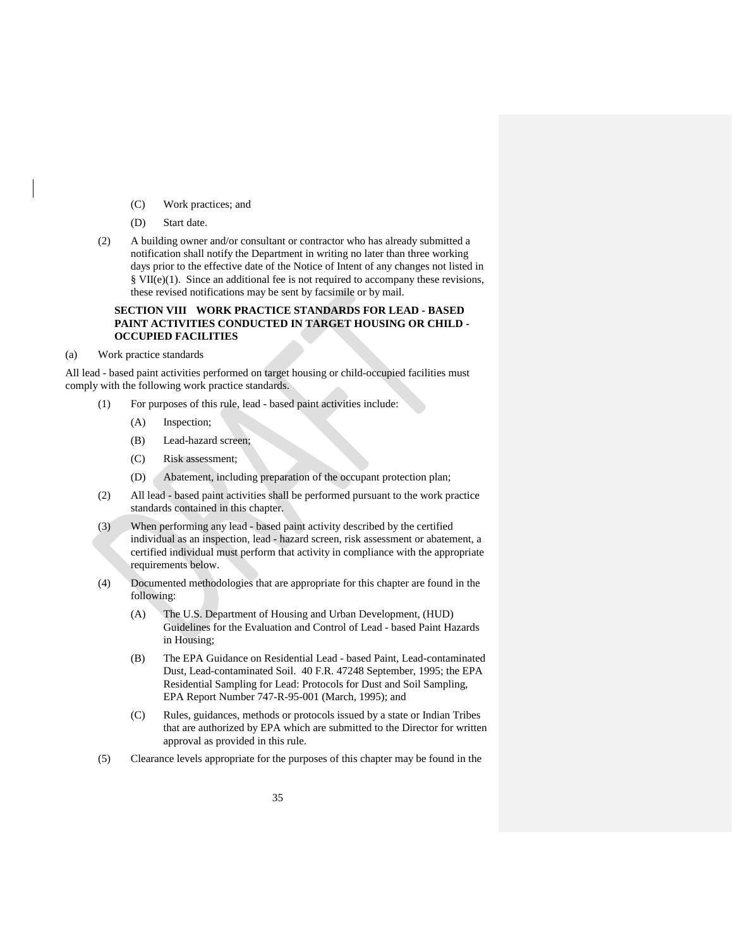- (C) Work practices; and
- (D) Start date.
- (2) A building owner and/or consultant or contractor who has already submitted a notification shall notify the Department in writing no later than three working days prior to the effective date of the Notice of Intent of any changes not listed in § VII(e)(1). Since an additional fee is not required to accompany these revisions, these revised notifications may be sent by facsimile or by mail.

# **SECTION VIII WORK PRACTICE STANDARDS FOR LEAD - BASED PAINT ACTIVITIES CONDUCTED IN TARGET HOUSING OR CHILD - OCCUPIED FACILITIES**

<span id="page-38-1"></span><span id="page-38-0"></span>(a) Work practice standards

All lead - based paint activities performed on target housing or child-occupied facilities must comply with the following work practice standards.

- (1) For purposes of this rule, lead based paint activities include:
	- (A) Inspection;
	- (B) Lead-hazard screen;
	- (C) Risk assessment;
	- (D) Abatement, including preparation of the occupant protection plan;
- (2) All lead based paint activities shall be performed pursuant to the work practice standards contained in this chapter.
- (3) When performing any lead based paint activity described by the certified individual as an inspection, lead - hazard screen, risk assessment or abatement, a certified individual must perform that activity in compliance with the appropriate requirements below.
- (4) Documented methodologies that are appropriate for this chapter are found in the following:
	- (A) The U.S. Department of Housing and Urban Development, (HUD) Guidelines for the Evaluation and Control of Lead - based Paint Hazards in Housing;
	- (B) The EPA Guidance on Residential Lead based Paint, Lead-contaminated Dust, Lead-contaminated Soil. 40 F.R. 47248 September, 1995; the EPA Residential Sampling for Lead: Protocols for Dust and Soil Sampling, EPA Report Number 747-R-95-001 (March, 1995); and
	- (C) Rules, guidances, methods or protocols issued by a state or Indian Tribes that are authorized by EPA which are submitted to the Director for written approval as provided in this rule.
- (5) Clearance levels appropriate for the purposes of this chapter may be found in the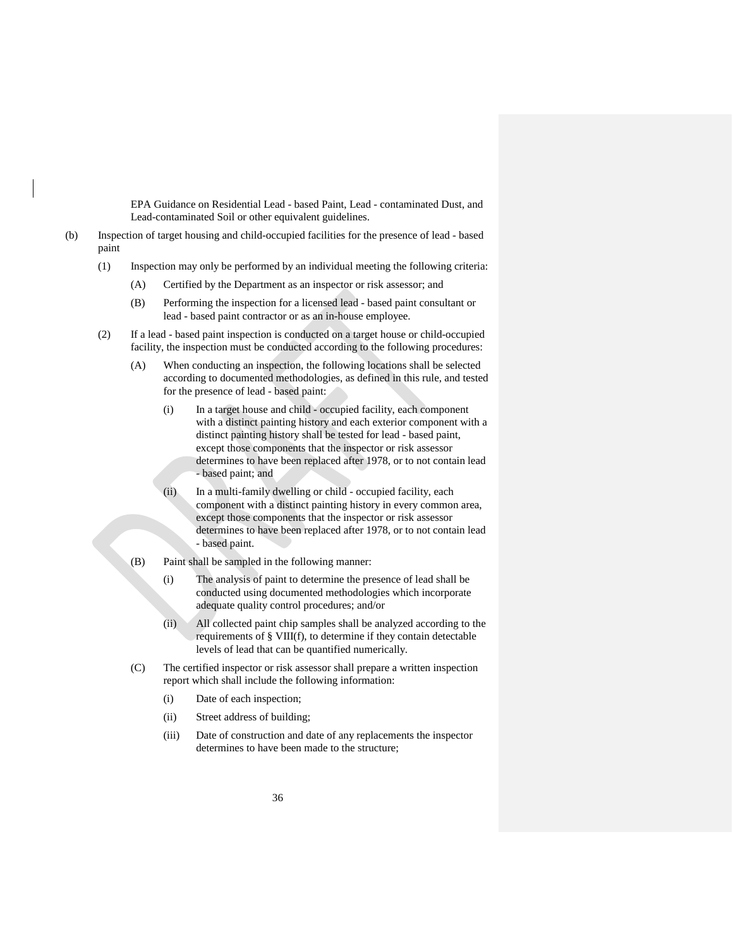EPA Guidance on Residential Lead - based Paint, Lead - contaminated Dust, and Lead-contaminated Soil or other equivalent guidelines.

- <span id="page-39-0"></span>(b) Inspection of target housing and child-occupied facilities for the presence of lead - based paint
	- (1) Inspection may only be performed by an individual meeting the following criteria:
		- (A) Certified by the Department as an inspector or risk assessor; and
		- (B) Performing the inspection for a licensed lead based paint consultant or lead - based paint contractor or as an in-house employee.
	- (2) If a lead based paint inspection is conducted on a target house or child-occupied facility, the inspection must be conducted according to the following procedures:
		- (A) When conducting an inspection, the following locations shall be selected according to documented methodologies, as defined in this rule, and tested for the presence of lead - based paint:
			- (i) In a target house and child occupied facility, each component with a distinct painting history and each exterior component with a distinct painting history shall be tested for lead - based paint, except those components that the inspector or risk assessor determines to have been replaced after 1978, or to not contain lead - based paint; and
			- (ii) In a multi-family dwelling or child occupied facility, each component with a distinct painting history in every common area, except those components that the inspector or risk assessor determines to have been replaced after 1978, or to not contain lead - based paint.
		- (B) Paint shall be sampled in the following manner:
			- (i) The analysis of paint to determine the presence of lead shall be conducted using documented methodologies which incorporate adequate quality control procedures; and/or
			- (ii) All collected paint chip samples shall be analyzed according to the requirements of § VIII(f), to determine if they contain detectable levels of lead that can be quantified numerically.
		- (C) The certified inspector or risk assessor shall prepare a written inspection report which shall include the following information:
			- (i) Date of each inspection;
			- (ii) Street address of building;
			- (iii) Date of construction and date of any replacements the inspector determines to have been made to the structure;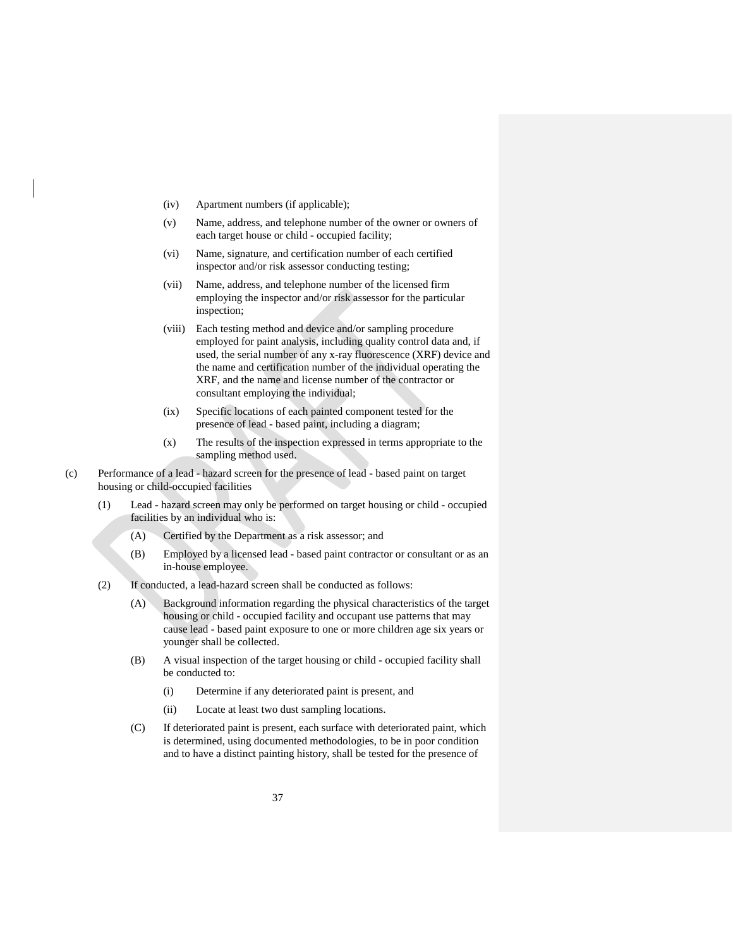- (iv) Apartment numbers (if applicable);
- (v) Name, address, and telephone number of the owner or owners of each target house or child - occupied facility;
- (vi) Name, signature, and certification number of each certified inspector and/or risk assessor conducting testing;
- (vii) Name, address, and telephone number of the licensed firm employing the inspector and/or risk assessor for the particular inspection;
- (viii) Each testing method and device and/or sampling procedure employed for paint analysis, including quality control data and, if used, the serial number of any x-ray fluorescence (XRF) device and the name and certification number of the individual operating the XRF, and the name and license number of the contractor or consultant employing the individual;
- (ix) Specific locations of each painted component tested for the presence of lead - based paint, including a diagram;
- (x) The results of the inspection expressed in terms appropriate to the sampling method used.
- <span id="page-40-0"></span>(c) Performance of a lead - hazard screen for the presence of lead - based paint on target housing or child-occupied facilities
	- (1) Lead hazard screen may only be performed on target housing or child occupied facilities by an individual who is:
		- (A) Certified by the Department as a risk assessor; and
		- (B) Employed by a licensed lead based paint contractor or consultant or as an in-house employee.
	- (2) If conducted, a lead-hazard screen shall be conducted as follows:
		- (A) Background information regarding the physical characteristics of the target housing or child - occupied facility and occupant use patterns that may cause lead - based paint exposure to one or more children age six years or younger shall be collected.
		- (B) A visual inspection of the target housing or child occupied facility shall be conducted to:
			- (i) Determine if any deteriorated paint is present, and
			- (ii) Locate at least two dust sampling locations.
		- (C) If deteriorated paint is present, each surface with deteriorated paint, which is determined, using documented methodologies, to be in poor condition and to have a distinct painting history, shall be tested for the presence of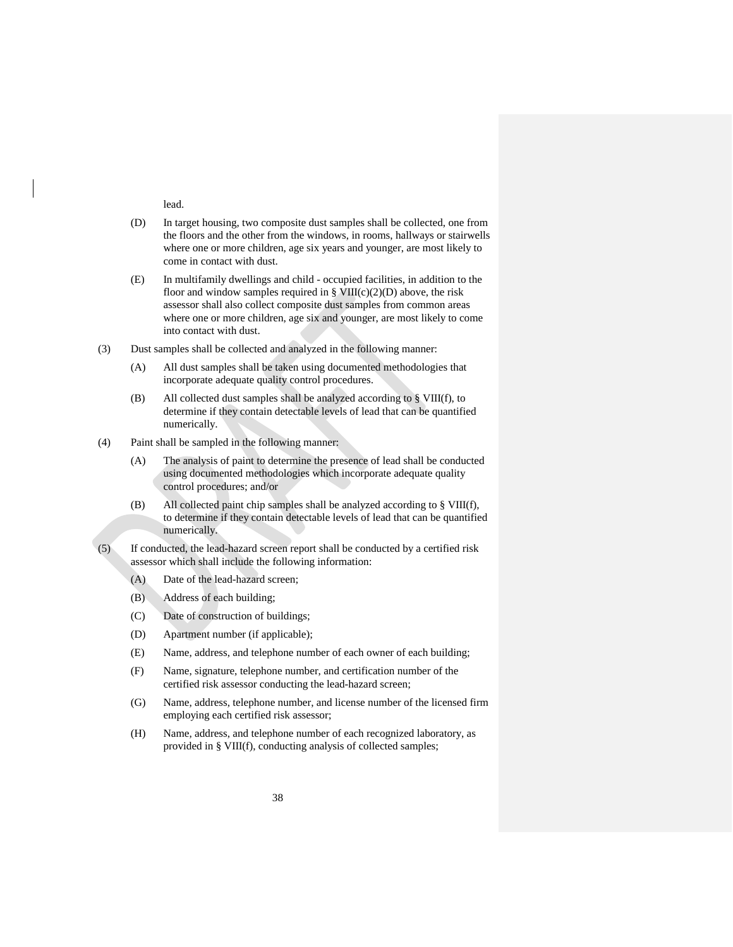lead.

- (D) In target housing, two composite dust samples shall be collected, one from the floors and the other from the windows, in rooms, hallways or stairwells where one or more children, age six years and younger, are most likely to come in contact with dust.
- (E) In multifamily dwellings and child occupied facilities, in addition to the floor and window samples required in §  $VIII(c)(2)(D)$  above, the risk assessor shall also collect composite dust samples from common areas where one or more children, age six and younger, are most likely to come into contact with dust.
- (3) Dust samples shall be collected and analyzed in the following manner:
	- (A) All dust samples shall be taken using documented methodologies that incorporate adequate quality control procedures.
	- (B) All collected dust samples shall be analyzed according to § VIII(f), to determine if they contain detectable levels of lead that can be quantified numerically.
- (4) Paint shall be sampled in the following manner:
	- (A) The analysis of paint to determine the presence of lead shall be conducted using documented methodologies which incorporate adequate quality control procedures; and/or
	- (B) All collected paint chip samples shall be analyzed according to § VIII(f), to determine if they contain detectable levels of lead that can be quantified numerically.
- (5) If conducted, the lead-hazard screen report shall be conducted by a certified risk assessor which shall include the following information:
	- (A) Date of the lead-hazard screen;
	- (B) Address of each building;
	- (C) Date of construction of buildings;
	- (D) Apartment number (if applicable);
	- (E) Name, address, and telephone number of each owner of each building;
	- (F) Name, signature, telephone number, and certification number of the certified risk assessor conducting the lead-hazard screen;
	- (G) Name, address, telephone number, and license number of the licensed firm employing each certified risk assessor;
	- (H) Name, address, and telephone number of each recognized laboratory, as provided in § VIII(f), conducting analysis of collected samples;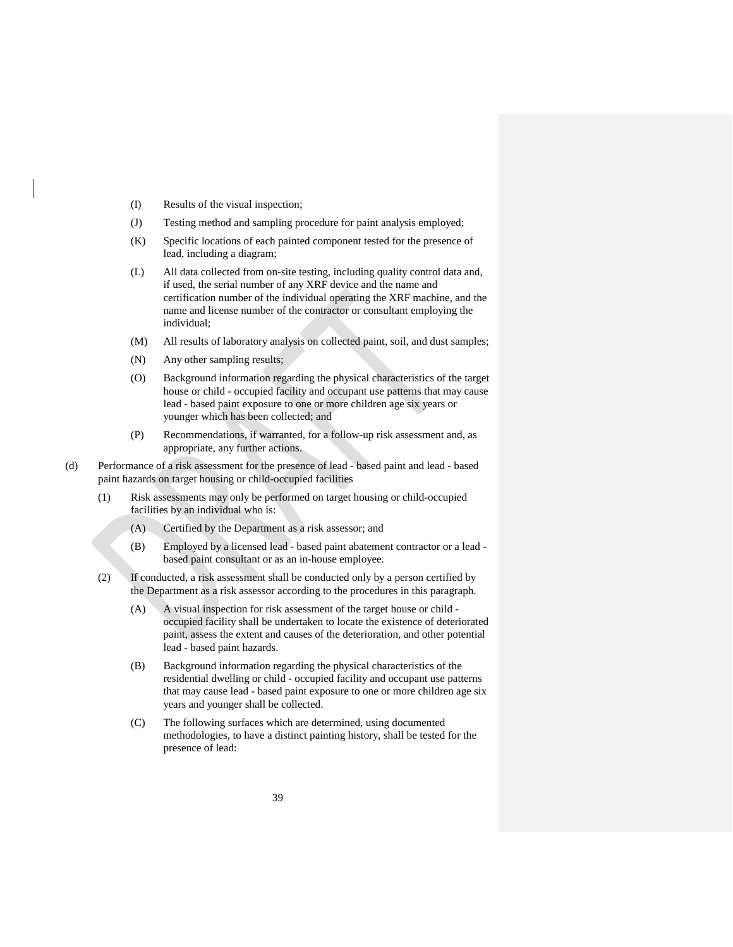- (I) Results of the visual inspection;
- (J) Testing method and sampling procedure for paint analysis employed;
- (K) Specific locations of each painted component tested for the presence of lead, including a diagram;
- (L) All data collected from on-site testing, including quality control data and, if used, the serial number of any XRF device and the name and certification number of the individual operating the XRF machine, and the name and license number of the contractor or consultant employing the individual;
- (M) All results of laboratory analysis on collected paint, soil, and dust samples;
- (N) Any other sampling results;
- (O) Background information regarding the physical characteristics of the target house or child - occupied facility and occupant use patterns that may cause lead - based paint exposure to one or more children age six years or younger which has been collected; and
- (P) Recommendations, if warranted, for a follow-up risk assessment and, as appropriate, any further actions.
- <span id="page-42-0"></span>(d) Performance of a risk assessment for the presence of lead - based paint and lead - based paint hazards on target housing or child-occupied facilities
	- (1) Risk assessments may only be performed on target housing or child-occupied facilities by an individual who is:
		- (A) Certified by the Department as a risk assessor; and
		- (B) Employed by a licensed lead based paint abatement contractor or a lead based paint consultant or as an in-house employee.
	- (2) If conducted, a risk assessment shall be conducted only by a person certified by the Department as a risk assessor according to the procedures in this paragraph.
		- (A) A visual inspection for risk assessment of the target house or child occupied facility shall be undertaken to locate the existence of deteriorated paint, assess the extent and causes of the deterioration, and other potential lead - based paint hazards.
		- (B) Background information regarding the physical characteristics of the residential dwelling or child - occupied facility and occupant use patterns that may cause lead - based paint exposure to one or more children age six years and younger shall be collected.
		- (C) The following surfaces which are determined, using documented methodologies, to have a distinct painting history, shall be tested for the presence of lead: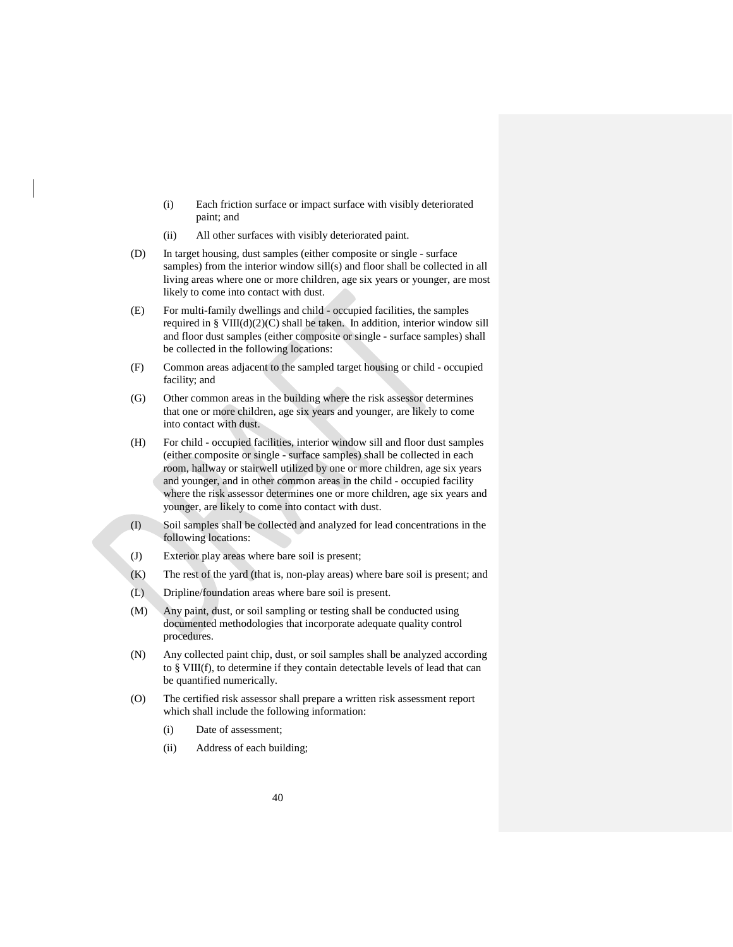- (i) Each friction surface or impact surface with visibly deteriorated paint; and
- (ii) All other surfaces with visibly deteriorated paint.
- (D) In target housing, dust samples (either composite or single surface samples) from the interior window sill(s) and floor shall be collected in all living areas where one or more children, age six years or younger, are most likely to come into contact with dust.
- (E) For multi-family dwellings and child occupied facilities, the samples required in §  $VIII(d)(2)(C)$  shall be taken. In addition, interior window sill and floor dust samples (either composite or single - surface samples) shall be collected in the following locations:
- (F) Common areas adjacent to the sampled target housing or child occupied facility; and
- (G) Other common areas in the building where the risk assessor determines that one or more children, age six years and younger, are likely to come into contact with dust.
- (H) For child occupied facilities, interior window sill and floor dust samples (either composite or single - surface samples) shall be collected in each room, hallway or stairwell utilized by one or more children, age six years and younger, and in other common areas in the child - occupied facility where the risk assessor determines one or more children, age six years and younger, are likely to come into contact with dust.
- (I) Soil samples shall be collected and analyzed for lead concentrations in the following locations:
- (J) Exterior play areas where bare soil is present;
- (K) The rest of the yard (that is, non-play areas) where bare soil is present; and
- (L) Dripline/foundation areas where bare soil is present.
- (M) Any paint, dust, or soil sampling or testing shall be conducted using documented methodologies that incorporate adequate quality control procedures.
- (N) Any collected paint chip, dust, or soil samples shall be analyzed according to § VIII(f), to determine if they contain detectable levels of lead that can be quantified numerically.
- (O) The certified risk assessor shall prepare a written risk assessment report which shall include the following information:
	- (i) Date of assessment;
	- (ii) Address of each building;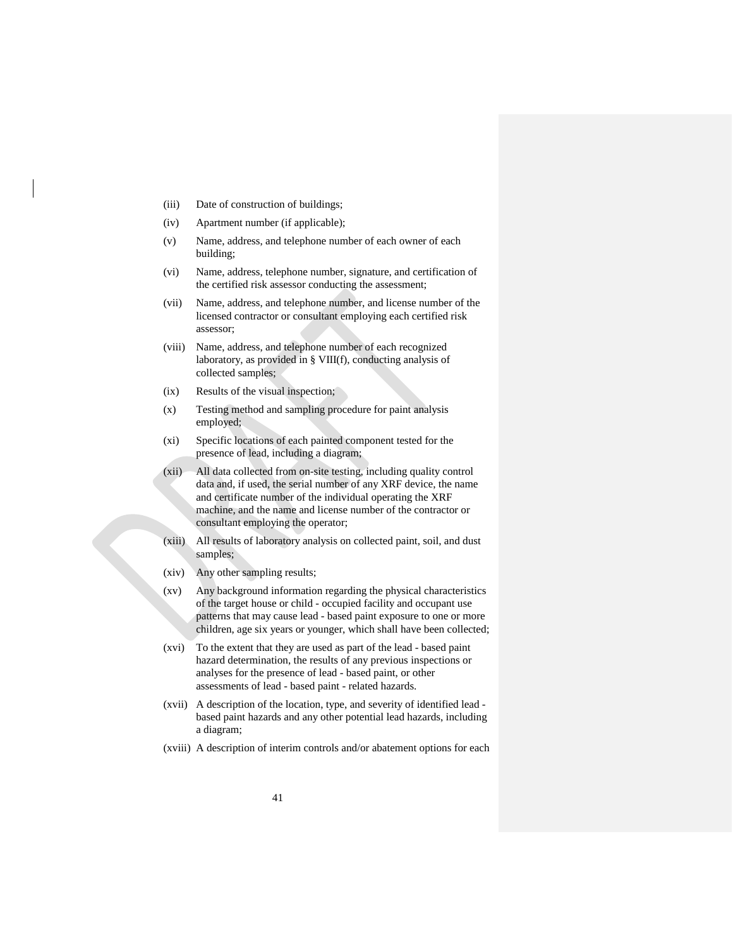- (iii) Date of construction of buildings;
- (iv) Apartment number (if applicable);
- (v) Name, address, and telephone number of each owner of each building;
- (vi) Name, address, telephone number, signature, and certification of the certified risk assessor conducting the assessment;
- (vii) Name, address, and telephone number, and license number of the licensed contractor or consultant employing each certified risk assessor;
- (viii) Name, address, and telephone number of each recognized laboratory, as provided in § VIII(f), conducting analysis of collected samples;
- (ix) Results of the visual inspection;
- (x) Testing method and sampling procedure for paint analysis employed;
- (xi) Specific locations of each painted component tested for the presence of lead, including a diagram;
- (xii) All data collected from on-site testing, including quality control data and, if used, the serial number of any XRF device, the name and certificate number of the individual operating the XRF machine, and the name and license number of the contractor or consultant employing the operator;
- (xiii) All results of laboratory analysis on collected paint, soil, and dust samples;
- (xiv) Any other sampling results;
- (xv) Any background information regarding the physical characteristics of the target house or child - occupied facility and occupant use patterns that may cause lead - based paint exposure to one or more children, age six years or younger, which shall have been collected;
- (xvi) To the extent that they are used as part of the lead based paint hazard determination, the results of any previous inspections or analyses for the presence of lead - based paint, or other assessments of lead - based paint - related hazards.
- (xvii) A description of the location, type, and severity of identified lead based paint hazards and any other potential lead hazards, including a diagram;
- (xviii) A description of interim controls and/or abatement options for each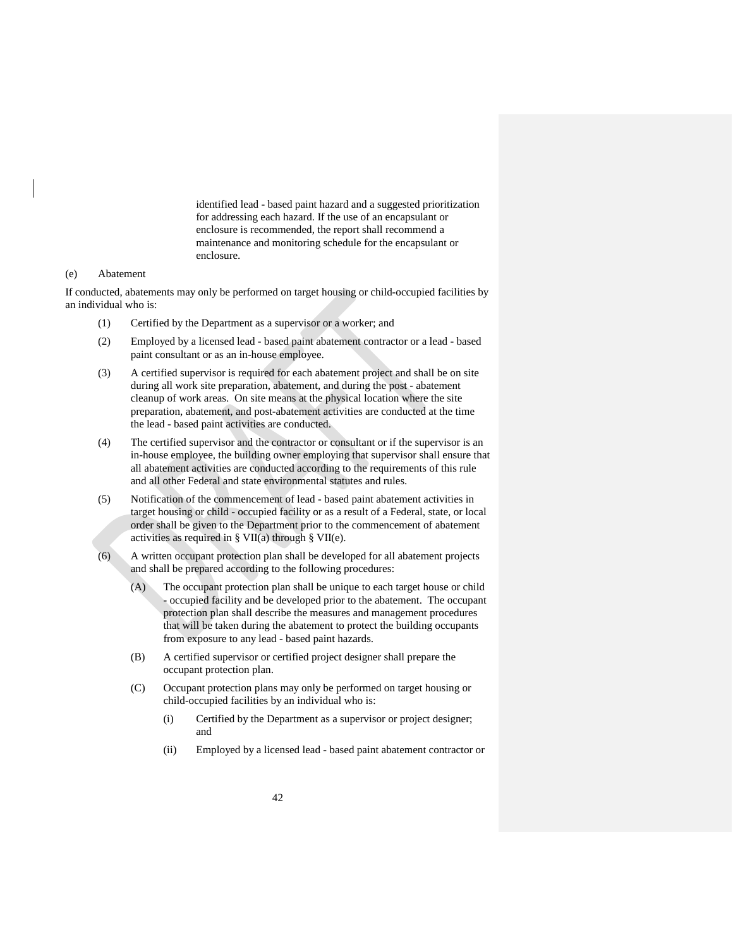identified lead - based paint hazard and a suggested prioritization for addressing each hazard. If the use of an encapsulant or enclosure is recommended, the report shall recommend a maintenance and monitoring schedule for the encapsulant or enclosure.

### <span id="page-45-0"></span>(e) Abatement

If conducted, abatements may only be performed on target housing or child-occupied facilities by an individual who is:

- (1) Certified by the Department as a supervisor or a worker; and
- (2) Employed by a licensed lead based paint abatement contractor or a lead based paint consultant or as an in-house employee.
- (3) A certified supervisor is required for each abatement project and shall be on site during all work site preparation, abatement, and during the post - abatement cleanup of work areas. On site means at the physical location where the site preparation, abatement, and post-abatement activities are conducted at the time the lead - based paint activities are conducted.
- (4) The certified supervisor and the contractor or consultant or if the supervisor is an in-house employee, the building owner employing that supervisor shall ensure that all abatement activities are conducted according to the requirements of this rule and all other Federal and state environmental statutes and rules.
- (5) Notification of the commencement of lead based paint abatement activities in target housing or child - occupied facility or as a result of a Federal, state, or local order shall be given to the Department prior to the commencement of abatement activities as required in § VII(a) through § VII(e).
- (6) A written occupant protection plan shall be developed for all abatement projects and shall be prepared according to the following procedures:
	- (A) The occupant protection plan shall be unique to each target house or child - occupied facility and be developed prior to the abatement. The occupant protection plan shall describe the measures and management procedures that will be taken during the abatement to protect the building occupants from exposure to any lead - based paint hazards.
	- (B) A certified supervisor or certified project designer shall prepare the occupant protection plan.
	- (C) Occupant protection plans may only be performed on target housing or child-occupied facilities by an individual who is:
		- (i) Certified by the Department as a supervisor or project designer; and
		- (ii) Employed by a licensed lead based paint abatement contractor or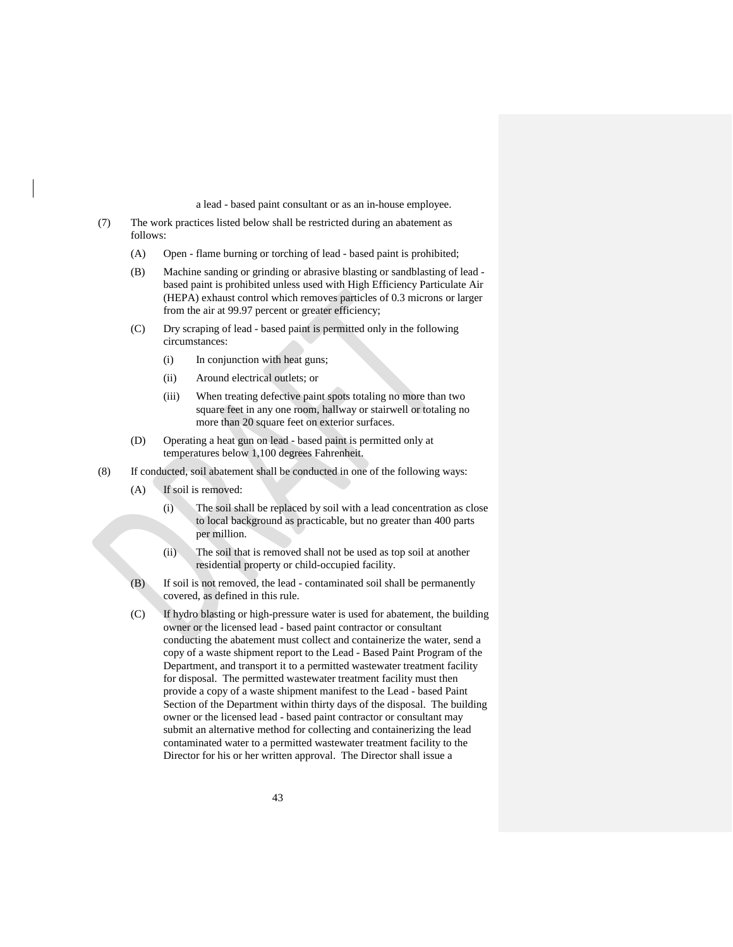a lead - based paint consultant or as an in-house employee.

- (7) The work practices listed below shall be restricted during an abatement as follows:
	- (A) Open flame burning or torching of lead based paint is prohibited;
	- (B) Machine sanding or grinding or abrasive blasting or sandblasting of lead based paint is prohibited unless used with High Efficiency Particulate Air (HEPA) exhaust control which removes particles of 0.3 microns or larger from the air at 99.97 percent or greater efficiency;
	- (C) Dry scraping of lead based paint is permitted only in the following circumstances:
		- (i) In conjunction with heat guns;
		- (ii) Around electrical outlets; or
		- (iii) When treating defective paint spots totaling no more than two square feet in any one room, hallway or stairwell or totaling no more than 20 square feet on exterior surfaces.
	- (D) Operating a heat gun on lead based paint is permitted only at temperatures below 1,100 degrees Fahrenheit.
- (8) If conducted, soil abatement shall be conducted in one of the following ways:
	- (A) If soil is removed:
		- (i) The soil shall be replaced by soil with a lead concentration as close to local background as practicable, but no greater than 400 parts per million.
		- (ii) The soil that is removed shall not be used as top soil at another residential property or child-occupied facility.
	- (B) If soil is not removed, the lead contaminated soil shall be permanently covered, as defined in this rule.
	- (C) If hydro blasting or high-pressure water is used for abatement, the building owner or the licensed lead - based paint contractor or consultant conducting the abatement must collect and containerize the water, send a copy of a waste shipment report to the Lead - Based Paint Program of the Department, and transport it to a permitted wastewater treatment facility for disposal. The permitted wastewater treatment facility must then provide a copy of a waste shipment manifest to the Lead - based Paint Section of the Department within thirty days of the disposal. The building owner or the licensed lead - based paint contractor or consultant may submit an alternative method for collecting and containerizing the lead contaminated water to a permitted wastewater treatment facility to the Director for his or her written approval. The Director shall issue a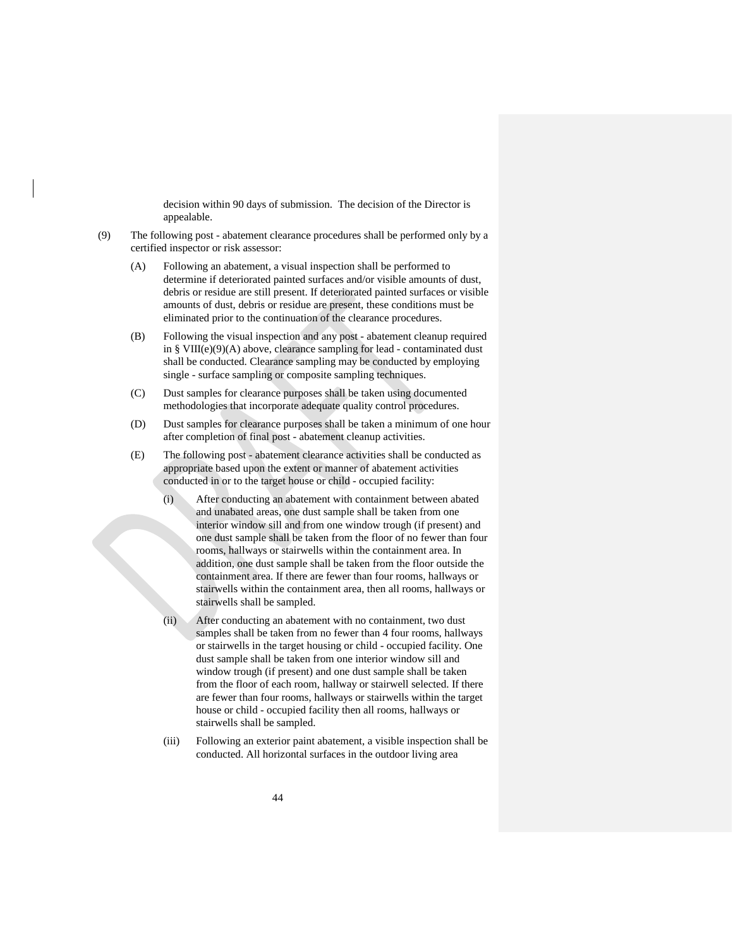decision within 90 days of submission. The decision of the Director is appealable.

- (9) The following post abatement clearance procedures shall be performed only by a certified inspector or risk assessor:
	- (A) Following an abatement, a visual inspection shall be performed to determine if deteriorated painted surfaces and/or visible amounts of dust, debris or residue are still present. If deteriorated painted surfaces or visible amounts of dust, debris or residue are present, these conditions must be eliminated prior to the continuation of the clearance procedures.
	- (B) Following the visual inspection and any post abatement cleanup required in § VIII(e)(9)(A) above, clearance sampling for lead - contaminated dust shall be conducted. Clearance sampling may be conducted by employing single - surface sampling or composite sampling techniques.
	- (C) Dust samples for clearance purposes shall be taken using documented methodologies that incorporate adequate quality control procedures.
	- (D) Dust samples for clearance purposes shall be taken a minimum of one hour after completion of final post - abatement cleanup activities.
	- (E) The following post abatement clearance activities shall be conducted as appropriate based upon the extent or manner of abatement activities conducted in or to the target house or child - occupied facility:
		- (i) After conducting an abatement with containment between abated and unabated areas, one dust sample shall be taken from one interior window sill and from one window trough (if present) and one dust sample shall be taken from the floor of no fewer than four rooms, hallways or stairwells within the containment area. In addition, one dust sample shall be taken from the floor outside the containment area. If there are fewer than four rooms, hallways or stairwells within the containment area, then all rooms, hallways or stairwells shall be sampled.
		- (ii) After conducting an abatement with no containment, two dust samples shall be taken from no fewer than 4 four rooms, hallways or stairwells in the target housing or child - occupied facility. One dust sample shall be taken from one interior window sill and window trough (if present) and one dust sample shall be taken from the floor of each room, hallway or stairwell selected. If there are fewer than four rooms, hallways or stairwells within the target house or child - occupied facility then all rooms, hallways or stairwells shall be sampled.
		- (iii) Following an exterior paint abatement, a visible inspection shall be conducted. All horizontal surfaces in the outdoor living area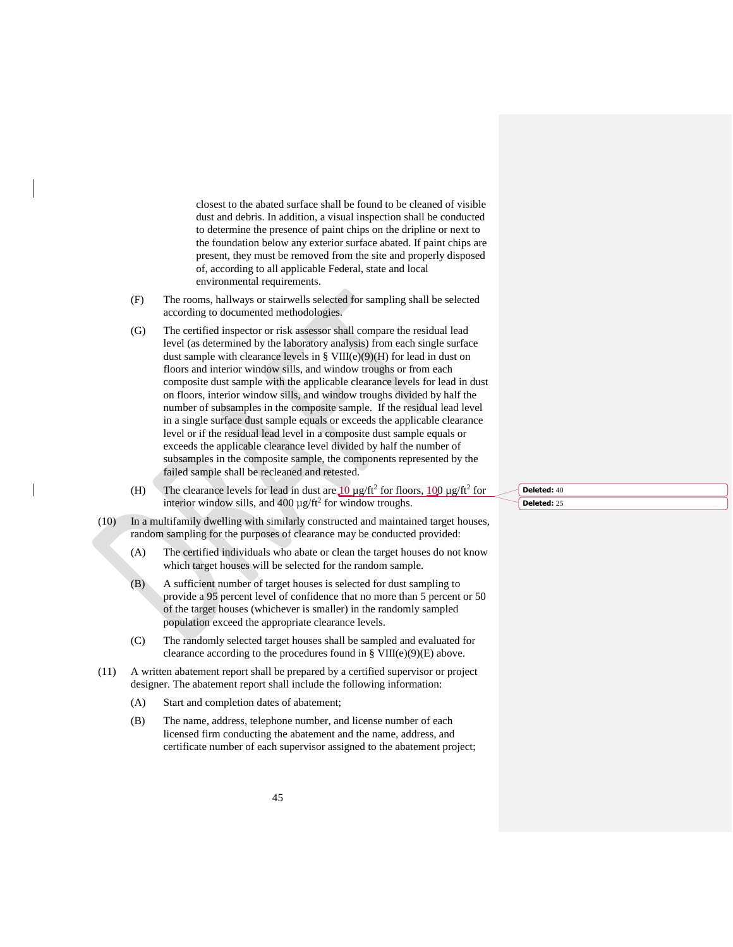closest to the abated surface shall be found to be cleaned of visible dust and debris. In addition, a visual inspection shall be conducted to determine the presence of paint chips on the dripline or next to the foundation below any exterior surface abated. If paint chips are present, they must be removed from the site and properly disposed of, according to all applicable Federal, state and local environmental requirements.

- (F) The rooms, hallways or stairwells selected for sampling shall be selected according to documented methodologies.
- (G) The certified inspector or risk assessor shall compare the residual lead level (as determined by the laboratory analysis) from each single surface dust sample with clearance levels in §  $VIII(e)(9)(H)$  for lead in dust on floors and interior window sills, and window troughs or from each composite dust sample with the applicable clearance levels for lead in dust on floors, interior window sills, and window troughs divided by half the number of subsamples in the composite sample. If the residual lead level in a single surface dust sample equals or exceeds the applicable clearance level or if the residual lead level in a composite dust sample equals or exceeds the applicable clearance level divided by half the number of subsamples in the composite sample, the components represented by the failed sample shall be recleaned and retested.
- (H) The clearance levels for lead in dust are  $10 \mu g / \text{ft}^2$  for floors,  $100 \mu g / \text{ft}^2$  for interior window sills, and  $400 \mu g / \text{ft}^2$  for window troughs.
- (10) In a multifamily dwelling with similarly constructed and maintained target houses, random sampling for the purposes of clearance may be conducted provided:
	- (A) The certified individuals who abate or clean the target houses do not know which target houses will be selected for the random sample.
	- (B) A sufficient number of target houses is selected for dust sampling to provide a 95 percent level of confidence that no more than 5 percent or 50 of the target houses (whichever is smaller) in the randomly sampled population exceed the appropriate clearance levels.
	- (C) The randomly selected target houses shall be sampled and evaluated for clearance according to the procedures found in  $\S$  VIII(e)(9)(E) above.
- (11) A written abatement report shall be prepared by a certified supervisor or project designer. The abatement report shall include the following information:
	- (A) Start and completion dates of abatement;
	- (B) The name, address, telephone number, and license number of each licensed firm conducting the abatement and the name, address, and certificate number of each supervisor assigned to the abatement project;

**Deleted:** 40 **Deleted:** 25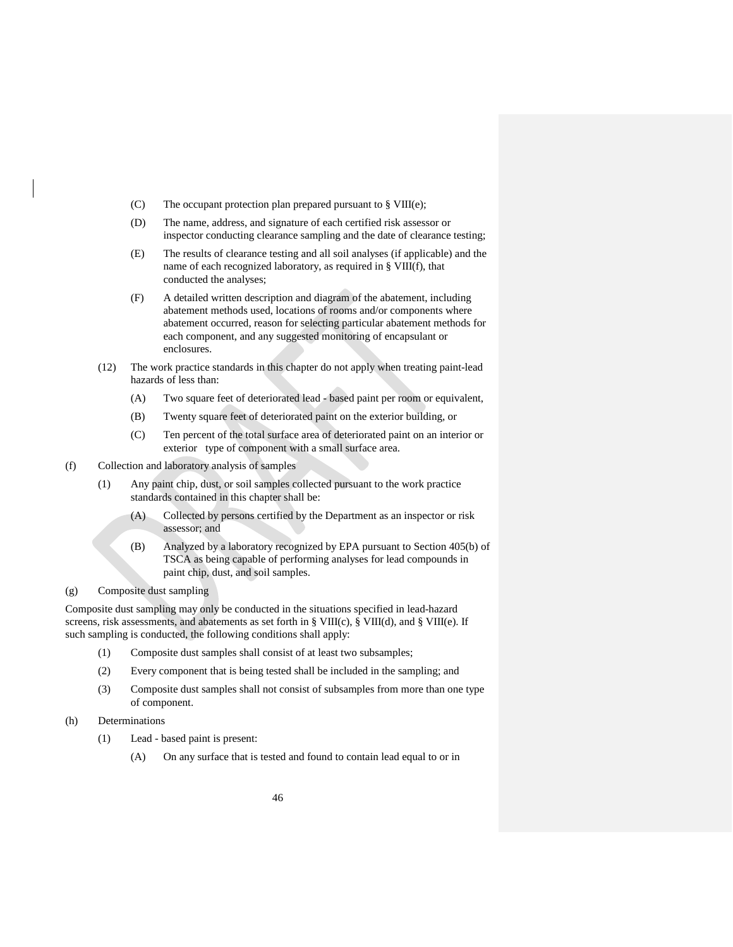- (C) The occupant protection plan prepared pursuant to § VIII(e);
- (D) The name, address, and signature of each certified risk assessor or inspector conducting clearance sampling and the date of clearance testing;
- (E) The results of clearance testing and all soil analyses (if applicable) and the name of each recognized laboratory, as required in § VIII(f), that conducted the analyses;
- (F) A detailed written description and diagram of the abatement, including abatement methods used, locations of rooms and/or components where abatement occurred, reason for selecting particular abatement methods for each component, and any suggested monitoring of encapsulant or enclosures.
- (12) The work practice standards in this chapter do not apply when treating paint-lead hazards of less than:
	- (A) Two square feet of deteriorated lead based paint per room or equivalent,
	- (B) Twenty square feet of deteriorated paint on the exterior building, or
	- (C) Ten percent of the total surface area of deteriorated paint on an interior or exterior type of component with a small surface area.
- <span id="page-49-0"></span>(f) Collection and laboratory analysis of samples
	- (1) Any paint chip, dust, or soil samples collected pursuant to the work practice standards contained in this chapter shall be:
		- (A) Collected by persons certified by the Department as an inspector or risk assessor; and
		- (B) Analyzed by a laboratory recognized by EPA pursuant to Section 405(b) of TSCA as being capable of performing analyses for lead compounds in paint chip, dust, and soil samples.
- <span id="page-49-1"></span>(g) Composite dust sampling

Composite dust sampling may only be conducted in the situations specified in lead-hazard screens, risk assessments, and abatements as set forth in  $\S$  VIII(c),  $\S$  VIII(d), and  $\S$  VIII(e). If such sampling is conducted, the following conditions shall apply:

- (1) Composite dust samples shall consist of at least two subsamples;
- (2) Every component that is being tested shall be included in the sampling; and
- (3) Composite dust samples shall not consist of subsamples from more than one type of component.
- <span id="page-49-2"></span>(h) Determinations
	- (1) Lead based paint is present:
		- (A) On any surface that is tested and found to contain lead equal to or in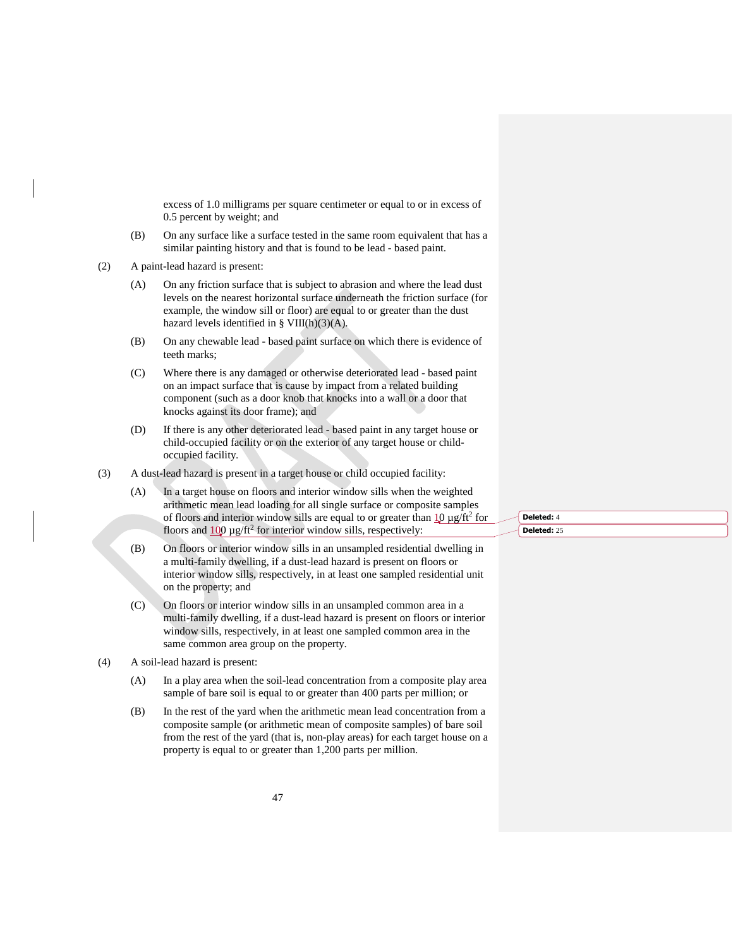excess of 1.0 milligrams per square centimeter or equal to or in excess of 0.5 percent by weight; and

- (B) On any surface like a surface tested in the same room equivalent that has a similar painting history and that is found to be lead - based paint.
- (2) A paint-lead hazard is present:
	- (A) On any friction surface that is subject to abrasion and where the lead dust levels on the nearest horizontal surface underneath the friction surface (for example, the window sill or floor) are equal to or greater than the dust hazard levels identified in § VIII(h)(3)(A).
	- (B) On any chewable lead based paint surface on which there is evidence of teeth marks;
	- (C) Where there is any damaged or otherwise deteriorated lead based paint on an impact surface that is cause by impact from a related building component (such as a door knob that knocks into a wall or a door that knocks against its door frame); and
	- (D) If there is any other deteriorated lead based paint in any target house or child-occupied facility or on the exterior of any target house or childoccupied facility.
- (3) A dust-lead hazard is present in a target house or child occupied facility:
	- (A) In a target house on floors and interior window sills when the weighted arithmetic mean lead loading for all single surface or composite samples of floors and interior window sills are equal to or greater than  $\frac{10}{10} \mu$  g/ft<sup>2</sup> for floors and  $100 \mu g / \text{ft}^2$  for interior window sills, respectively:
	- (B) On floors or interior window sills in an unsampled residential dwelling in a multi-family dwelling, if a dust-lead hazard is present on floors or interior window sills, respectively, in at least one sampled residential unit on the property; and
	- (C) On floors or interior window sills in an unsampled common area in a multi-family dwelling, if a dust-lead hazard is present on floors or interior window sills, respectively, in at least one sampled common area in the same common area group on the property.
- (4) A soil-lead hazard is present:
	- (A) In a play area when the soil-lead concentration from a composite play area sample of bare soil is equal to or greater than 400 parts per million; or
	- (B) In the rest of the yard when the arithmetic mean lead concentration from a composite sample (or arithmetic mean of composite samples) of bare soil from the rest of the yard (that is, non-play areas) for each target house on a property is equal to or greater than 1,200 parts per million.

**Deleted:** 4 **Deleted:** 25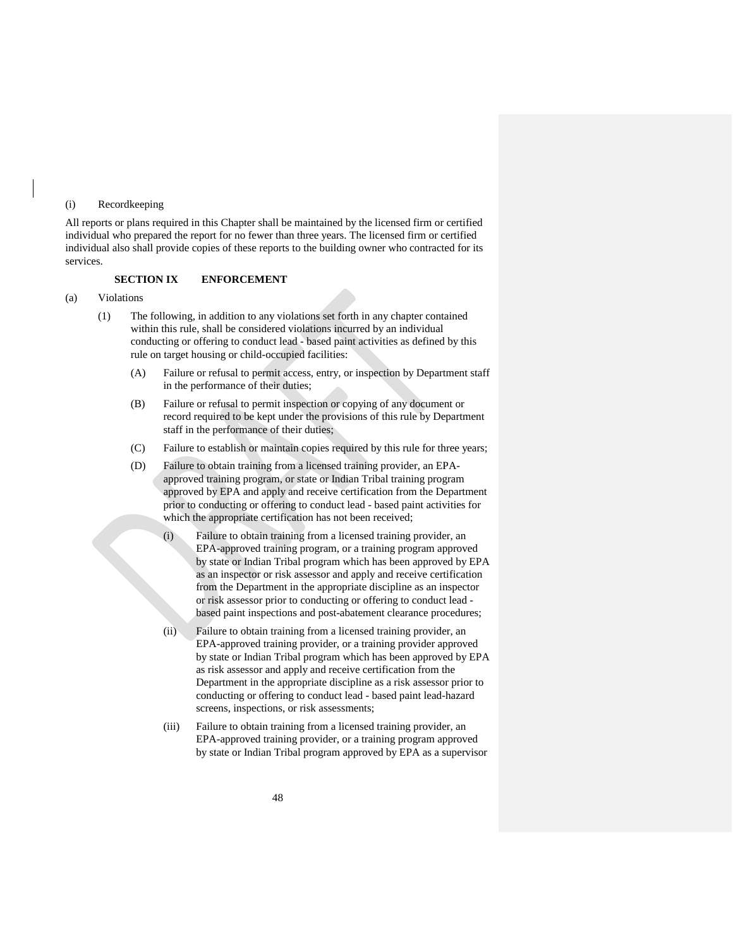### <span id="page-51-0"></span>(i) Recordkeeping

All reports or plans required in this Chapter shall be maintained by the licensed firm or certified individual who prepared the report for no fewer than three years. The licensed firm or certified individual also shall provide copies of these reports to the building owner who contracted for its services.

### <span id="page-51-1"></span>**SECTION IX ENFORCEMENT**

#### <span id="page-51-2"></span>(a) Violations

- (1) The following, in addition to any violations set forth in any chapter contained within this rule, shall be considered violations incurred by an individual conducting or offering to conduct lead - based paint activities as defined by this rule on target housing or child-occupied facilities:
	- (A) Failure or refusal to permit access, entry, or inspection by Department staff in the performance of their duties;
	- (B) Failure or refusal to permit inspection or copying of any document or record required to be kept under the provisions of this rule by Department staff in the performance of their duties;
	- (C) Failure to establish or maintain copies required by this rule for three years;
	- (D) Failure to obtain training from a licensed training provider, an EPAapproved training program, or state or Indian Tribal training program approved by EPA and apply and receive certification from the Department prior to conducting or offering to conduct lead - based paint activities for which the appropriate certification has not been received;
		- (i) Failure to obtain training from a licensed training provider, an EPA-approved training program, or a training program approved by state or Indian Tribal program which has been approved by EPA as an inspector or risk assessor and apply and receive certification from the Department in the appropriate discipline as an inspector or risk assessor prior to conducting or offering to conduct lead based paint inspections and post-abatement clearance procedures;
		- (ii) Failure to obtain training from a licensed training provider, an EPA-approved training provider, or a training provider approved by state or Indian Tribal program which has been approved by EPA as risk assessor and apply and receive certification from the Department in the appropriate discipline as a risk assessor prior to conducting or offering to conduct lead - based paint lead-hazard screens, inspections, or risk assessments;
		- (iii) Failure to obtain training from a licensed training provider, an EPA-approved training provider, or a training program approved by state or Indian Tribal program approved by EPA as a supervisor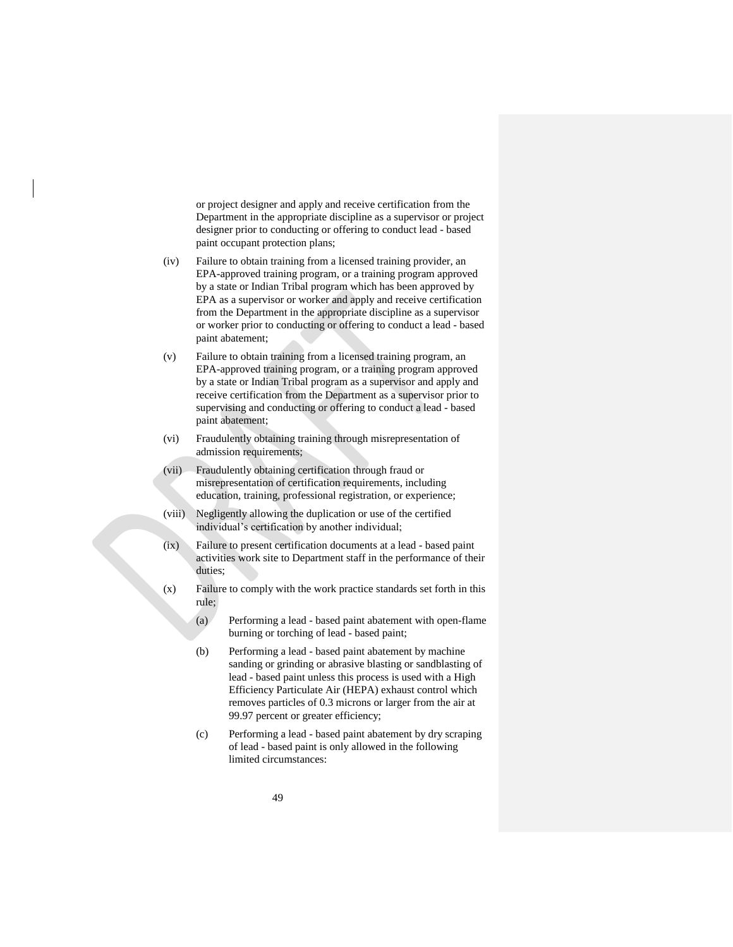or project designer and apply and receive certification from the Department in the appropriate discipline as a supervisor or project designer prior to conducting or offering to conduct lead - based paint occupant protection plans;

- (iv) Failure to obtain training from a licensed training provider, an EPA-approved training program, or a training program approved by a state or Indian Tribal program which has been approved by EPA as a supervisor or worker and apply and receive certification from the Department in the appropriate discipline as a supervisor or worker prior to conducting or offering to conduct a lead - based paint abatement;
- (v) Failure to obtain training from a licensed training program, an EPA-approved training program, or a training program approved by a state or Indian Tribal program as a supervisor and apply and receive certification from the Department as a supervisor prior to supervising and conducting or offering to conduct a lead - based paint abatement;
- (vi) Fraudulently obtaining training through misrepresentation of admission requirements;
- (vii) Fraudulently obtaining certification through fraud or misrepresentation of certification requirements, including education, training, professional registration, or experience;
- (viii) Negligently allowing the duplication or use of the certified individual's certification by another individual;
- (ix) Failure to present certification documents at a lead based paint activities work site to Department staff in the performance of their duties;
- (x) Failure to comply with the work practice standards set forth in this rule;
	- (a) Performing a lead based paint abatement with open-flame burning or torching of lead - based paint;
	- (b) Performing a lead based paint abatement by machine sanding or grinding or abrasive blasting or sandblasting of lead - based paint unless this process is used with a High Efficiency Particulate Air (HEPA) exhaust control which removes particles of 0.3 microns or larger from the air at 99.97 percent or greater efficiency;
	- (c) Performing a lead based paint abatement by dry scraping of lead - based paint is only allowed in the following limited circumstances: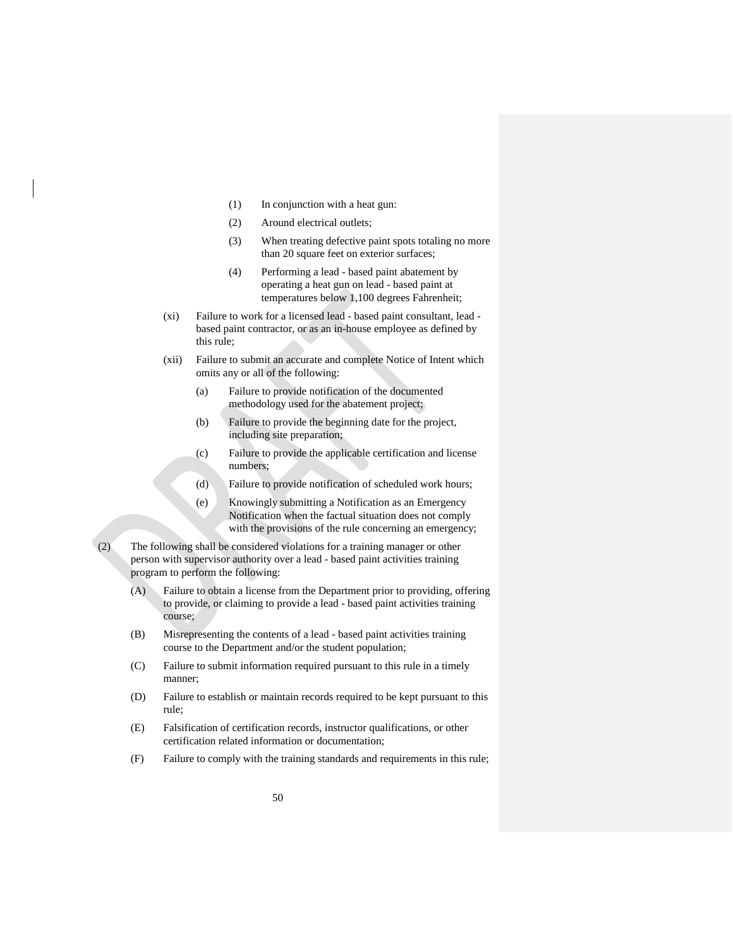- (1) In conjunction with a heat gun:
- (2) Around electrical outlets;
- (3) When treating defective paint spots totaling no more than 20 square feet on exterior surfaces;
- (4) Performing a lead based paint abatement by operating a heat gun on lead - based paint at temperatures below 1,100 degrees Fahrenheit;
- (xi) Failure to work for a licensed lead based paint consultant, lead based paint contractor, or as an in-house employee as defined by this rule;
- (xii) Failure to submit an accurate and complete Notice of Intent which omits any or all of the following:
	- (a) Failure to provide notification of the documented methodology used for the abatement project;
	- (b) Failure to provide the beginning date for the project, including site preparation;
	- (c) Failure to provide the applicable certification and license numbers;
	- (d) Failure to provide notification of scheduled work hours;
	- (e) Knowingly submitting a Notification as an Emergency Notification when the factual situation does not comply with the provisions of the rule concerning an emergency;
- (2) The following shall be considered violations for a training manager or other person with supervisor authority over a lead - based paint activities training program to perform the following:
	- (A) Failure to obtain a license from the Department prior to providing, offering to provide, or claiming to provide a lead - based paint activities training course;
	- (B) Misrepresenting the contents of a lead based paint activities training course to the Department and/or the student population;
	- (C) Failure to submit information required pursuant to this rule in a timely manner;
	- (D) Failure to establish or maintain records required to be kept pursuant to this rule;
	- (E) Falsification of certification records, instructor qualifications, or other certification related information or documentation;
	- (F) Failure to comply with the training standards and requirements in this rule;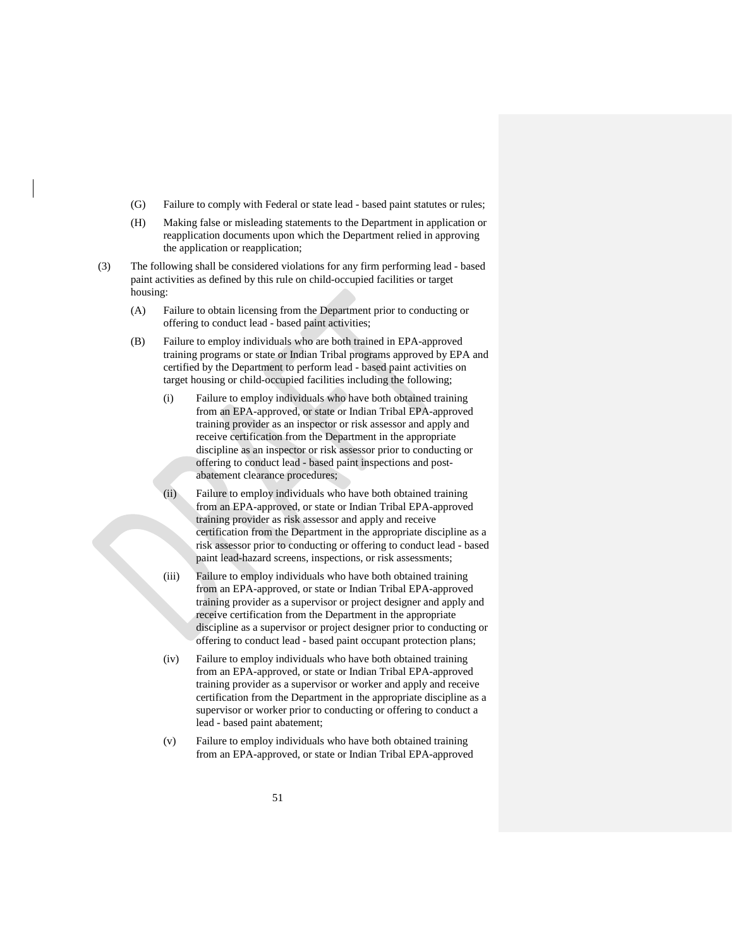- (G) Failure to comply with Federal or state lead based paint statutes or rules;
- (H) Making false or misleading statements to the Department in application or reapplication documents upon which the Department relied in approving the application or reapplication;
- (3) The following shall be considered violations for any firm performing lead based paint activities as defined by this rule on child-occupied facilities or target housing:
	- (A) Failure to obtain licensing from the Department prior to conducting or offering to conduct lead - based paint activities;
	- (B) Failure to employ individuals who are both trained in EPA-approved training programs or state or Indian Tribal programs approved by EPA and certified by the Department to perform lead - based paint activities on target housing or child-occupied facilities including the following;
		- (i) Failure to employ individuals who have both obtained training from an EPA-approved, or state or Indian Tribal EPA-approved training provider as an inspector or risk assessor and apply and receive certification from the Department in the appropriate discipline as an inspector or risk assessor prior to conducting or offering to conduct lead - based paint inspections and postabatement clearance procedures;
		- (ii) Failure to employ individuals who have both obtained training from an EPA-approved, or state or Indian Tribal EPA-approved training provider as risk assessor and apply and receive certification from the Department in the appropriate discipline as a risk assessor prior to conducting or offering to conduct lead - based paint lead-hazard screens, inspections, or risk assessments;
		- (iii) Failure to employ individuals who have both obtained training from an EPA-approved, or state or Indian Tribal EPA-approved training provider as a supervisor or project designer and apply and receive certification from the Department in the appropriate discipline as a supervisor or project designer prior to conducting or offering to conduct lead - based paint occupant protection plans;
		- (iv) Failure to employ individuals who have both obtained training from an EPA-approved, or state or Indian Tribal EPA-approved training provider as a supervisor or worker and apply and receive certification from the Department in the appropriate discipline as a supervisor or worker prior to conducting or offering to conduct a lead - based paint abatement;
		- (v) Failure to employ individuals who have both obtained training from an EPA-approved, or state or Indian Tribal EPA-approved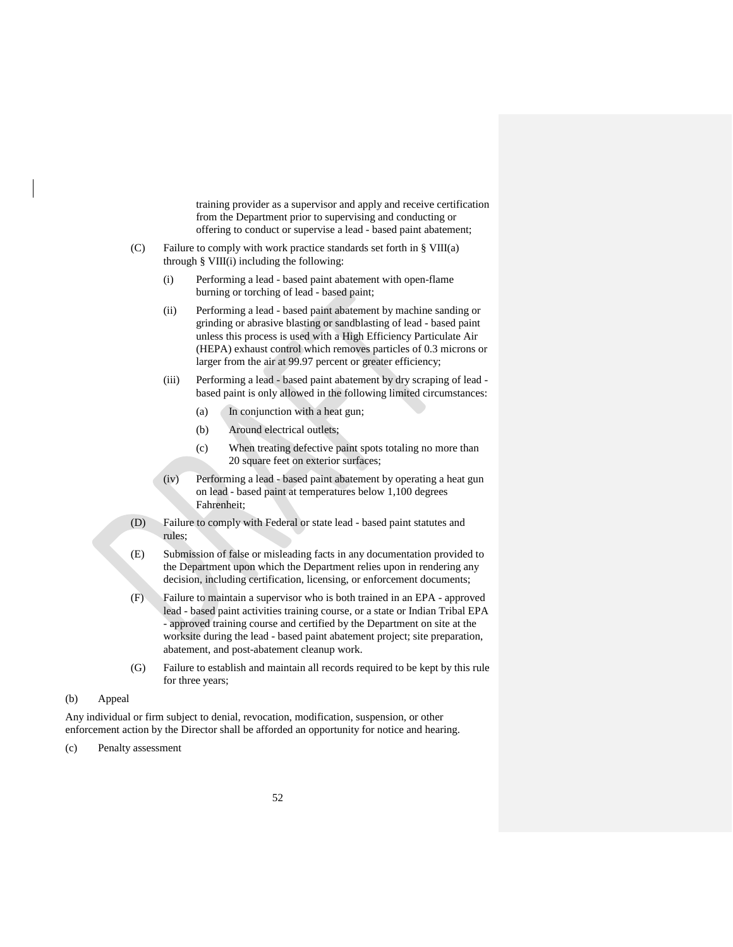training provider as a supervisor and apply and receive certification from the Department prior to supervising and conducting or offering to conduct or supervise a lead - based paint abatement;

- (C) Failure to comply with work practice standards set forth in § VIII(a) through § VIII(i) including the following:
	- (i) Performing a lead based paint abatement with open-flame burning or torching of lead - based paint;
	- (ii) Performing a lead based paint abatement by machine sanding or grinding or abrasive blasting or sandblasting of lead - based paint unless this process is used with a High Efficiency Particulate Air (HEPA) exhaust control which removes particles of 0.3 microns or larger from the air at 99.97 percent or greater efficiency;
	- (iii) Performing a lead based paint abatement by dry scraping of lead based paint is only allowed in the following limited circumstances:
		- (a) In conjunction with a heat gun;
		- (b) Around electrical outlets;
		- (c) When treating defective paint spots totaling no more than 20 square feet on exterior surfaces;
	- (iv) Performing a lead based paint abatement by operating a heat gun on lead - based paint at temperatures below 1,100 degrees Fahrenheit;
- (D) Failure to comply with Federal or state lead based paint statutes and rules;
- (E) Submission of false or misleading facts in any documentation provided to the Department upon which the Department relies upon in rendering any decision, including certification, licensing, or enforcement documents;
- (F) Failure to maintain a supervisor who is both trained in an EPA approved lead - based paint activities training course, or a state or Indian Tribal EPA - approved training course and certified by the Department on site at the worksite during the lead - based paint abatement project; site preparation, abatement, and post-abatement cleanup work.
- (G) Failure to establish and maintain all records required to be kept by this rule for three years;
- <span id="page-55-0"></span>(b) Appeal

Any individual or firm subject to denial, revocation, modification, suspension, or other enforcement action by the Director shall be afforded an opportunity for notice and hearing.

<span id="page-55-1"></span>(c) Penalty assessment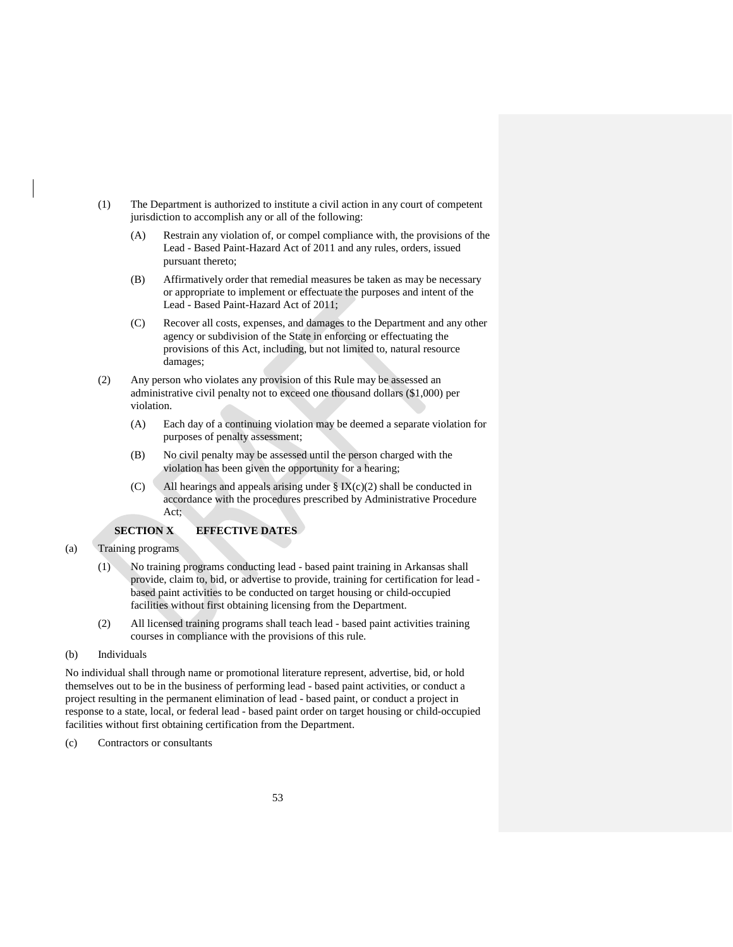- (1) The Department is authorized to institute a civil action in any court of competent jurisdiction to accomplish any or all of the following:
	- (A) Restrain any violation of, or compel compliance with, the provisions of the Lead - Based Paint-Hazard Act of 2011 and any rules, orders, issued pursuant thereto;
	- (B) Affirmatively order that remedial measures be taken as may be necessary or appropriate to implement or effectuate the purposes and intent of the Lead - Based Paint-Hazard Act of 2011;
	- (C) Recover all costs, expenses, and damages to the Department and any other agency or subdivision of the State in enforcing or effectuating the provisions of this Act, including, but not limited to, natural resource damages;
- (2) Any person who violates any provision of this Rule may be assessed an administrative civil penalty not to exceed one thousand dollars (\$1,000) per violation.
	- (A) Each day of a continuing violation may be deemed a separate violation for purposes of penalty assessment;
	- (B) No civil penalty may be assessed until the person charged with the violation has been given the opportunity for a hearing;
	- (C) All hearings and appeals arising under  $\S$  IX(c)(2) shall be conducted in accordance with the procedures prescribed by Administrative Procedure Act;

# **SECTION X EFFECTIVE DATES**

### <span id="page-56-1"></span><span id="page-56-0"></span>(a) Training programs

- (1) No training programs conducting lead based paint training in Arkansas shall provide, claim to, bid, or advertise to provide, training for certification for lead based paint activities to be conducted on target housing or child-occupied facilities without first obtaining licensing from the Department.
- (2) All licensed training programs shall teach lead based paint activities training courses in compliance with the provisions of this rule.
- <span id="page-56-2"></span>(b) Individuals

No individual shall through name or promotional literature represent, advertise, bid, or hold themselves out to be in the business of performing lead - based paint activities, or conduct a project resulting in the permanent elimination of lead - based paint, or conduct a project in response to a state, local, or federal lead - based paint order on target housing or child-occupied facilities without first obtaining certification from the Department.

<span id="page-56-3"></span>(c) Contractors or consultants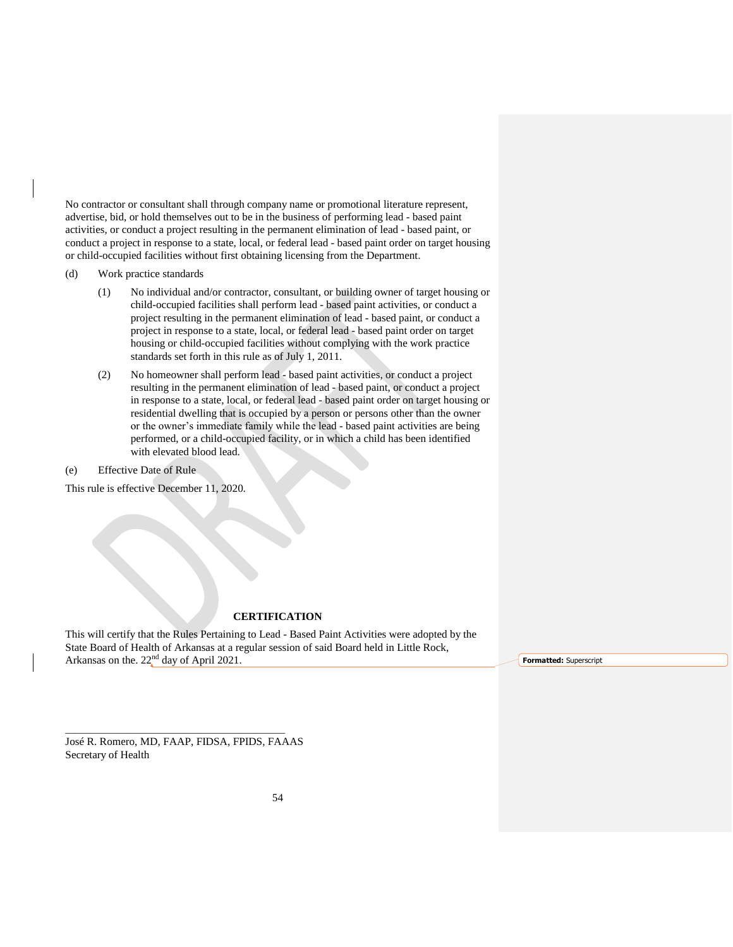No contractor or consultant shall through company name or promotional literature represent, advertise, bid, or hold themselves out to be in the business of performing lead - based paint activities, or conduct a project resulting in the permanent elimination of lead - based paint, or conduct a project in response to a state, local, or federal lead - based paint order on target housing or child-occupied facilities without first obtaining licensing from the Department.

- <span id="page-57-0"></span>(d) Work practice standards
	- (1) No individual and/or contractor, consultant, or building owner of target housing or child-occupied facilities shall perform lead - based paint activities, or conduct a project resulting in the permanent elimination of lead - based paint, or conduct a project in response to a state, local, or federal lead - based paint order on target housing or child-occupied facilities without complying with the work practice standards set forth in this rule as of July 1, 2011.
	- (2) No homeowner shall perform lead based paint activities, or conduct a project resulting in the permanent elimination of lead - based paint, or conduct a project in response to a state, local, or federal lead - based paint order on target housing or residential dwelling that is occupied by a person or persons other than the owner or the owner's immediate family while the lead - based paint activities are being performed, or a child-occupied facility, or in which a child has been identified with elevated blood lead.

<span id="page-57-1"></span>(e) Effective Date of Rule

This rule is effective December 11, 2020.

# **CERTIFICATION**

This will certify that the Rules Pertaining to Lead - Based Paint Activities were adopted by the State Board of Health of Arkansas at a regular session of said Board held in Little Rock, Arkansas on the.  $22<sup>nd</sup>$  day of April 2021.

**Formatted:** Superscript

José R. Romero, MD, FAAP, FIDSA, FPIDS, FAAAS Secretary of Health

\_\_\_\_\_\_\_\_\_\_\_\_\_\_\_\_\_\_\_\_\_\_\_\_\_\_\_\_\_\_\_\_\_\_\_\_\_\_\_\_\_\_\_\_